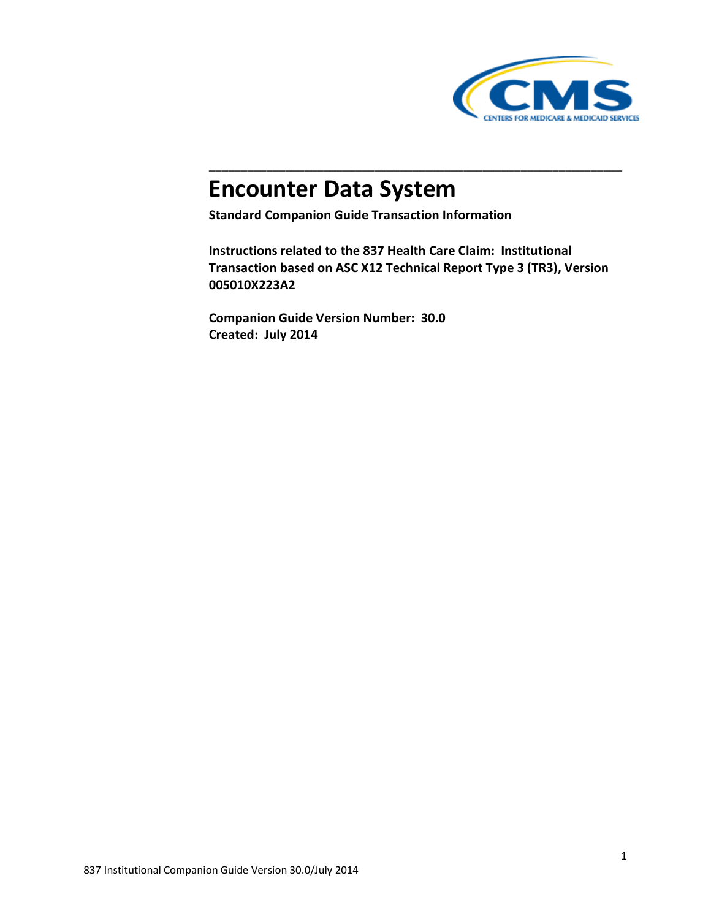

# **Encounter Data System**

**Standard Companion Guide Transaction Information**

**Instructions related to the 837 Health Care Claim: Institutional Transaction based on ASC X12 Technical Report Type 3 (TR3), Version 005010X223A2**

\_\_\_\_\_\_\_\_\_\_\_\_\_\_\_\_\_\_\_\_\_\_\_\_\_\_\_\_\_\_\_\_\_\_\_\_\_\_\_\_\_\_\_\_\_\_\_\_\_\_\_\_\_\_\_\_\_\_\_\_\_\_\_\_\_

**Companion Guide Version Number: 30.0 Created: July 2014**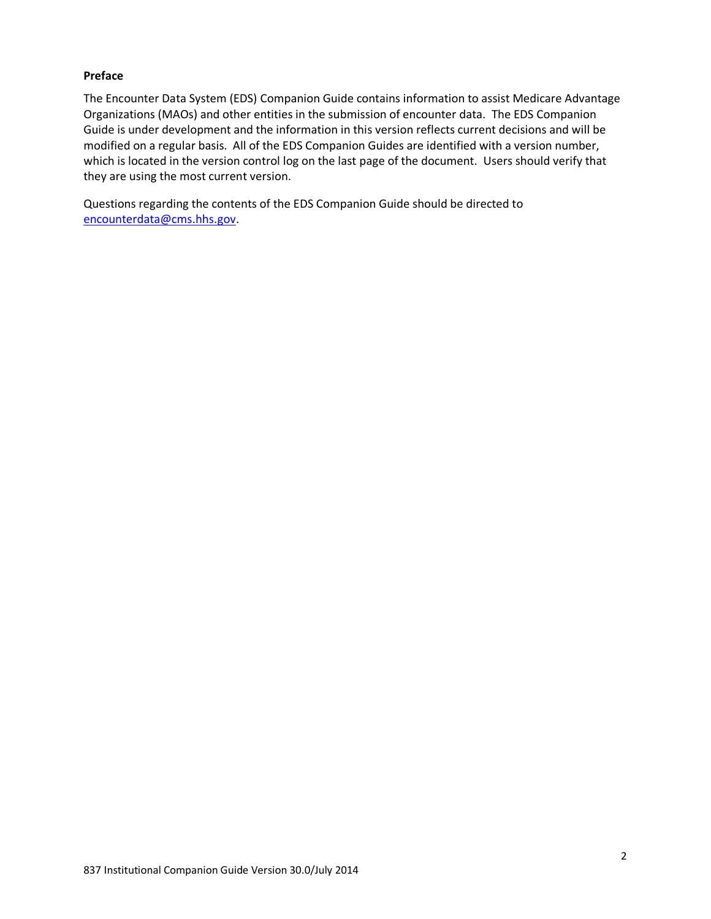#### **Preface**

The Encounter Data System (EDS) Companion Guide contains information to assist Medicare Advantage Organizations (MAOs) and other entities in the submission of encounter data. The EDS Companion Guide is under development and the information in this version reflects current decisions and will be modified on a regular basis. All of the EDS Companion Guides are identified with a version number, which is located in the version control log on the last page of the document. Users should verify that they are using the most current version.

Questions regarding the contents of the EDS Companion Guide should be directed to [encounterdata@cms.hhs.gov.](mailto:eds@ardx.net)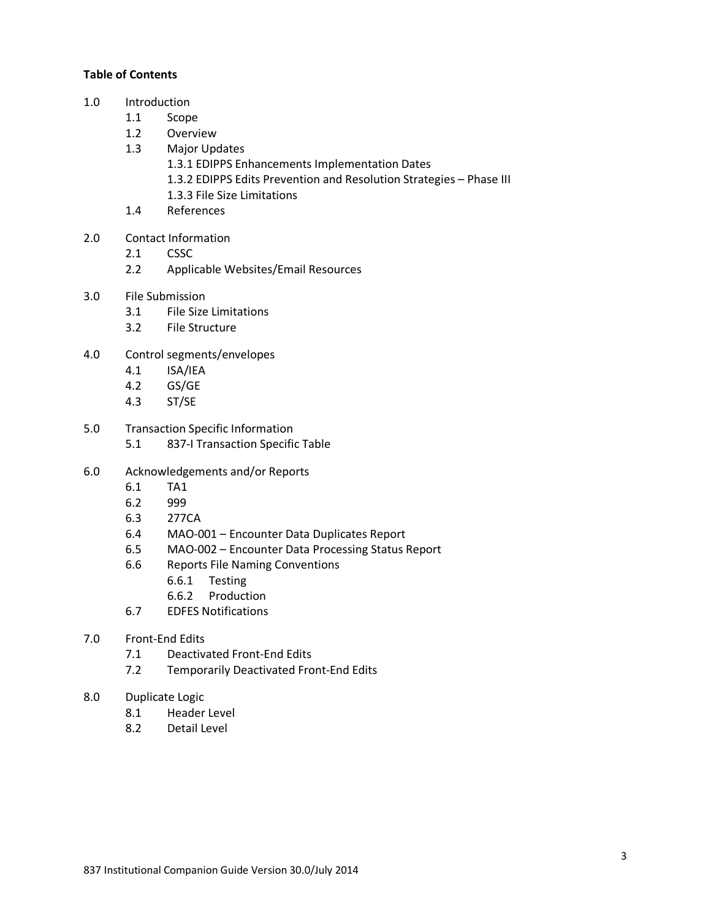#### **Table of Contents**

- 1.0 Introduction
	- 1.1 Scope
	- 1.2 Overview
	- 1.3 Major Updates
		- 1.3.1 EDIPPS Enhancements Implementation Dates
		- 1.3.2 EDIPPS Edits Prevention and Resolution Strategies Phase III
		- 1.3.3 File Size Limitations
	- 1.4 References
- 2.0 Contact Information
	- 2.1 CSSC
	- 2.2 Applicable Websites/Email Resources
- 3.0 File Submission
	- 3.1 File Size Limitations
	- 3.2 File Structure
- 4.0 Control segments/envelopes
	- 4.1 ISA/IEA
	- 4.2 GS/GE
	- 4.3 ST/SE
- 5.0 Transaction Specific Information
	- 5.1 837-I Transaction Specific Table
- 6.0 Acknowledgements and/or Reports
	- 6.1 TA1
	- 6.2 999
	- 6.3 277CA
	- 6.4 MAO-001 Encounter Data Duplicates Report
	- 6.5 MAO-002 Encounter Data Processing Status Report
	- 6.6 Reports File Naming Conventions
		- 6.6.1 Testing
		- 6.6.2 Production
	- 6.7 EDFES Notifications
- 7.0 Front-End Edits
	- 7.1 Deactivated Front-End Edits
	- 7.2 Temporarily Deactivated Front-End Edits
- 8.0 Duplicate Logic
	- 8.1 Header Level
	- 8.2 Detail Level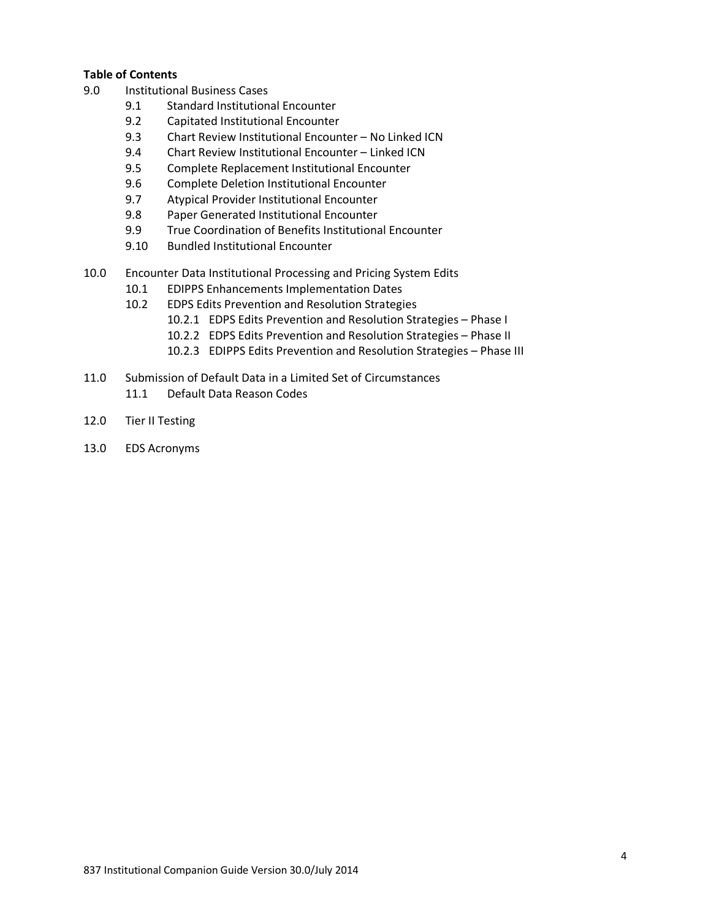#### **Table of Contents**

- 9.0 Institutional Business Cases
	- 9.1 Standard Institutional Encounter
	- 9.2 Capitated Institutional Encounter
	- 9.3 Chart Review Institutional Encounter No Linked ICN
	- 9.4 Chart Review Institutional Encounter Linked ICN
	- 9.5 Complete Replacement Institutional Encounter
	- 9.6 Complete Deletion Institutional Encounter
	- 9.7 Atypical Provider Institutional Encounter
	- 9.8 Paper Generated Institutional Encounter
	- 9.9 True Coordination of Benefits Institutional Encounter
	- 9.10 Bundled Institutional Encounter
- 10.0 Encounter Data Institutional Processing and Pricing System Edits
	- 10.1 EDIPPS Enhancements Implementation Dates
	- 10.2 EDPS Edits Prevention and Resolution Strategies
		- 10.2.1 EDPS Edits Prevention and Resolution Strategies Phase I
		- 10.2.2 EDPS Edits Prevention and Resolution Strategies Phase II
		- 10.2.3 EDIPPS Edits Prevention and Resolution Strategies Phase III
- 11.0 Submission of Default Data in a Limited Set of Circumstances 11.1 Default Data Reason Codes
- 12.0 Tier II Testing
- 13.0 EDS Acronyms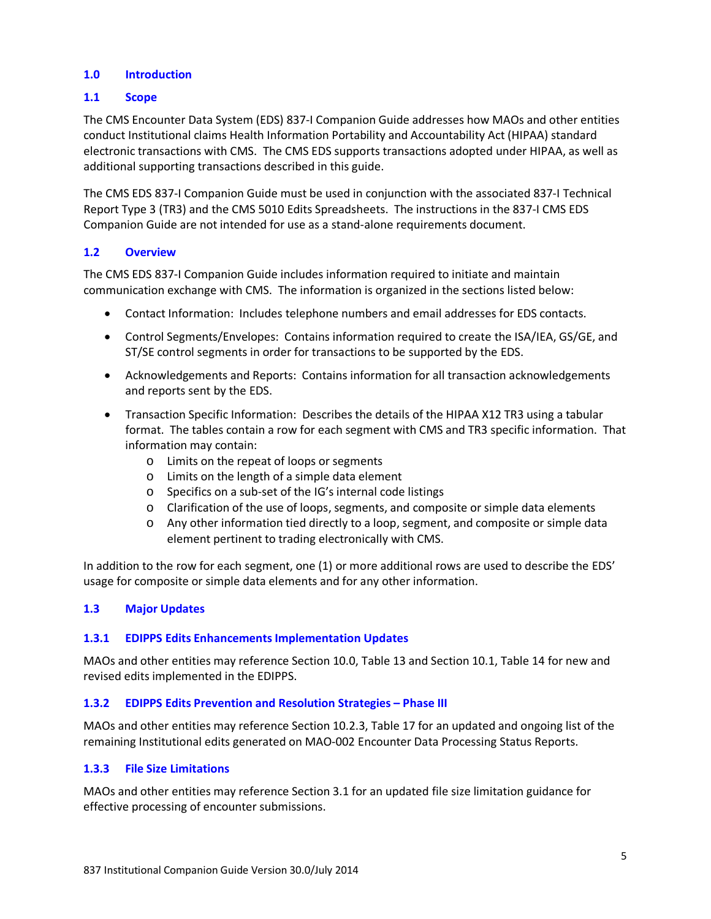#### **1.0 Introduction**

#### **1.1 Scope**

The CMS Encounter Data System (EDS) 837-I Companion Guide addresses how MAOs and other entities conduct Institutional claims Health Information Portability and Accountability Act (HIPAA) standard electronic transactions with CMS. The CMS EDS supports transactions adopted under HIPAA, as well as additional supporting transactions described in this guide.

The CMS EDS 837-I Companion Guide must be used in conjunction with the associated 837-I Technical Report Type 3 (TR3) and the CMS 5010 Edits Spreadsheets. The instructions in the 837-I CMS EDS Companion Guide are not intended for use as a stand-alone requirements document.

#### **1.2 Overview**

The CMS EDS 837-I Companion Guide includes information required to initiate and maintain communication exchange with CMS. The information is organized in the sections listed below:

- Contact Information: Includes telephone numbers and email addresses for EDS contacts.
- Control Segments/Envelopes: Contains information required to create the ISA/IEA, GS/GE, and ST/SE control segments in order for transactions to be supported by the EDS.
- Acknowledgements and Reports: Contains information for all transaction acknowledgements and reports sent by the EDS.
- Transaction Specific Information: Describes the details of the HIPAA X12 TR3 using a tabular format. The tables contain a row for each segment with CMS and TR3 specific information. That information may contain:
	- o Limits on the repeat of loops or segments
	- o Limits on the length of a simple data element
	- o Specifics on a sub-set of the IG's internal code listings
	- o Clarification of the use of loops, segments, and composite or simple data elements
	- o Any other information tied directly to a loop, segment, and composite or simple data element pertinent to trading electronically with CMS.

In addition to the row for each segment, one (1) or more additional rows are used to describe the EDS' usage for composite or simple data elements and for any other information.

#### **1.3 Major Updates**

#### **1.3.1 EDIPPS Edits Enhancements Implementation Updates**

MAOs and other entities may reference Section 10.0, Table 13 and Section 10.1, Table 14 for new and revised edits implemented in the EDIPPS.

#### **1.3.2 EDIPPS Edits Prevention and Resolution Strategies – Phase III**

MAOs and other entities may reference Section 10.2.3, Table 17 for an updated and ongoing list of the remaining Institutional edits generated on MAO-002 Encounter Data Processing Status Reports.

#### **1.3.3 File Size Limitations**

MAOs and other entities may reference Section 3.1 for an updated file size limitation guidance for effective processing of encounter submissions.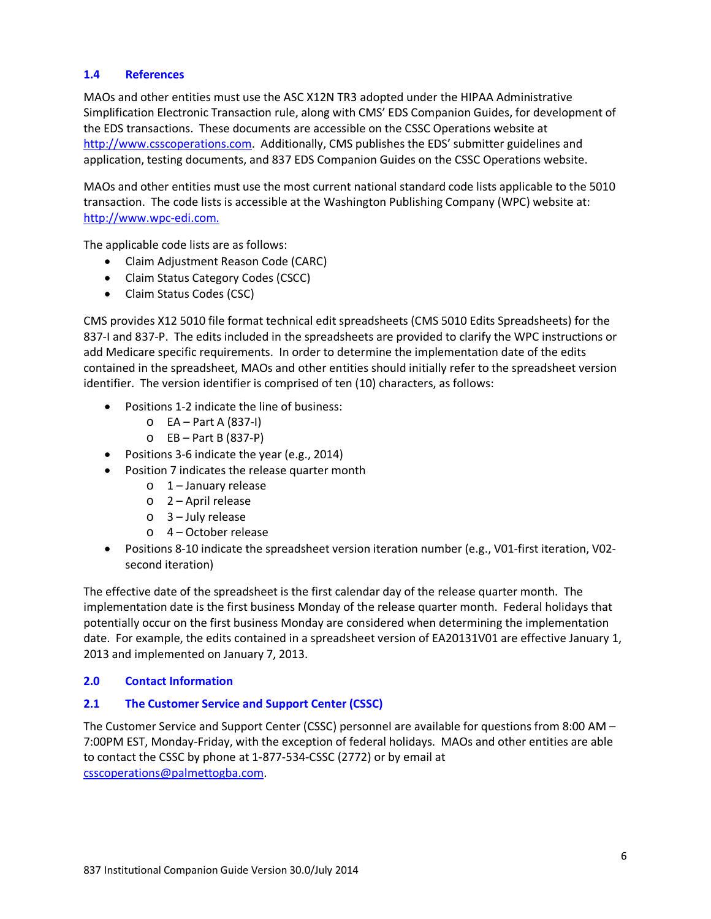#### **1.4 References**

MAOs and other entities must use the ASC X12N TR3 adopted under the HIPAA Administrative Simplification Electronic Transaction rule, along with CMS' EDS Companion Guides, for development of the EDS transactions. These documents are accessible on the CSSC Operations website at [http://www.csscoperations.com.](http://www.csscoperations.com/) Additionally, CMS publishes the EDS' submitter guidelines and application, testing documents, and 837 EDS Companion Guides on the CSSC Operations website.

MAOs and other entities must use the most current national standard code lists applicable to the 5010 transaction. The code lists is accessible at the Washington Publishing Company (WPC) website at: [http://www.wpc-edi.com.](http://www.wpc-edi.com/)

The applicable code lists are as follows:

- Claim Adjustment Reason Code (CARC)
- Claim Status Category Codes (CSCC)
- Claim Status Codes (CSC)

CMS provides X12 5010 file format technical edit spreadsheets (CMS 5010 Edits Spreadsheets) for the 837-I and 837-P. The edits included in the spreadsheets are provided to clarify the WPC instructions or add Medicare specific requirements. In order to determine the implementation date of the edits contained in the spreadsheet, MAOs and other entities should initially refer to the spreadsheet version identifier. The version identifier is comprised of ten (10) characters, as follows:

- Positions 1-2 indicate the line of business:
	- $O$  EA Part A (837-I)
	- $O$  EB Part B (837-P)
- Positions 3-6 indicate the year (e.g., 2014)
- Position 7 indicates the release quarter month
	- $\circ$  1 January release
	- o 2 April release
	- o 3 July release
	- o 4 October release
- Positions 8-10 indicate the spreadsheet version iteration number (e.g., V01-first iteration, V02 second iteration)

The effective date of the spreadsheet is the first calendar day of the release quarter month. The implementation date is the first business Monday of the release quarter month. Federal holidays that potentially occur on the first business Monday are considered when determining the implementation date. For example, the edits contained in a spreadsheet version of EA20131V01 are effective January 1, 2013 and implemented on January 7, 2013.

# **2.0 Contact Information**

#### **2.1 The Customer Service and Support Center (CSSC)**

The Customer Service and Support Center (CSSC) personnel are available for questions from 8:00 AM – 7:00PM EST, Monday-Friday, with the exception of federal holidays. MAOs and other entities are able to contact the CSSC by phone at 1-877-534-CSSC (2772) or by email at [csscoperations@palmettogba.com.](mailto:csscoperations@palmettogba.com)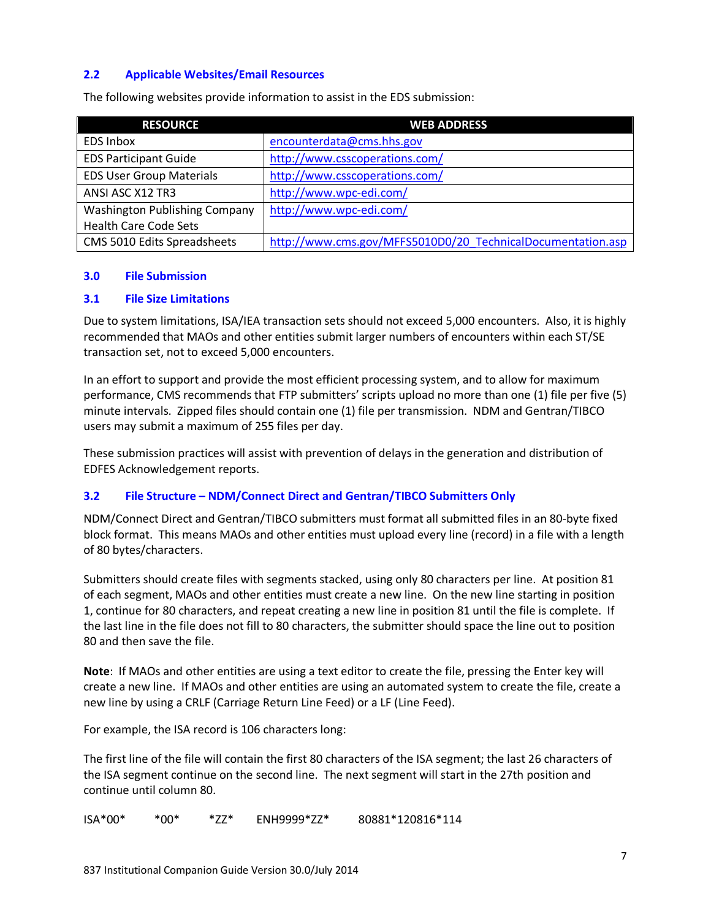#### **2.2 Applicable Websites/Email Resources**

| <b>RESOURCE</b>                 | <b>WEB ADDRESS</b>                                          |
|---------------------------------|-------------------------------------------------------------|
| <b>EDS Inbox</b>                | encounterdata@cms.hhs.gov                                   |
| <b>EDS Participant Guide</b>    | http://www.csscoperations.com/                              |
| <b>EDS User Group Materials</b> | http://www.csscoperations.com/                              |
| ANSI ASC X12 TR3                | http://www.wpc-edi.com/                                     |
| Washington Publishing Company   | http://www.wpc-edi.com/                                     |
| <b>Health Care Code Sets</b>    |                                                             |
| CMS 5010 Edits Spreadsheets     | http://www.cms.gov/MFFS5010D0/20 TechnicalDocumentation.asp |

The following websites provide information to assist in the EDS submission:

#### **3.0 File Submission**

#### **3.1 File Size Limitations**

Due to system limitations, ISA/IEA transaction sets should not exceed 5,000 encounters. Also, it is highly recommended that MAOs and other entities submit larger numbers of encounters within each ST/SE transaction set, not to exceed 5,000 encounters.

In an effort to support and provide the most efficient processing system, and to allow for maximum performance, CMS recommends that FTP submitters' scripts upload no more than one (1) file per five (5) minute intervals. Zipped files should contain one (1) file per transmission. NDM and Gentran/TIBCO users may submit a maximum of 255 files per day.

These submission practices will assist with prevention of delays in the generation and distribution of EDFES Acknowledgement reports.

#### **3.2 File Structure – NDM/Connect Direct and Gentran/TIBCO Submitters Only**

NDM/Connect Direct and Gentran/TIBCO submitters must format all submitted files in an 80-byte fixed block format. This means MAOs and other entities must upload every line (record) in a file with a length of 80 bytes/characters.

Submitters should create files with segments stacked, using only 80 characters per line. At position 81 of each segment, MAOs and other entities must create a new line. On the new line starting in position 1, continue for 80 characters, and repeat creating a new line in position 81 until the file is complete. If the last line in the file does not fill to 80 characters, the submitter should space the line out to position 80 and then save the file.

**Note**: If MAOs and other entities are using a text editor to create the file, pressing the Enter key will create a new line. If MAOs and other entities are using an automated system to create the file, create a new line by using a CRLF (Carriage Return Line Feed) or a LF (Line Feed).

For example, the ISA record is 106 characters long:

The first line of the file will contain the first 80 characters of the ISA segment; the last 26 characters of the ISA segment continue on the second line. The next segment will start in the 27th position and continue until column 80.

ISA\*00\* \*00\* \*ZZ\* ENH9999\*ZZ\* 80881\*120816\*114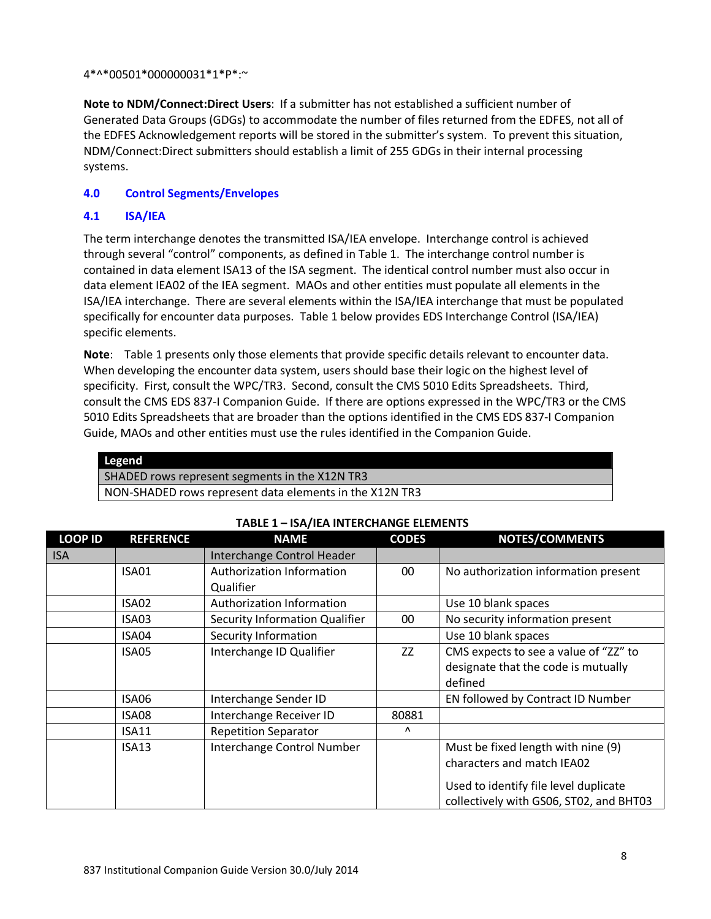4\*^\*00501\*000000031\*1\*P\*:~

**Note to NDM/Connect:Direct Users**: If a submitter has not established a sufficient number of Generated Data Groups (GDGs) to accommodate the number of files returned from the EDFES, not all of the EDFES Acknowledgement reports will be stored in the submitter's system. To prevent this situation, NDM/Connect:Direct submitters should establish a limit of 255 GDGs in their internal processing systems.

#### **4.0 Control Segments/Envelopes**

#### **4.1 ISA/IEA**

The term interchange denotes the transmitted ISA/IEA envelope. Interchange control is achieved through several "control" components, as defined in Table 1. The interchange control number is contained in data element ISA13 of the ISA segment. The identical control number must also occur in data element IEA02 of the IEA segment. MAOs and other entities must populate all elements in the ISA/IEA interchange. There are several elements within the ISA/IEA interchange that must be populated specifically for encounter data purposes. Table 1 below provides EDS Interchange Control (ISA/IEA) specific elements.

**Note**: Table 1 presents only those elements that provide specific details relevant to encounter data. When developing the encounter data system, users should base their logic on the highest level of specificity. First, consult the WPC/TR3. Second, consult the CMS 5010 Edits Spreadsheets. Third, consult the CMS EDS 837-I Companion Guide. If there are options expressed in the WPC/TR3 or the CMS 5010 Edits Spreadsheets that are broader than the options identified in the CMS EDS 837-I Companion Guide, MAOs and other entities must use the rules identified in the Companion Guide.

| Legend                                                  |
|---------------------------------------------------------|
| SHADED rows represent segments in the X12N TR3          |
| NON-SHADED rows represent data elements in the X12N TR3 |

| <b>LOOP ID</b> | <b>REFERENCE</b> | <b>NAME</b>                    | <b>CODES</b> | <b>NOTES/COMMENTS</b>                   |
|----------------|------------------|--------------------------------|--------------|-----------------------------------------|
| <b>ISA</b>     |                  | Interchange Control Header     |              |                                         |
|                | <b>ISA01</b>     | Authorization Information      | $00\,$       | No authorization information present    |
|                |                  | Qualifier                      |              |                                         |
|                | ISA02            | Authorization Information      |              | Use 10 blank spaces                     |
|                | ISA03            | Security Information Qualifier | 00           | No security information present         |
|                | ISA04            | Security Information           |              | Use 10 blank spaces                     |
|                | ISA05            | Interchange ID Qualifier       | ZZ           | CMS expects to see a value of "ZZ" to   |
|                |                  |                                |              | designate that the code is mutually     |
|                |                  |                                |              | defined                                 |
|                | ISA06            | Interchange Sender ID          |              | EN followed by Contract ID Number       |
|                | ISA08            | Interchange Receiver ID        | 80881        |                                         |
|                | <b>ISA11</b>     | <b>Repetition Separator</b>    | $\Lambda$    |                                         |
|                | <b>ISA13</b>     | Interchange Control Number     |              | Must be fixed length with nine (9)      |
|                |                  |                                |              | characters and match IEA02              |
|                |                  |                                |              | Used to identify file level duplicate   |
|                |                  |                                |              |                                         |
|                |                  |                                |              | collectively with GS06, ST02, and BHT03 |

#### **TABLE 1 – ISA/IEA INTERCHANGE ELEMENTS**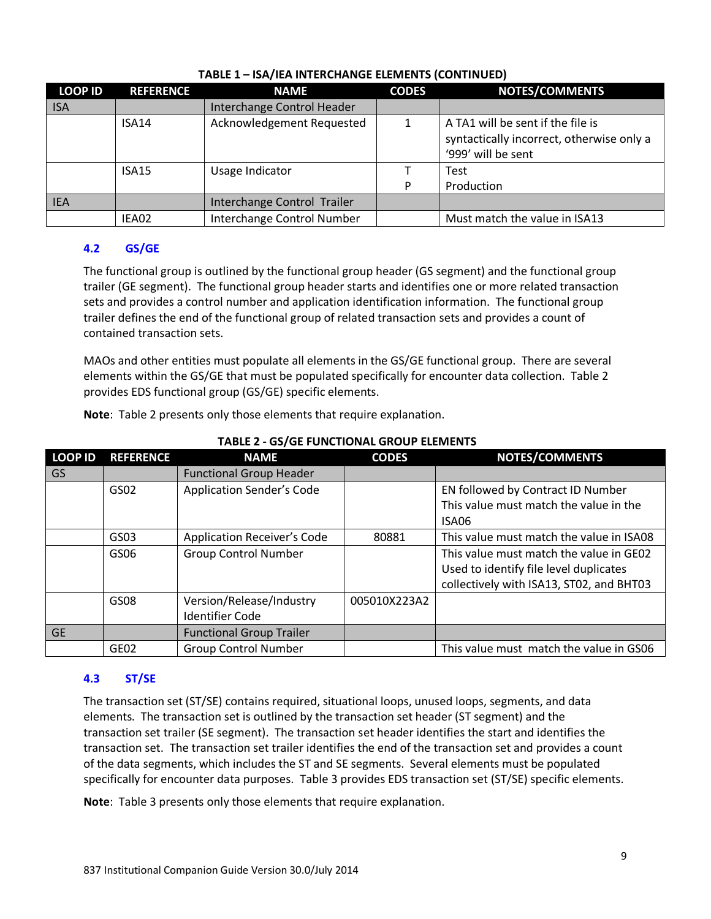| LOOP ID    | <b>REFERENCE</b> | <b>NAME</b>                 | <b>CODES</b> | <b>NOTES/COMMENTS</b>                                                                                |
|------------|------------------|-----------------------------|--------------|------------------------------------------------------------------------------------------------------|
| <b>ISA</b> |                  | Interchange Control Header  |              |                                                                                                      |
|            | <b>ISA14</b>     | Acknowledgement Requested   |              | A TA1 will be sent if the file is<br>syntactically incorrect, otherwise only a<br>'999' will be sent |
|            | <b>ISA15</b>     | Usage Indicator             |              | Test                                                                                                 |
|            |                  |                             | P            | Production                                                                                           |
| <b>IEA</b> |                  | Interchange Control Trailer |              |                                                                                                      |
|            | IEA02            | Interchange Control Number  |              | Must match the value in ISA13                                                                        |

# **TABLE 1 – ISA/IEA INTERCHANGE ELEMENTS (CONTINUED)**

# **4.2 GS/GE**

The functional group is outlined by the functional group header (GS segment) and the functional group trailer (GE segment). The functional group header starts and identifies one or more related transaction sets and provides a control number and application identification information. The functional group trailer defines the end of the functional group of related transaction sets and provides a count of contained transaction sets.

MAOs and other entities must populate all elements in the GS/GE functional group. There are several elements within the GS/GE that must be populated specifically for encounter data collection. Table 2 provides EDS functional group (GS/GE) specific elements.

**Note**: Table 2 presents only those elements that require explanation.

| <b>LOOP ID</b> | <b>REFERENCE</b> | <b>NAME</b>                        | <b>CODES</b> | <b>NOTES/COMMENTS</b>                    |
|----------------|------------------|------------------------------------|--------------|------------------------------------------|
| GS             |                  | <b>Functional Group Header</b>     |              |                                          |
|                | GS02             | <b>Application Sender's Code</b>   |              | EN followed by Contract ID Number        |
|                |                  |                                    |              | This value must match the value in the   |
|                |                  |                                    |              | ISA06                                    |
|                | GSO3             | <b>Application Receiver's Code</b> | 80881        | This value must match the value in ISA08 |
|                | GS06             | <b>Group Control Number</b>        |              | This value must match the value in GE02  |
|                |                  |                                    |              | Used to identify file level duplicates   |
|                |                  |                                    |              | collectively with ISA13, ST02, and BHT03 |
|                | GS08             | Version/Release/Industry           | 005010X223A2 |                                          |
|                |                  | <b>Identifier Code</b>             |              |                                          |
| <b>GE</b>      |                  | <b>Functional Group Trailer</b>    |              |                                          |
|                | GE <sub>02</sub> | <b>Group Control Number</b>        |              | This value must match the value in GS06  |

# **TABLE 2 - GS/GE FUNCTIONAL GROUP ELEMENTS**

# **4.3 ST/SE**

The transaction set (ST/SE) contains required, situational loops, unused loops, segments, and data elements. The transaction set is outlined by the transaction set header (ST segment) and the transaction set trailer (SE segment). The transaction set header identifies the start and identifies the transaction set. The transaction set trailer identifies the end of the transaction set and provides a count of the data segments, which includes the ST and SE segments. Several elements must be populated specifically for encounter data purposes. Table 3 provides EDS transaction set (ST/SE) specific elements.

**Note**: Table 3 presents only those elements that require explanation.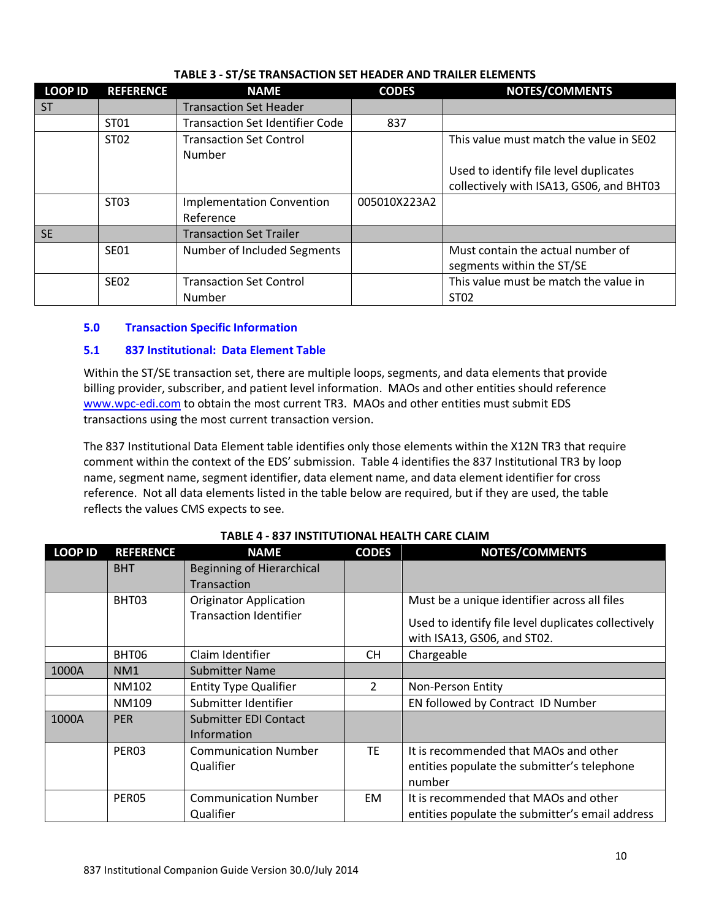| <b>LOOP ID</b> | <b>REFERENCE</b> | <b>NAME</b>                              | <b>CODES</b> | <b>NOTES/COMMENTS</b>                                          |
|----------------|------------------|------------------------------------------|--------------|----------------------------------------------------------------|
| <b>ST</b>      |                  | <b>Transaction Set Header</b>            |              |                                                                |
|                | ST01             | <b>Transaction Set Identifier Code</b>   | 837          |                                                                |
|                | ST02             | <b>Transaction Set Control</b><br>Number |              | This value must match the value in SE02                        |
|                |                  |                                          |              | Used to identify file level duplicates                         |
|                |                  |                                          |              | collectively with ISA13, GS06, and BHT03                       |
|                | ST03             | <b>Implementation Convention</b>         | 005010X223A2 |                                                                |
|                |                  | Reference                                |              |                                                                |
| <b>SE</b>      |                  | <b>Transaction Set Trailer</b>           |              |                                                                |
|                | <b>SE01</b>      | Number of Included Segments              |              | Must contain the actual number of<br>segments within the ST/SE |
|                | <b>SE02</b>      | <b>Transaction Set Control</b>           |              | This value must be match the value in                          |
|                |                  | Number                                   |              | ST02                                                           |

# **TABLE 3 - ST/SE TRANSACTION SET HEADER AND TRAILER ELEMENTS**

# **5.0 Transaction Specific Information**

# **5.1 837 Institutional: Data Element Table**

Within the ST/SE transaction set, there are multiple loops, segments, and data elements that provide billing provider, subscriber, and patient level information. MAOs and other entities should reference [www.wpc-edi.com](http://www.wpc-edi.com/) to obtain the most current TR3. MAOs and other entities must submit EDS transactions using the most current transaction version.

The 837 Institutional Data Element table identifies only those elements within the X12N TR3 that require comment within the context of the EDS' submission. Table 4 identifies the 837 Institutional TR3 by loop name, segment name, segment identifier, data element name, and data element identifier for cross reference. Not all data elements listed in the table below are required, but if they are used, the table reflects the values CMS expects to see.

| <b>LOOP ID</b> | <b>REFERENCE</b>  | <b>NAME</b>                                        | <b>CODES</b>   | NOTES/COMMENTS                                                                                 |
|----------------|-------------------|----------------------------------------------------|----------------|------------------------------------------------------------------------------------------------|
|                | <b>BHT</b>        | Beginning of Hierarchical                          |                |                                                                                                |
|                |                   | Transaction                                        |                |                                                                                                |
|                | BHT03             | <b>Originator Application</b>                      |                | Must be a unique identifier across all files                                                   |
|                |                   | <b>Transaction Identifier</b>                      |                | Used to identify file level duplicates collectively<br>with ISA13, GS06, and ST02.             |
|                | BHT06             | Claim Identifier                                   | CН             | Chargeable                                                                                     |
| 1000A          | NM <sub>1</sub>   | <b>Submitter Name</b>                              |                |                                                                                                |
|                | NM102             | <b>Entity Type Qualifier</b>                       | $\overline{2}$ | Non-Person Entity                                                                              |
|                | NM109             | Submitter Identifier                               |                | EN followed by Contract ID Number                                                              |
| 1000A          | <b>PER</b>        | <b>Submitter EDI Contact</b><br><b>Information</b> |                |                                                                                                |
|                | PER <sub>03</sub> | <b>Communication Number</b><br>Qualifier           | <b>TF</b>      | It is recommended that MAOs and other<br>entities populate the submitter's telephone<br>number |
|                | PER <sub>05</sub> | <b>Communication Number</b><br>Qualifier           | EM.            | It is recommended that MAOs and other<br>entities populate the submitter's email address       |

# **TABLE 4 - 837 INSTITUTIONAL HEALTH CARE CLAIM**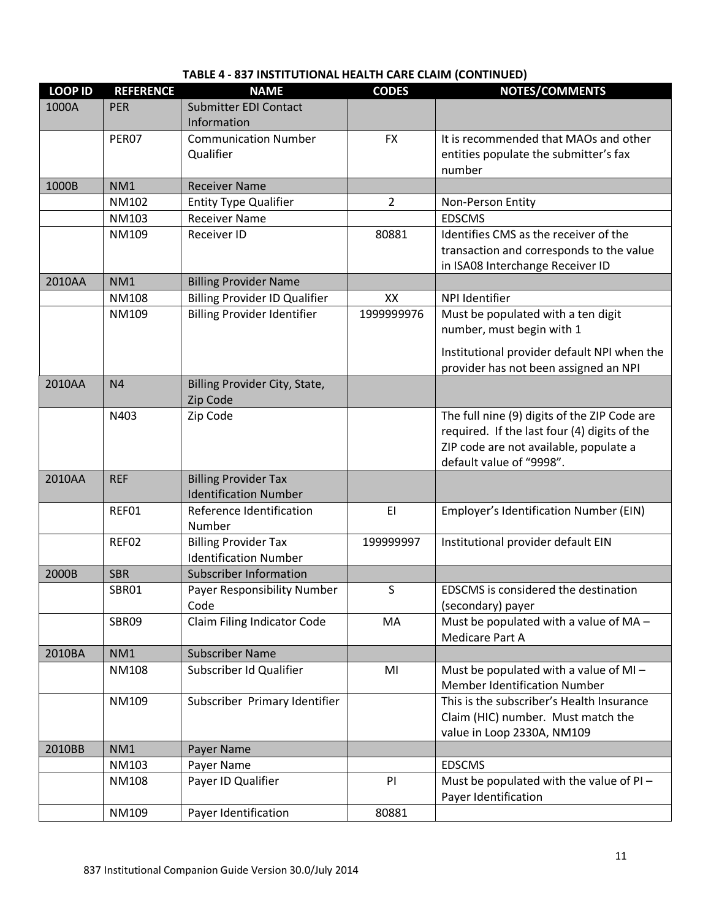| <b>LOOP ID</b> | <b>REFERENCE</b> | <b>NAME</b>                                                 | <b>CODES</b>   | <b>NOTES/COMMENTS</b>                                            |
|----------------|------------------|-------------------------------------------------------------|----------------|------------------------------------------------------------------|
| 1000A          | <b>PER</b>       | <b>Submitter EDI Contact</b><br>Information                 |                |                                                                  |
|                | PER07            | <b>Communication Number</b>                                 | <b>FX</b>      | It is recommended that MAOs and other                            |
|                |                  | Qualifier                                                   |                | entities populate the submitter's fax                            |
|                |                  |                                                             |                | number                                                           |
| 1000B          | NM1              | <b>Receiver Name</b>                                        |                |                                                                  |
|                | NM102            | <b>Entity Type Qualifier</b>                                | $\overline{2}$ | Non-Person Entity                                                |
|                | NM103            | <b>Receiver Name</b>                                        |                | <b>EDSCMS</b>                                                    |
|                | NM109            | <b>Receiver ID</b>                                          | 80881          | Identifies CMS as the receiver of the                            |
|                |                  |                                                             |                | transaction and corresponds to the value                         |
|                |                  |                                                             |                | in ISA08 Interchange Receiver ID                                 |
| 2010AA         | NM1              | <b>Billing Provider Name</b>                                |                |                                                                  |
|                | <b>NM108</b>     | <b>Billing Provider ID Qualifier</b>                        | XX             | NPI Identifier                                                   |
|                | NM109            | <b>Billing Provider Identifier</b>                          | 1999999976     | Must be populated with a ten digit<br>number, must begin with 1  |
|                |                  |                                                             |                | Institutional provider default NPI when the                      |
|                |                  |                                                             |                | provider has not been assigned an NPI                            |
| 2010AA         | N <sub>4</sub>   | Billing Provider City, State,<br>Zip Code                   |                |                                                                  |
|                | N403             | Zip Code                                                    |                | The full nine (9) digits of the ZIP Code are                     |
|                |                  |                                                             |                | required. If the last four (4) digits of the                     |
|                |                  |                                                             |                | ZIP code are not available, populate a                           |
|                |                  |                                                             |                | default value of "9998".                                         |
| 2010AA         | <b>REF</b>       | <b>Billing Provider Tax</b><br><b>Identification Number</b> |                |                                                                  |
|                | REF01            | Reference Identification<br>Number                          | EI             | Employer's Identification Number (EIN)                           |
|                | REF02            | <b>Billing Provider Tax</b>                                 | 199999997      | Institutional provider default EIN                               |
|                |                  | <b>Identification Number</b>                                |                |                                                                  |
| 2000B          | <b>SBR</b>       | <b>Subscriber Information</b>                               |                |                                                                  |
|                | SBR01            | Payer Responsibility Number                                 | S              | EDSCMS is considered the destination                             |
|                |                  | Code                                                        |                | (secondary) payer                                                |
|                | SBR09            | Claim Filing Indicator Code                                 | MA             | Must be populated with a value of MA -<br>Medicare Part A        |
| 2010BA         | NM1              | <b>Subscriber Name</b>                                      |                |                                                                  |
|                | <b>NM108</b>     | Subscriber Id Qualifier                                     | MI             | Must be populated with a value of $MI -$                         |
|                |                  |                                                             |                | <b>Member Identification Number</b>                              |
|                | NM109            | Subscriber Primary Identifier                               |                | This is the subscriber's Health Insurance                        |
|                |                  |                                                             |                | Claim (HIC) number. Must match the                               |
|                |                  |                                                             |                | value in Loop 2330A, NM109                                       |
| 2010BB         | NM1              | Payer Name                                                  |                |                                                                  |
|                | NM103            | Payer Name                                                  |                | <b>EDSCMS</b>                                                    |
|                | NM108            | Payer ID Qualifier                                          | PI             | Must be populated with the value of PI -<br>Payer Identification |
|                | NM109            | Payer Identification                                        | 80881          |                                                                  |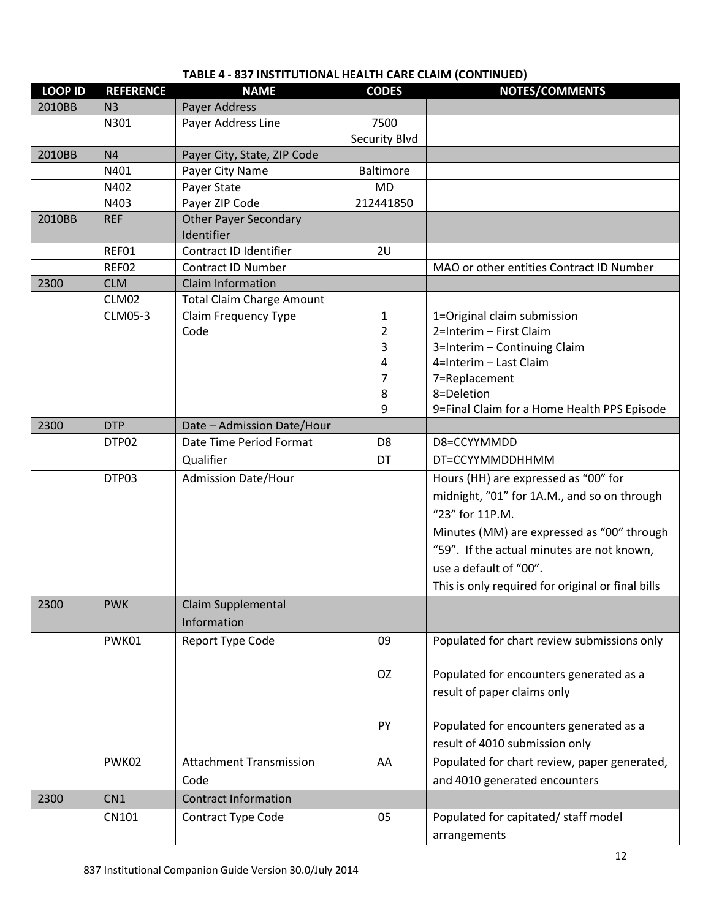| 2010BB<br>N <sub>3</sub><br>Payer Address<br>Payer Address Line<br>7500<br>N301<br>Security Blvd<br>N <sub>4</sub><br>Payer City, State, ZIP Code<br>2010BB<br>N401<br>Payer City Name<br><b>Baltimore</b><br><b>MD</b><br>N402<br>Payer State<br>N403<br>Payer ZIP Code<br>212441850<br><b>Other Payer Secondary</b><br>2010BB<br><b>REF</b><br>Identifier<br>Contract ID Identifier<br>REF01<br>2U<br>REF02<br>MAO or other entities Contract ID Number<br><b>Contract ID Number</b><br>2300<br><b>Claim Information</b><br><b>CLM</b><br>CLM02<br><b>Total Claim Charge Amount</b><br>1=Original claim submission<br>CLM05-3<br>$\mathbf{1}$<br>Claim Frequency Type<br>2=Interim - First Claim<br>Code<br>2<br>3<br>3=Interim - Continuing Claim<br>4=Interim - Last Claim<br>4<br>7<br>7=Replacement<br>8<br>8=Deletion<br>9<br>9=Final Claim for a Home Health PPS Episode<br>2300<br><b>DTP</b><br>Date - Admission Date/Hour<br>Date Time Period Format<br>D8=CCYYMMDD<br>DTP02<br>D <sub>8</sub><br>Qualifier<br>DT<br>DT=CCYYMMDDHHMM<br>DTP03<br><b>Admission Date/Hour</b><br>Hours (HH) are expressed as "00" for<br>midnight, "01" for 1A.M., and so on through<br>"23" for 11P.M.<br>Minutes (MM) are expressed as "00" through<br>"59". If the actual minutes are not known,<br>use a default of "00".<br>This is only required for original or final bills<br>2300<br><b>PWK</b><br>Claim Supplemental<br>Information<br>09<br>Populated for chart review submissions only<br>PWK01<br><b>Report Type Code</b><br>OZ<br>Populated for encounters generated as a<br>result of paper claims only<br>Populated for encounters generated as a<br>PY<br>result of 4010 submission only<br><b>Attachment Transmission</b><br>PWK02<br>Populated for chart review, paper generated,<br>AA<br>and 4010 generated encounters<br>Code<br>2300<br><b>Contract Information</b><br>CN <sub>1</sub><br>05<br>Populated for capitated/staff model<br>CN101<br>Contract Type Code<br>arrangements | <b>LOOP ID</b> | <b>REFERENCE</b> | <b>NAME</b> | <b>CODES</b> | NOTES/COMMENTS |
|----------------------------------------------------------------------------------------------------------------------------------------------------------------------------------------------------------------------------------------------------------------------------------------------------------------------------------------------------------------------------------------------------------------------------------------------------------------------------------------------------------------------------------------------------------------------------------------------------------------------------------------------------------------------------------------------------------------------------------------------------------------------------------------------------------------------------------------------------------------------------------------------------------------------------------------------------------------------------------------------------------------------------------------------------------------------------------------------------------------------------------------------------------------------------------------------------------------------------------------------------------------------------------------------------------------------------------------------------------------------------------------------------------------------------------------------------------------------------------------------------------------------------------------------------------------------------------------------------------------------------------------------------------------------------------------------------------------------------------------------------------------------------------------------------------------------------------------------------------------------------------------------------------------------------------------------------------------------------------------------------|----------------|------------------|-------------|--------------|----------------|
|                                                                                                                                                                                                                                                                                                                                                                                                                                                                                                                                                                                                                                                                                                                                                                                                                                                                                                                                                                                                                                                                                                                                                                                                                                                                                                                                                                                                                                                                                                                                                                                                                                                                                                                                                                                                                                                                                                                                                                                                    |                |                  |             |              |                |
|                                                                                                                                                                                                                                                                                                                                                                                                                                                                                                                                                                                                                                                                                                                                                                                                                                                                                                                                                                                                                                                                                                                                                                                                                                                                                                                                                                                                                                                                                                                                                                                                                                                                                                                                                                                                                                                                                                                                                                                                    |                |                  |             |              |                |
|                                                                                                                                                                                                                                                                                                                                                                                                                                                                                                                                                                                                                                                                                                                                                                                                                                                                                                                                                                                                                                                                                                                                                                                                                                                                                                                                                                                                                                                                                                                                                                                                                                                                                                                                                                                                                                                                                                                                                                                                    |                |                  |             |              |                |
|                                                                                                                                                                                                                                                                                                                                                                                                                                                                                                                                                                                                                                                                                                                                                                                                                                                                                                                                                                                                                                                                                                                                                                                                                                                                                                                                                                                                                                                                                                                                                                                                                                                                                                                                                                                                                                                                                                                                                                                                    |                |                  |             |              |                |
|                                                                                                                                                                                                                                                                                                                                                                                                                                                                                                                                                                                                                                                                                                                                                                                                                                                                                                                                                                                                                                                                                                                                                                                                                                                                                                                                                                                                                                                                                                                                                                                                                                                                                                                                                                                                                                                                                                                                                                                                    |                |                  |             |              |                |
|                                                                                                                                                                                                                                                                                                                                                                                                                                                                                                                                                                                                                                                                                                                                                                                                                                                                                                                                                                                                                                                                                                                                                                                                                                                                                                                                                                                                                                                                                                                                                                                                                                                                                                                                                                                                                                                                                                                                                                                                    |                |                  |             |              |                |
|                                                                                                                                                                                                                                                                                                                                                                                                                                                                                                                                                                                                                                                                                                                                                                                                                                                                                                                                                                                                                                                                                                                                                                                                                                                                                                                                                                                                                                                                                                                                                                                                                                                                                                                                                                                                                                                                                                                                                                                                    |                |                  |             |              |                |
|                                                                                                                                                                                                                                                                                                                                                                                                                                                                                                                                                                                                                                                                                                                                                                                                                                                                                                                                                                                                                                                                                                                                                                                                                                                                                                                                                                                                                                                                                                                                                                                                                                                                                                                                                                                                                                                                                                                                                                                                    |                |                  |             |              |                |
|                                                                                                                                                                                                                                                                                                                                                                                                                                                                                                                                                                                                                                                                                                                                                                                                                                                                                                                                                                                                                                                                                                                                                                                                                                                                                                                                                                                                                                                                                                                                                                                                                                                                                                                                                                                                                                                                                                                                                                                                    |                |                  |             |              |                |
|                                                                                                                                                                                                                                                                                                                                                                                                                                                                                                                                                                                                                                                                                                                                                                                                                                                                                                                                                                                                                                                                                                                                                                                                                                                                                                                                                                                                                                                                                                                                                                                                                                                                                                                                                                                                                                                                                                                                                                                                    |                |                  |             |              |                |
|                                                                                                                                                                                                                                                                                                                                                                                                                                                                                                                                                                                                                                                                                                                                                                                                                                                                                                                                                                                                                                                                                                                                                                                                                                                                                                                                                                                                                                                                                                                                                                                                                                                                                                                                                                                                                                                                                                                                                                                                    |                |                  |             |              |                |
|                                                                                                                                                                                                                                                                                                                                                                                                                                                                                                                                                                                                                                                                                                                                                                                                                                                                                                                                                                                                                                                                                                                                                                                                                                                                                                                                                                                                                                                                                                                                                                                                                                                                                                                                                                                                                                                                                                                                                                                                    |                |                  |             |              |                |
|                                                                                                                                                                                                                                                                                                                                                                                                                                                                                                                                                                                                                                                                                                                                                                                                                                                                                                                                                                                                                                                                                                                                                                                                                                                                                                                                                                                                                                                                                                                                                                                                                                                                                                                                                                                                                                                                                                                                                                                                    |                |                  |             |              |                |
|                                                                                                                                                                                                                                                                                                                                                                                                                                                                                                                                                                                                                                                                                                                                                                                                                                                                                                                                                                                                                                                                                                                                                                                                                                                                                                                                                                                                                                                                                                                                                                                                                                                                                                                                                                                                                                                                                                                                                                                                    |                |                  |             |              |                |
|                                                                                                                                                                                                                                                                                                                                                                                                                                                                                                                                                                                                                                                                                                                                                                                                                                                                                                                                                                                                                                                                                                                                                                                                                                                                                                                                                                                                                                                                                                                                                                                                                                                                                                                                                                                                                                                                                                                                                                                                    |                |                  |             |              |                |
|                                                                                                                                                                                                                                                                                                                                                                                                                                                                                                                                                                                                                                                                                                                                                                                                                                                                                                                                                                                                                                                                                                                                                                                                                                                                                                                                                                                                                                                                                                                                                                                                                                                                                                                                                                                                                                                                                                                                                                                                    |                |                  |             |              |                |
|                                                                                                                                                                                                                                                                                                                                                                                                                                                                                                                                                                                                                                                                                                                                                                                                                                                                                                                                                                                                                                                                                                                                                                                                                                                                                                                                                                                                                                                                                                                                                                                                                                                                                                                                                                                                                                                                                                                                                                                                    |                |                  |             |              |                |
|                                                                                                                                                                                                                                                                                                                                                                                                                                                                                                                                                                                                                                                                                                                                                                                                                                                                                                                                                                                                                                                                                                                                                                                                                                                                                                                                                                                                                                                                                                                                                                                                                                                                                                                                                                                                                                                                                                                                                                                                    |                |                  |             |              |                |
|                                                                                                                                                                                                                                                                                                                                                                                                                                                                                                                                                                                                                                                                                                                                                                                                                                                                                                                                                                                                                                                                                                                                                                                                                                                                                                                                                                                                                                                                                                                                                                                                                                                                                                                                                                                                                                                                                                                                                                                                    |                |                  |             |              |                |
|                                                                                                                                                                                                                                                                                                                                                                                                                                                                                                                                                                                                                                                                                                                                                                                                                                                                                                                                                                                                                                                                                                                                                                                                                                                                                                                                                                                                                                                                                                                                                                                                                                                                                                                                                                                                                                                                                                                                                                                                    |                |                  |             |              |                |
|                                                                                                                                                                                                                                                                                                                                                                                                                                                                                                                                                                                                                                                                                                                                                                                                                                                                                                                                                                                                                                                                                                                                                                                                                                                                                                                                                                                                                                                                                                                                                                                                                                                                                                                                                                                                                                                                                                                                                                                                    |                |                  |             |              |                |
|                                                                                                                                                                                                                                                                                                                                                                                                                                                                                                                                                                                                                                                                                                                                                                                                                                                                                                                                                                                                                                                                                                                                                                                                                                                                                                                                                                                                                                                                                                                                                                                                                                                                                                                                                                                                                                                                                                                                                                                                    |                |                  |             |              |                |
|                                                                                                                                                                                                                                                                                                                                                                                                                                                                                                                                                                                                                                                                                                                                                                                                                                                                                                                                                                                                                                                                                                                                                                                                                                                                                                                                                                                                                                                                                                                                                                                                                                                                                                                                                                                                                                                                                                                                                                                                    |                |                  |             |              |                |
|                                                                                                                                                                                                                                                                                                                                                                                                                                                                                                                                                                                                                                                                                                                                                                                                                                                                                                                                                                                                                                                                                                                                                                                                                                                                                                                                                                                                                                                                                                                                                                                                                                                                                                                                                                                                                                                                                                                                                                                                    |                |                  |             |              |                |
|                                                                                                                                                                                                                                                                                                                                                                                                                                                                                                                                                                                                                                                                                                                                                                                                                                                                                                                                                                                                                                                                                                                                                                                                                                                                                                                                                                                                                                                                                                                                                                                                                                                                                                                                                                                                                                                                                                                                                                                                    |                |                  |             |              |                |
|                                                                                                                                                                                                                                                                                                                                                                                                                                                                                                                                                                                                                                                                                                                                                                                                                                                                                                                                                                                                                                                                                                                                                                                                                                                                                                                                                                                                                                                                                                                                                                                                                                                                                                                                                                                                                                                                                                                                                                                                    |                |                  |             |              |                |
|                                                                                                                                                                                                                                                                                                                                                                                                                                                                                                                                                                                                                                                                                                                                                                                                                                                                                                                                                                                                                                                                                                                                                                                                                                                                                                                                                                                                                                                                                                                                                                                                                                                                                                                                                                                                                                                                                                                                                                                                    |                |                  |             |              |                |
|                                                                                                                                                                                                                                                                                                                                                                                                                                                                                                                                                                                                                                                                                                                                                                                                                                                                                                                                                                                                                                                                                                                                                                                                                                                                                                                                                                                                                                                                                                                                                                                                                                                                                                                                                                                                                                                                                                                                                                                                    |                |                  |             |              |                |
|                                                                                                                                                                                                                                                                                                                                                                                                                                                                                                                                                                                                                                                                                                                                                                                                                                                                                                                                                                                                                                                                                                                                                                                                                                                                                                                                                                                                                                                                                                                                                                                                                                                                                                                                                                                                                                                                                                                                                                                                    |                |                  |             |              |                |
|                                                                                                                                                                                                                                                                                                                                                                                                                                                                                                                                                                                                                                                                                                                                                                                                                                                                                                                                                                                                                                                                                                                                                                                                                                                                                                                                                                                                                                                                                                                                                                                                                                                                                                                                                                                                                                                                                                                                                                                                    |                |                  |             |              |                |
|                                                                                                                                                                                                                                                                                                                                                                                                                                                                                                                                                                                                                                                                                                                                                                                                                                                                                                                                                                                                                                                                                                                                                                                                                                                                                                                                                                                                                                                                                                                                                                                                                                                                                                                                                                                                                                                                                                                                                                                                    |                |                  |             |              |                |
|                                                                                                                                                                                                                                                                                                                                                                                                                                                                                                                                                                                                                                                                                                                                                                                                                                                                                                                                                                                                                                                                                                                                                                                                                                                                                                                                                                                                                                                                                                                                                                                                                                                                                                                                                                                                                                                                                                                                                                                                    |                |                  |             |              |                |
|                                                                                                                                                                                                                                                                                                                                                                                                                                                                                                                                                                                                                                                                                                                                                                                                                                                                                                                                                                                                                                                                                                                                                                                                                                                                                                                                                                                                                                                                                                                                                                                                                                                                                                                                                                                                                                                                                                                                                                                                    |                |                  |             |              |                |
|                                                                                                                                                                                                                                                                                                                                                                                                                                                                                                                                                                                                                                                                                                                                                                                                                                                                                                                                                                                                                                                                                                                                                                                                                                                                                                                                                                                                                                                                                                                                                                                                                                                                                                                                                                                                                                                                                                                                                                                                    |                |                  |             |              |                |
|                                                                                                                                                                                                                                                                                                                                                                                                                                                                                                                                                                                                                                                                                                                                                                                                                                                                                                                                                                                                                                                                                                                                                                                                                                                                                                                                                                                                                                                                                                                                                                                                                                                                                                                                                                                                                                                                                                                                                                                                    |                |                  |             |              |                |
|                                                                                                                                                                                                                                                                                                                                                                                                                                                                                                                                                                                                                                                                                                                                                                                                                                                                                                                                                                                                                                                                                                                                                                                                                                                                                                                                                                                                                                                                                                                                                                                                                                                                                                                                                                                                                                                                                                                                                                                                    |                |                  |             |              |                |
|                                                                                                                                                                                                                                                                                                                                                                                                                                                                                                                                                                                                                                                                                                                                                                                                                                                                                                                                                                                                                                                                                                                                                                                                                                                                                                                                                                                                                                                                                                                                                                                                                                                                                                                                                                                                                                                                                                                                                                                                    |                |                  |             |              |                |
|                                                                                                                                                                                                                                                                                                                                                                                                                                                                                                                                                                                                                                                                                                                                                                                                                                                                                                                                                                                                                                                                                                                                                                                                                                                                                                                                                                                                                                                                                                                                                                                                                                                                                                                                                                                                                                                                                                                                                                                                    |                |                  |             |              |                |
|                                                                                                                                                                                                                                                                                                                                                                                                                                                                                                                                                                                                                                                                                                                                                                                                                                                                                                                                                                                                                                                                                                                                                                                                                                                                                                                                                                                                                                                                                                                                                                                                                                                                                                                                                                                                                                                                                                                                                                                                    |                |                  |             |              |                |
|                                                                                                                                                                                                                                                                                                                                                                                                                                                                                                                                                                                                                                                                                                                                                                                                                                                                                                                                                                                                                                                                                                                                                                                                                                                                                                                                                                                                                                                                                                                                                                                                                                                                                                                                                                                                                                                                                                                                                                                                    |                |                  |             |              |                |
|                                                                                                                                                                                                                                                                                                                                                                                                                                                                                                                                                                                                                                                                                                                                                                                                                                                                                                                                                                                                                                                                                                                                                                                                                                                                                                                                                                                                                                                                                                                                                                                                                                                                                                                                                                                                                                                                                                                                                                                                    |                |                  |             |              |                |
|                                                                                                                                                                                                                                                                                                                                                                                                                                                                                                                                                                                                                                                                                                                                                                                                                                                                                                                                                                                                                                                                                                                                                                                                                                                                                                                                                                                                                                                                                                                                                                                                                                                                                                                                                                                                                                                                                                                                                                                                    |                |                  |             |              |                |
|                                                                                                                                                                                                                                                                                                                                                                                                                                                                                                                                                                                                                                                                                                                                                                                                                                                                                                                                                                                                                                                                                                                                                                                                                                                                                                                                                                                                                                                                                                                                                                                                                                                                                                                                                                                                                                                                                                                                                                                                    |                |                  |             |              |                |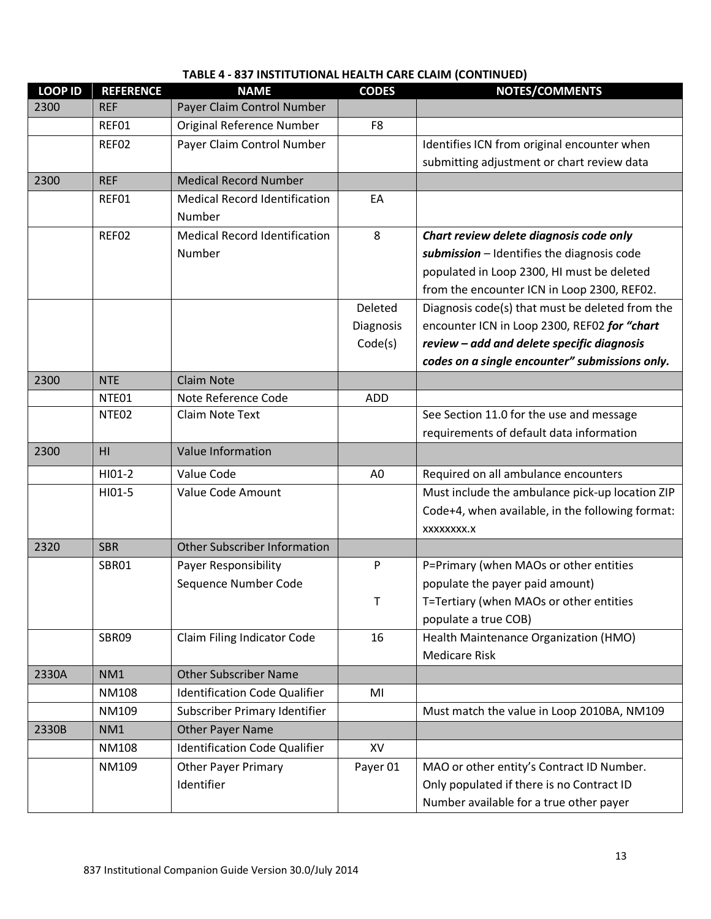| <b>LOOP ID</b> | <b>REFERENCE</b>  | <b>NAME</b>                          | <b>CODES</b>   | NOTES/COMMENTS                                   |
|----------------|-------------------|--------------------------------------|----------------|--------------------------------------------------|
| 2300           | <b>REF</b>        | Payer Claim Control Number           |                |                                                  |
|                | REF01             | Original Reference Number            | F <sub>8</sub> |                                                  |
|                | REF02             | Payer Claim Control Number           |                | Identifies ICN from original encounter when      |
|                |                   |                                      |                | submitting adjustment or chart review data       |
| 2300           | <b>REF</b>        | <b>Medical Record Number</b>         |                |                                                  |
|                | REF01             | <b>Medical Record Identification</b> | EA             |                                                  |
|                |                   | Number                               |                |                                                  |
|                | REF02             | <b>Medical Record Identification</b> | 8              | Chart review delete diagnosis code only          |
|                |                   | Number                               |                | submission - Identifies the diagnosis code       |
|                |                   |                                      |                | populated in Loop 2300, HI must be deleted       |
|                |                   |                                      |                | from the encounter ICN in Loop 2300, REF02.      |
|                |                   |                                      | Deleted        | Diagnosis code(s) that must be deleted from the  |
|                |                   |                                      | Diagnosis      | encounter ICN in Loop 2300, REF02 for "chart     |
|                |                   |                                      | Code(s)        | review - add and delete specific diagnosis       |
|                |                   |                                      |                | codes on a single encounter" submissions only.   |
| 2300           | <b>NTE</b>        | <b>Claim Note</b>                    |                |                                                  |
|                | NTE01             | Note Reference Code                  | <b>ADD</b>     |                                                  |
|                | NTE <sub>02</sub> | Claim Note Text                      |                | See Section 11.0 for the use and message         |
|                |                   |                                      |                | requirements of default data information         |
| 2300           | H <sub>l</sub>    | Value Information                    |                |                                                  |
|                | HI01-2            | Value Code                           | A <sub>0</sub> | Required on all ambulance encounters             |
|                | HI01-5            | Value Code Amount                    |                | Must include the ambulance pick-up location ZIP  |
|                |                   |                                      |                | Code+4, when available, in the following format: |
|                |                   |                                      |                | XXXXXXXX.X                                       |
| 2320           | <b>SBR</b>        | <b>Other Subscriber Information</b>  |                |                                                  |
|                | SBR01             | Payer Responsibility                 | P              | P=Primary (when MAOs or other entities           |
|                |                   | Sequence Number Code                 |                | populate the payer paid amount)                  |
|                |                   |                                      | T.             | T=Tertiary (when MAOs or other entities          |
|                |                   |                                      |                | populate a true COB)                             |
|                | SBR09             | Claim Filing Indicator Code          | 16             | Health Maintenance Organization (HMO)            |
|                |                   |                                      |                | <b>Medicare Risk</b>                             |
| 2330A          | NM1               | <b>Other Subscriber Name</b>         |                |                                                  |
|                | <b>NM108</b>      | <b>Identification Code Qualifier</b> | MI             |                                                  |
|                | NM109             | Subscriber Primary Identifier        |                | Must match the value in Loop 2010BA, NM109       |
| 2330B          | NM1               | Other Payer Name                     |                |                                                  |
|                | <b>NM108</b>      | <b>Identification Code Qualifier</b> | XV             |                                                  |
|                | NM109             | <b>Other Payer Primary</b>           | Payer 01       | MAO or other entity's Contract ID Number.        |
|                |                   | Identifier                           |                | Only populated if there is no Contract ID        |
|                |                   |                                      |                | Number available for a true other payer          |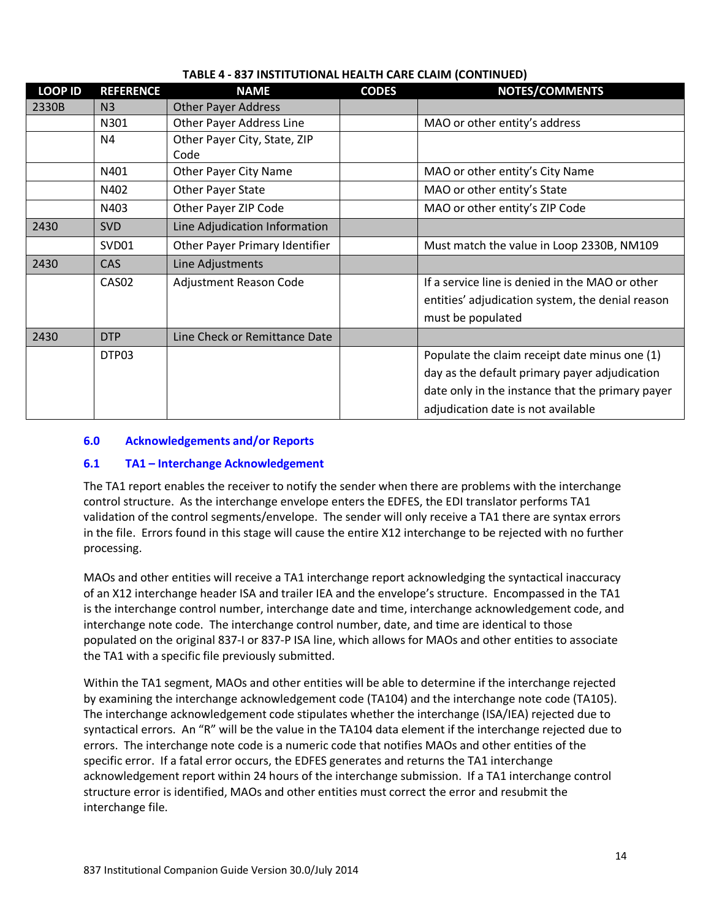| <b>LOOP ID</b> | <b>REFERENCE</b>  | <b>NAME</b>                          | <b>CODES</b> | <b>NOTES/COMMENTS</b>                            |
|----------------|-------------------|--------------------------------------|--------------|--------------------------------------------------|
| 2330B          | N <sub>3</sub>    | <b>Other Payer Address</b>           |              |                                                  |
|                | N301              | <b>Other Payer Address Line</b>      |              | MAO or other entity's address                    |
|                | N4                | Other Payer City, State, ZIP<br>Code |              |                                                  |
|                | N401              | Other Payer City Name                |              | MAO or other entity's City Name                  |
|                | N402              | Other Payer State                    |              | MAO or other entity's State                      |
|                | N403              | Other Payer ZIP Code                 |              | MAO or other entity's ZIP Code                   |
| 2430           | <b>SVD</b>        | Line Adjudication Information        |              |                                                  |
|                | SVD01             | Other Payer Primary Identifier       |              | Must match the value in Loop 2330B, NM109        |
| 2430           | <b>CAS</b>        | Line Adjustments                     |              |                                                  |
|                | CAS <sub>02</sub> | Adjustment Reason Code               |              | If a service line is denied in the MAO or other  |
|                |                   |                                      |              | entities' adjudication system, the denial reason |
|                |                   |                                      |              | must be populated                                |
| 2430           | <b>DTP</b>        | Line Check or Remittance Date        |              |                                                  |
|                | DTP03             |                                      |              | Populate the claim receipt date minus one (1)    |
|                |                   |                                      |              | day as the default primary payer adjudication    |
|                |                   |                                      |              | date only in the instance that the primary payer |
|                |                   |                                      |              | adjudication date is not available               |

## **6.0 Acknowledgements and/or Reports**

#### **6.1 TA1 – Interchange Acknowledgement**

The TA1 report enables the receiver to notify the sender when there are problems with the interchange control structure. As the interchange envelope enters the EDFES, the EDI translator performs TA1 validation of the control segments/envelope. The sender will only receive a TA1 there are syntax errors in the file. Errors found in this stage will cause the entire X12 interchange to be rejected with no further processing.

MAOs and other entities will receive a TA1 interchange report acknowledging the syntactical inaccuracy of an X12 interchange header ISA and trailer IEA and the envelope's structure. Encompassed in the TA1 is the interchange control number, interchange date and time, interchange acknowledgement code, and interchange note code. The interchange control number, date, and time are identical to those populated on the original 837-I or 837-P ISA line, which allows for MAOs and other entities to associate the TA1 with a specific file previously submitted.

Within the TA1 segment, MAOs and other entities will be able to determine if the interchange rejected by examining the interchange acknowledgement code (TA104) and the interchange note code (TA105). The interchange acknowledgement code stipulates whether the interchange (ISA/IEA) rejected due to syntactical errors. An "R" will be the value in the TA104 data element if the interchange rejected due to errors. The interchange note code is a numeric code that notifies MAOs and other entities of the specific error. If a fatal error occurs, the EDFES generates and returns the TA1 interchange acknowledgement report within 24 hours of the interchange submission. If a TA1 interchange control structure error is identified, MAOs and other entities must correct the error and resubmit the interchange file.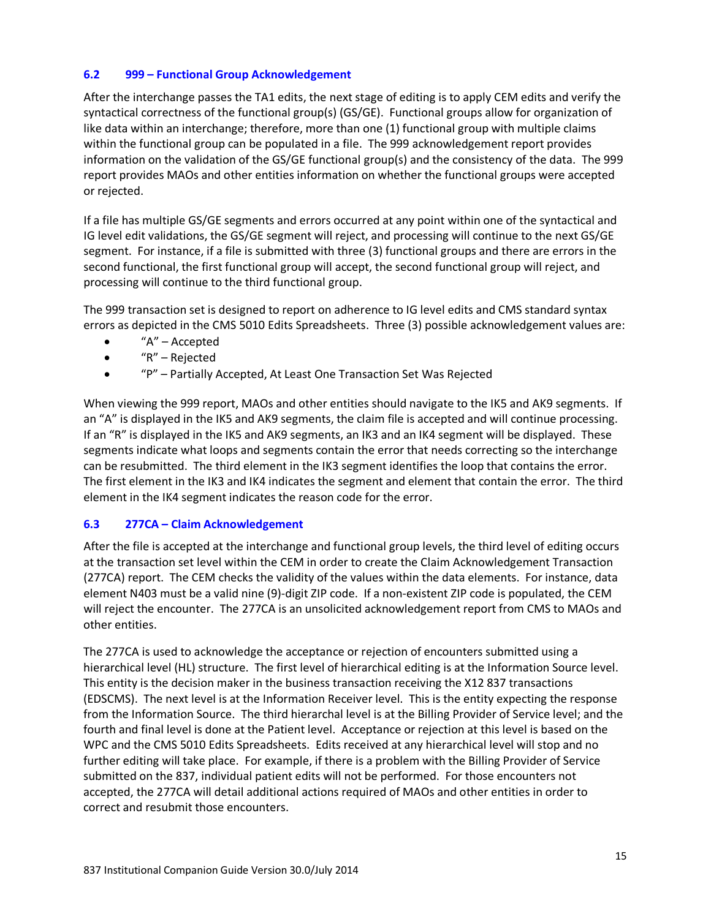## **6.2 999 – Functional Group Acknowledgement**

After the interchange passes the TA1 edits, the next stage of editing is to apply CEM edits and verify the syntactical correctness of the functional group(s) (GS/GE). Functional groups allow for organization of like data within an interchange; therefore, more than one (1) functional group with multiple claims within the functional group can be populated in a file. The 999 acknowledgement report provides information on the validation of the GS/GE functional group(s) and the consistency of the data. The 999 report provides MAOs and other entities information on whether the functional groups were accepted or rejected.

If a file has multiple GS/GE segments and errors occurred at any point within one of the syntactical and IG level edit validations, the GS/GE segment will reject, and processing will continue to the next GS/GE segment. For instance, if a file is submitted with three (3) functional groups and there are errors in the second functional, the first functional group will accept, the second functional group will reject, and processing will continue to the third functional group.

The 999 transaction set is designed to report on adherence to IG level edits and CMS standard syntax errors as depicted in the CMS 5010 Edits Spreadsheets. Three (3) possible acknowledgement values are:

- $\bullet$  "A" Accepted
- "R" Rejected
- "P" Partially Accepted, At Least One Transaction Set Was Rejected

When viewing the 999 report, MAOs and other entities should navigate to the IK5 and AK9 segments. If an "A" is displayed in the IK5 and AK9 segments, the claim file is accepted and will continue processing. If an "R" is displayed in the IK5 and AK9 segments, an IK3 and an IK4 segment will be displayed. These segments indicate what loops and segments contain the error that needs correcting so the interchange can be resubmitted. The third element in the IK3 segment identifies the loop that contains the error. The first element in the IK3 and IK4 indicates the segment and element that contain the error. The third element in the IK4 segment indicates the reason code for the error.

#### **6.3 277CA – Claim Acknowledgement**

After the file is accepted at the interchange and functional group levels, the third level of editing occurs at the transaction set level within the CEM in order to create the Claim Acknowledgement Transaction (277CA) report. The CEM checks the validity of the values within the data elements. For instance, data element N403 must be a valid nine (9)-digit ZIP code. If a non-existent ZIP code is populated, the CEM will reject the encounter. The 277CA is an unsolicited acknowledgement report from CMS to MAOs and other entities.

The 277CA is used to acknowledge the acceptance or rejection of encounters submitted using a hierarchical level (HL) structure. The first level of hierarchical editing is at the Information Source level. This entity is the decision maker in the business transaction receiving the X12 837 transactions (EDSCMS). The next level is at the Information Receiver level. This is the entity expecting the response from the Information Source. The third hierarchal level is at the Billing Provider of Service level; and the fourth and final level is done at the Patient level. Acceptance or rejection at this level is based on the WPC and the CMS 5010 Edits Spreadsheets. Edits received at any hierarchical level will stop and no further editing will take place. For example, if there is a problem with the Billing Provider of Service submitted on the 837, individual patient edits will not be performed. For those encounters not accepted, the 277CA will detail additional actions required of MAOs and other entities in order to correct and resubmit those encounters.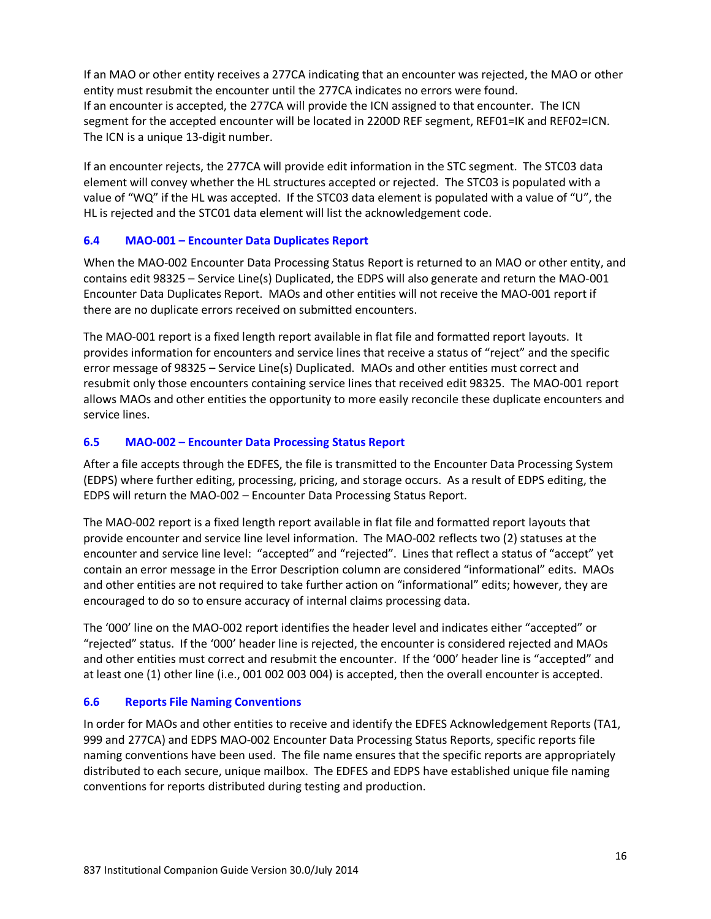If an MAO or other entity receives a 277CA indicating that an encounter was rejected, the MAO or other entity must resubmit the encounter until the 277CA indicates no errors were found. If an encounter is accepted, the 277CA will provide the ICN assigned to that encounter. The ICN segment for the accepted encounter will be located in 2200D REF segment, REF01=IK and REF02=ICN. The ICN is a unique 13-digit number.

If an encounter rejects, the 277CA will provide edit information in the STC segment. The STC03 data element will convey whether the HL structures accepted or rejected. The STC03 is populated with a value of "WQ" if the HL was accepted. If the STC03 data element is populated with a value of "U", the HL is rejected and the STC01 data element will list the acknowledgement code.

## **6.4 MAO-001 – Encounter Data Duplicates Report**

When the MAO-002 Encounter Data Processing Status Report is returned to an MAO or other entity, and contains edit 98325 – Service Line(s) Duplicated, the EDPS will also generate and return the MAO-001 Encounter Data Duplicates Report. MAOs and other entities will not receive the MAO-001 report if there are no duplicate errors received on submitted encounters.

The MAO-001 report is a fixed length report available in flat file and formatted report layouts. It provides information for encounters and service lines that receive a status of "reject" and the specific error message of 98325 – Service Line(s) Duplicated. MAOs and other entities must correct and resubmit only those encounters containing service lines that received edit 98325. The MAO-001 report allows MAOs and other entities the opportunity to more easily reconcile these duplicate encounters and service lines.

## **6.5 MAO-002 – Encounter Data Processing Status Report**

After a file accepts through the EDFES, the file is transmitted to the Encounter Data Processing System (EDPS) where further editing, processing, pricing, and storage occurs. As a result of EDPS editing, the EDPS will return the MAO-002 – Encounter Data Processing Status Report.

The MAO-002 report is a fixed length report available in flat file and formatted report layouts that provide encounter and service line level information. The MAO-002 reflects two (2) statuses at the encounter and service line level: "accepted" and "rejected". Lines that reflect a status of "accept" yet contain an error message in the Error Description column are considered "informational" edits. MAOs and other entities are not required to take further action on "informational" edits; however, they are encouraged to do so to ensure accuracy of internal claims processing data.

The '000' line on the MAO-002 report identifies the header level and indicates either "accepted" or "rejected" status. If the '000' header line is rejected, the encounter is considered rejected and MAOs and other entities must correct and resubmit the encounter. If the '000' header line is "accepted" and at least one (1) other line (i.e., 001 002 003 004) is accepted, then the overall encounter is accepted.

#### **6.6 Reports File Naming Conventions**

In order for MAOs and other entities to receive and identify the EDFES Acknowledgement Reports (TA1, 999 and 277CA) and EDPS MAO-002 Encounter Data Processing Status Reports, specific reports file naming conventions have been used. The file name ensures that the specific reports are appropriately distributed to each secure, unique mailbox. The EDFES and EDPS have established unique file naming conventions for reports distributed during testing and production.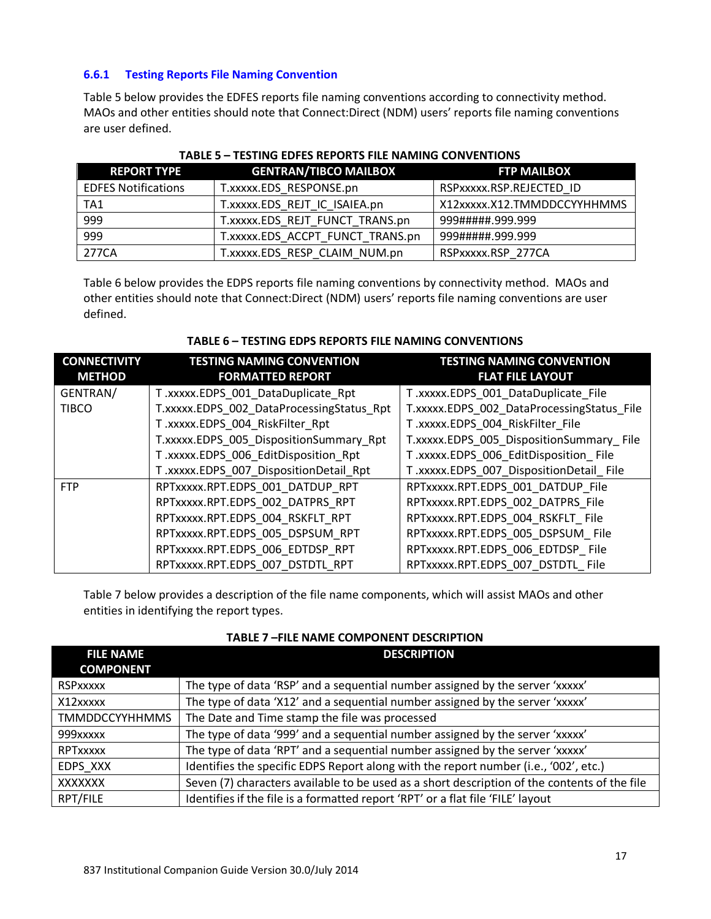## **6.6.1 Testing Reports File Naming Convention**

Table 5 below provides the EDFES reports file naming conventions according to connectivity method. MAOs and other entities should note that Connect:Direct (NDM) users' reports file naming conventions are user defined.

| <b>REPORT TYPE</b>         | <b>GENTRAN/TIBCO MAILBOX</b>     | <b>FTP MAILBOX</b>          |
|----------------------------|----------------------------------|-----------------------------|
| <b>EDFES Notifications</b> | T.xxxxx.EDS RESPONSE.pn          | RSPXXXXX.RSP.REJECTED ID    |
| TA1                        | T.xxxxx.EDS REJT IC ISAIEA.pn    | X12xxxxx.X12.TMMDDCCYYHHMMS |
| 999                        | T.xxxxx.EDS REJT FUNCT TRANS.pn  | 999#####.999.999            |
| 999                        | T.xxxxx.EDS ACCPT FUNCT TRANS.pn | 999#####.999.999            |
| 277CA                      | T.xxxxx.EDS RESP CLAIM NUM.pn    | RSPxxxxx.RSP 277CA          |

|--|

Table 6 below provides the EDPS reports file naming conventions by connectivity method. MAOs and other entities should note that Connect:Direct (NDM) users' reports file naming conventions are user defined.

| TABLE 6 – TESTING EDPS REPORTS FILE NAMING CONVENTIONS |  |
|--------------------------------------------------------|--|
|                                                        |  |

**TABLE 6 – TESTING EDPS REPORTS FILE NAMING CONVENTIONS**

| <b>CONNECTIVITY</b><br><b>METHOD</b> | <b>TESTING NAMING CONVENTION</b><br><b>FORMATTED REPORT</b> | <b>TESTING NAMING CONVENTION</b><br><b>FLAT FILE LAYOUT</b> |
|--------------------------------------|-------------------------------------------------------------|-------------------------------------------------------------|
| GENTRAN/                             | T.xxxxx.EDPS 001 DataDuplicate Rpt                          | T.xxxxx.EDPS 001 DataDuplicate File                         |
| <b>TIBCO</b>                         | T.xxxxx.EDPS 002 DataProcessingStatus Rpt                   | T.xxxxx.EDPS_002_DataProcessingStatus File                  |
|                                      | T.xxxxx.EDPS 004 RiskFilter Rpt                             | T.xxxxx.EDPS 004 RiskFilter File                            |
|                                      | T.xxxxx.EDPS 005 DispositionSummary Rpt                     | T.xxxxx.EDPS 005 DispositionSummary File                    |
|                                      | T.xxxxx.EDPS 006 EditDisposition Rpt                        | T.xxxxx.EDPS 006 EditDisposition File                       |
|                                      | T.xxxxx.EDPS 007 DispositionDetail Rpt                      | T.xxxxx.EDPS 007 DispositionDetail File                     |
| <b>FTP</b>                           | RPTxxxxx.RPT.EDPS 001 DATDUP RPT                            | RPTxxxxx.RPT.EDPS 001 DATDUP File                           |
|                                      | RPTxxxxx.RPT.EDPS 002 DATPRS RPT                            | RPTxxxxx.RPT.EDPS 002 DATPRS File                           |
|                                      | RPTxxxxx.RPT.EDPS_004_RSKFLT_RPT                            | RPTxxxxx.RPT.EDPS 004 RSKFLT File                           |
|                                      | RPTxxxxx.RPT.EDPS 005 DSPSUM RPT                            | RPTxxxxx.RPT.EDPS 005 DSPSUM File                           |
|                                      | RPTxxxxx.RPT.EDPS 006 EDTDSP RPT                            | RPTxxxxx.RPT.EDPS 006 EDTDSP File                           |
|                                      | RPTxxxxx.RPT.EDPS 007 DSTDTL RPT                            | RPTxxxxx.RPT.EDPS 007 DSTDTL File                           |

Table 7 below provides a description of the file name components, which will assist MAOs and other entities in identifying the report types.

| <b>FILE NAME</b>      | <b>DESCRIPTION</b>                                                                           |
|-----------------------|----------------------------------------------------------------------------------------------|
| <b>COMPONENT</b>      |                                                                                              |
| <b>RSPxxxxx</b>       | The type of data 'RSP' and a sequential number assigned by the server 'xxxxx'                |
| X12xxxxx              | The type of data 'X12' and a sequential number assigned by the server 'xxxxx'                |
| <b>TMMDDCCYYHHMMS</b> | The Date and Time stamp the file was processed                                               |
| 999xxxxx              | The type of data '999' and a sequential number assigned by the server 'xxxxx'                |
| <b>RPTxxxxx</b>       | The type of data 'RPT' and a sequential number assigned by the server 'xxxxx'                |
| EDPS XXX              | Identifies the specific EDPS Report along with the report number (i.e., '002', etc.)         |
| <b>XXXXXXX</b>        | Seven (7) characters available to be used as a short description of the contents of the file |
| RPT/FILE              | Identifies if the file is a formatted report 'RPT' or a flat file 'FILE' layout              |

#### **TABLE 7 –FILE NAME COMPONENT DESCRIPTION**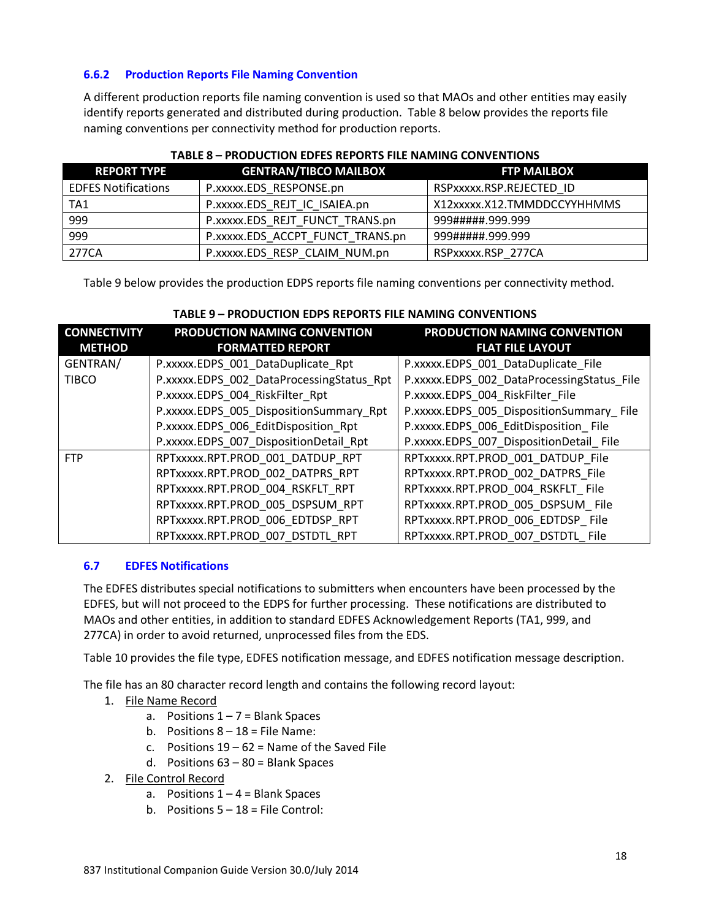## **6.6.2 Production Reports File Naming Convention**

A different production reports file naming convention is used so that MAOs and other entities may easily identify reports generated and distributed during production. Table 8 below provides the reports file naming conventions per connectivity method for production reports.

| <b>REPORT TYPE</b>         | <b>GENTRAN/TIBCO MAILBOX</b>     | <b>FTP MAILBOX</b>          |  |
|----------------------------|----------------------------------|-----------------------------|--|
| <b>EDFES Notifications</b> | P.xxxxx.EDS RESPONSE.pn          | RSPXXXXX.RSP.REJECTED ID    |  |
| TA1                        | P.xxxxx.EDS REJT IC ISAIEA.pn    | X12xxxxx.X12.TMMDDCCYYHHMMS |  |
| 999                        | P.xxxxx.EDS REJT FUNCT TRANS.pn  | 999.999.999.999             |  |
| 999                        | P.xxxxx.EDS ACCPT FUNCT TRANS.pn | 999#####.999.999            |  |
| 277CA                      | P.xxxxx.EDS RESP CLAIM NUM.pn    | RSPxxxxx.RSP 277CA          |  |

## **TABLE 8 – PRODUCTION EDFES REPORTS FILE NAMING CONVENTIONS**

Table 9 below provides the production EDPS reports file naming conventions per connectivity method.

| <b>CONNECTIVITY</b> | PRODUCTION NAMING CONVENTION              | PRODUCTION NAMING CONVENTION               |
|---------------------|-------------------------------------------|--------------------------------------------|
| <b>METHOD</b>       | <b>FORMATTED REPORT</b>                   | <b>FLAT FILE LAYOUT</b>                    |
| GENTRAN/            | P.xxxxx.EDPS 001 DataDuplicate Rpt        | P.xxxxx.EDPS 001 DataDuplicate File        |
| <b>TIBCO</b>        | P.xxxxx.EDPS 002 DataProcessingStatus Rpt | P.xxxxx.EDPS_002_DataProcessingStatus File |
|                     | P.xxxxx.EDPS 004 RiskFilter Rpt           | P.xxxxx.EDPS 004 RiskFilter File           |
|                     | P.xxxxx.EDPS 005 DispositionSummary Rpt   | P.xxxxx.EDPS_005_DispositionSummary File   |
|                     | P.xxxxx.EDPS 006 EditDisposition Rpt      | P.xxxxx.EDPS 006 EditDisposition File      |
|                     | P.xxxxx.EDPS 007 DispositionDetail Rpt    | P.xxxxx.EDPS 007 DispositionDetail File    |
| <b>FTP</b>          | RPTxxxxx.RPT.PROD 001 DATDUP RPT          | RPTxxxxx.RPT.PROD 001 DATDUP File          |
|                     | RPTxxxxx.RPT.PROD 002 DATPRS RPT          | RPTxxxxx.RPT.PROD 002 DATPRS File          |
|                     | RPTxxxxx.RPT.PROD 004 RSKFLT RPT          | RPTxxxxx.RPT.PROD 004 RSKFLT File          |
|                     | RPTxxxxx.RPT.PROD 005 DSPSUM RPT          | RPTxxxxx.RPT.PROD 005 DSPSUM File          |
|                     | RPTxxxxx.RPT.PROD 006 EDTDSP RPT          | RPTxxxxx.RPT.PROD 006 EDTDSP File          |
|                     | RPTxxxxx.RPT.PROD 007 DSTDTL RPT          | RPTxxxxx.RPT.PROD 007 DSTDTL File          |

## **TABLE 9 – PRODUCTION EDPS REPORTS FILE NAMING CONVENTIONS**

#### **6.7 EDFES Notifications**

The EDFES distributes special notifications to submitters when encounters have been processed by the EDFES, but will not proceed to the EDPS for further processing. These notifications are distributed to MAOs and other entities, in addition to standard EDFES Acknowledgement Reports (TA1, 999, and 277CA) in order to avoid returned, unprocessed files from the EDS.

Table 10 provides the file type, EDFES notification message, and EDFES notification message description.

The file has an 80 character record length and contains the following record layout:

- 1. File Name Record
	- a. Positions  $1 7 =$  Blank Spaces
	- b. Positions  $8 18 =$  File Name:
	- c. Positions  $19 62 =$  Name of the Saved File
	- d. Positions  $63 80 =$  Blank Spaces
- 2. File Control Record
	- a. Positions  $1 4 =$  Blank Spaces
	- b. Positions  $5 18 =$  File Control: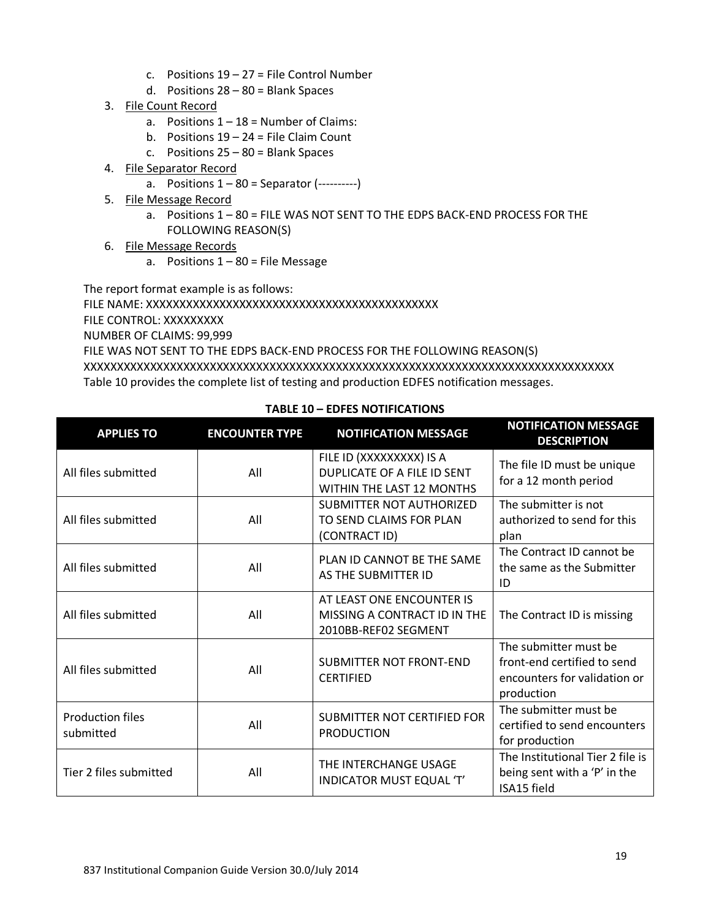- c. Positions  $19 27 =$  File Control Number
- d. Positions 28 80 = Blank Spaces
- 3. File Count Record
	- a. Positions  $1 18 =$  Number of Claims:
	- b. Positions  $19 24 =$  File Claim Count
	- c. Positions  $25 80 =$  Blank Spaces
- 4. File Separator Record
	- a. Positions  $1 80 =$  Separator (----------)
- 5. File Message Record
	- a. Positions 1 80 = FILE WAS NOT SENT TO THE EDPS BACK-END PROCESS FOR THE FOLLOWING REASON(S)
- 6. File Message Records
	- a. Positions  $1 80 =$  File Message

The report format example is as follows:

FILE NAME: XXXXXXXXXXXXXXXXXXXXXXXXXXXXXXXXXXXXXXXXXXXX

FILE CONTROL: XXXXXXXXX

NUMBER OF CLAIMS: 99,999

FILE WAS NOT SENT TO THE EDPS BACK-END PROCESS FOR THE FOLLOWING REASON(S) XXXXXXXXXXXXXXXXXXXXXXXXXXXXXXXXXXXXXXXXXXXXXXXXXXXXXXXXXXXXXXXXXXXXXXXXXXXXXXXX Table 10 provides the complete list of testing and production EDFES notification messages.

| <b>APPLIES TO</b>                    | <b>ENCOUNTER TYPE</b> | <b>NOTIFICATION MESSAGE</b>                                                                 | <b>NOTIFICATION MESSAGE</b><br><b>DESCRIPTION</b>                                                  |
|--------------------------------------|-----------------------|---------------------------------------------------------------------------------------------|----------------------------------------------------------------------------------------------------|
| All files submitted                  | All                   | FILE ID (XXXXXXXXX) IS A<br><b>DUPLICATE OF A FILE ID SENT</b><br>WITHIN THE LAST 12 MONTHS | The file ID must be unique<br>for a 12 month period                                                |
| All files submitted                  | All                   | <b>SUBMITTER NOT AUTHORIZED</b><br>TO SEND CLAIMS FOR PLAN<br>(CONTRACT ID)                 | The submitter is not<br>authorized to send for this<br>plan                                        |
| All files submitted                  | All                   | PLAN ID CANNOT BE THE SAME<br>AS THE SUBMITTER ID                                           | The Contract ID cannot be<br>the same as the Submitter<br>ID                                       |
| All files submitted                  | All                   | AT LEAST ONE ENCOUNTER IS<br>MISSING A CONTRACT ID IN THE<br>2010BB-REF02 SEGMENT           | The Contract ID is missing                                                                         |
| All files submitted                  | All                   | <b>SUBMITTER NOT FRONT-END</b><br><b>CERTIFIED</b>                                          | The submitter must be<br>front-end certified to send<br>encounters for validation or<br>production |
| <b>Production files</b><br>submitted | All                   | <b>SUBMITTER NOT CERTIFIED FOR</b><br><b>PRODUCTION</b>                                     | The submitter must be<br>certified to send encounters<br>for production                            |
| Tier 2 files submitted               | All                   | THE INTERCHANGE USAGE<br><b>INDICATOR MUST EQUAL 'T'</b>                                    | The Institutional Tier 2 file is<br>being sent with a 'P' in the<br>ISA15 field                    |

# **TABLE 10 – EDFES NOTIFICATIONS**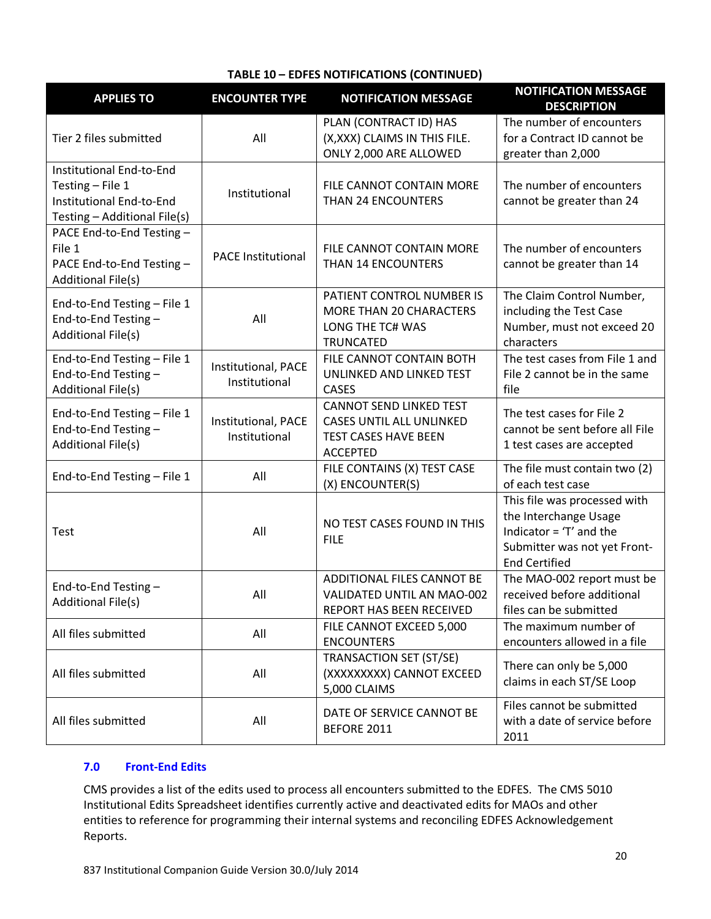#### **TABLE 10 – EDFES NOTIFICATIONS (CONTINUED)**

| <b>APPLIES TO</b>                                                                                        | <b>ENCOUNTER TYPE</b>                | <b>NOTIFICATION MESSAGE</b>                                                                                         | <b>NOTIFICATION MESSAGE</b><br><b>DESCRIPTION</b>                                                                                         |
|----------------------------------------------------------------------------------------------------------|--------------------------------------|---------------------------------------------------------------------------------------------------------------------|-------------------------------------------------------------------------------------------------------------------------------------------|
|                                                                                                          |                                      | PLAN (CONTRACT ID) HAS                                                                                              | The number of encounters                                                                                                                  |
| Tier 2 files submitted                                                                                   | All                                  | (X,XXX) CLAIMS IN THIS FILE.                                                                                        | for a Contract ID cannot be                                                                                                               |
|                                                                                                          |                                      | ONLY 2,000 ARE ALLOWED                                                                                              | greater than 2,000                                                                                                                        |
| Institutional End-to-End<br>Testing - File 1<br>Institutional End-to-End<br>Testing - Additional File(s) | Institutional                        | FILE CANNOT CONTAIN MORE<br>THAN 24 ENCOUNTERS                                                                      | The number of encounters<br>cannot be greater than 24                                                                                     |
| PACE End-to-End Testing -<br>File 1<br>PACE End-to-End Testing -<br><b>Additional File(s)</b>            | <b>PACE Institutional</b>            | FILE CANNOT CONTAIN MORE<br>THAN 14 ENCOUNTERS                                                                      | The number of encounters<br>cannot be greater than 14                                                                                     |
| End-to-End Testing - File 1<br>End-to-End Testing-<br><b>Additional File(s)</b>                          | All                                  | PATIENT CONTROL NUMBER IS<br>MORE THAN 20 CHARACTERS<br>LONG THE TC# WAS<br><b>TRUNCATED</b>                        | The Claim Control Number,<br>including the Test Case<br>Number, must not exceed 20<br>characters                                          |
| End-to-End Testing - File 1<br>End-to-End Testing-<br><b>Additional File(s)</b>                          | Institutional, PACE<br>Institutional | FILE CANNOT CONTAIN BOTH<br>UNLINKED AND LINKED TEST<br><b>CASES</b>                                                | The test cases from File 1 and<br>File 2 cannot be in the same<br>file                                                                    |
| End-to-End Testing - File 1<br>End-to-End Testing-<br><b>Additional File(s)</b>                          | Institutional, PACE<br>Institutional | <b>CANNOT SEND LINKED TEST</b><br><b>CASES UNTIL ALL UNLINKED</b><br><b>TEST CASES HAVE BEEN</b><br><b>ACCEPTED</b> | The test cases for File 2<br>cannot be sent before all File<br>1 test cases are accepted                                                  |
| End-to-End Testing - File 1                                                                              | All                                  | FILE CONTAINS (X) TEST CASE<br>(X) ENCOUNTER(S)                                                                     | The file must contain two (2)<br>of each test case                                                                                        |
| <b>Test</b>                                                                                              | All                                  | NO TEST CASES FOUND IN THIS<br><b>FILE</b>                                                                          | This file was processed with<br>the Interchange Usage<br>Indicator = $T'$ and the<br>Submitter was not yet Front-<br><b>End Certified</b> |
| End-to-End Testing-<br>Additional File(s)                                                                | All                                  | ADDITIONAL FILES CANNOT BE<br>VALIDATED UNTIL AN MAO-002<br>REPORT HAS BEEN RECEIVED                                | The MAO-002 report must be<br>received before additional<br>files can be submitted                                                        |
| All files submitted                                                                                      | All                                  | FILE CANNOT EXCEED 5,000<br><b>ENCOUNTERS</b>                                                                       | The maximum number of<br>encounters allowed in a file                                                                                     |
| All files submitted                                                                                      | All                                  | <b>TRANSACTION SET (ST/SE)</b><br>(XXXXXXXXX) CANNOT EXCEED<br>5,000 CLAIMS                                         | There can only be 5,000<br>claims in each ST/SE Loop                                                                                      |
| All files submitted                                                                                      | All                                  | DATE OF SERVICE CANNOT BE<br>BEFORE 2011                                                                            | Files cannot be submitted<br>with a date of service before<br>2011                                                                        |

#### **7.0 Front-End Edits**

CMS provides a list of the edits used to process all encounters submitted to the EDFES. The CMS 5010 Institutional Edits Spreadsheet identifies currently active and deactivated edits for MAOs and other entities to reference for programming their internal systems and reconciling EDFES Acknowledgement Reports.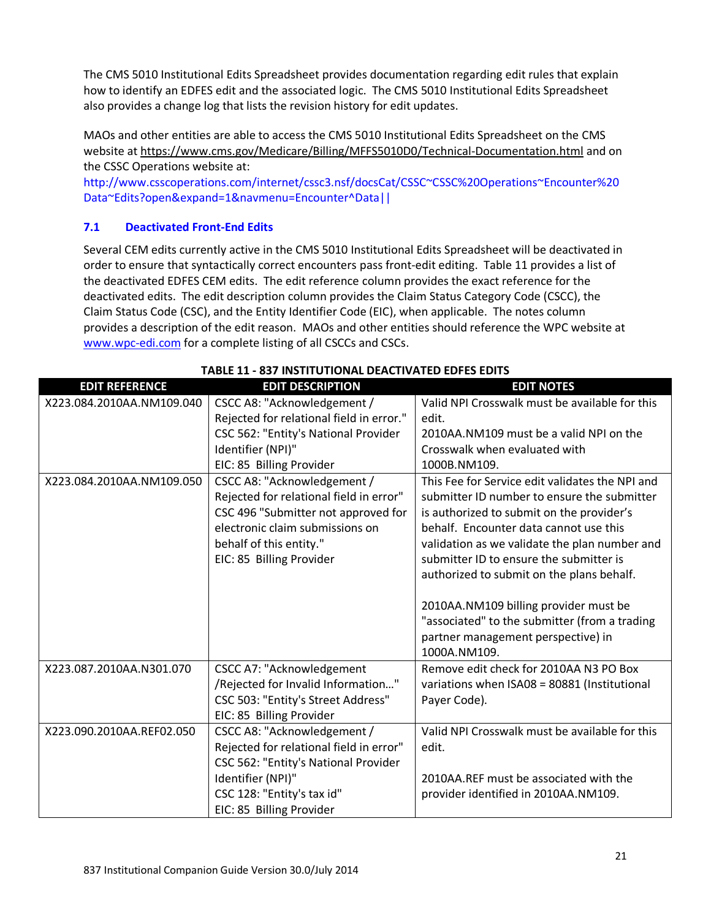The CMS 5010 Institutional Edits Spreadsheet provides documentation regarding edit rules that explain how to identify an EDFES edit and the associated logic. The CMS 5010 Institutional Edits Spreadsheet also provides a change log that lists the revision history for edit updates.

MAOs and other entities are able to access the CMS 5010 Institutional Edits Spreadsheet on the CMS website at<https://www.cms.gov/Medicare/Billing/MFFS5010D0/Technical-Documentation.html> and on the CSSC Operations website at:

http://www.csscoperations.com/internet/cssc3.nsf/docsCat/CSSC~CSSC%20Operations~Encounter%20 Data~Edits?open&expand=1&navmenu=Encounter^Data||

## **7.1 Deactivated Front-End Edits**

Several CEM edits currently active in the CMS 5010 Institutional Edits Spreadsheet will be deactivated in order to ensure that syntactically correct encounters pass front-edit editing. Table 11 provides a list of the deactivated EDFES CEM edits. The edit reference column provides the exact reference for the deactivated edits. The edit description column provides the Claim Status Category Code (CSCC), the Claim Status Code (CSC), and the Entity Identifier Code (EIC), when applicable. The notes column provides a description of the edit reason. MAOs and other entities should reference the WPC website at [www.wpc-edi.com](http://www.wpc-edi.com/) for a complete listing of all CSCCs and CSCs.

| <b>EDIT REFERENCE</b>     | <b>EDIT DESCRIPTION</b>                  | <b>EDIT NOTES</b>                               |
|---------------------------|------------------------------------------|-------------------------------------------------|
| X223.084.2010AA.NM109.040 | CSCC A8: "Acknowledgement /              | Valid NPI Crosswalk must be available for this  |
|                           | Rejected for relational field in error." | edit.                                           |
|                           | CSC 562: "Entity's National Provider     | 2010AA.NM109 must be a valid NPI on the         |
|                           | Identifier (NPI)"                        | Crosswalk when evaluated with                   |
|                           | EIC: 85 Billing Provider                 | 1000B.NM109.                                    |
| X223.084.2010AA.NM109.050 | CSCC A8: "Acknowledgement /              | This Fee for Service edit validates the NPI and |
|                           | Rejected for relational field in error"  | submitter ID number to ensure the submitter     |
|                           | CSC 496 "Submitter not approved for      | is authorized to submit on the provider's       |
|                           | electronic claim submissions on          | behalf. Encounter data cannot use this          |
|                           | behalf of this entity."                  | validation as we validate the plan number and   |
|                           | EIC: 85 Billing Provider                 | submitter ID to ensure the submitter is         |
|                           |                                          | authorized to submit on the plans behalf.       |
|                           |                                          |                                                 |
|                           |                                          | 2010AA.NM109 billing provider must be           |
|                           |                                          | "associated" to the submitter (from a trading   |
|                           |                                          | partner management perspective) in              |
|                           |                                          | 1000A.NM109.                                    |
| X223.087.2010AA.N301.070  | <b>CSCC A7: "Acknowledgement</b>         | Remove edit check for 2010AA N3 PO Box          |
|                           | /Rejected for Invalid Information"       | variations when ISA08 = 80881 (Institutional    |
|                           | CSC 503: "Entity's Street Address"       | Payer Code).                                    |
|                           | EIC: 85 Billing Provider                 |                                                 |
| X223.090.2010AA.REF02.050 | CSCC A8: "Acknowledgement /              | Valid NPI Crosswalk must be available for this  |
|                           | Rejected for relational field in error"  | edit.                                           |
|                           | CSC 562: "Entity's National Provider     |                                                 |
|                           | Identifier (NPI)"                        | 2010AA.REF must be associated with the          |
|                           | CSC 128: "Entity's tax id"               | provider identified in 2010AA.NM109.            |
|                           | EIC: 85 Billing Provider                 |                                                 |

#### **TABLE 11 - 837 INSTITUTIONAL DEACTIVATED EDFES EDITS**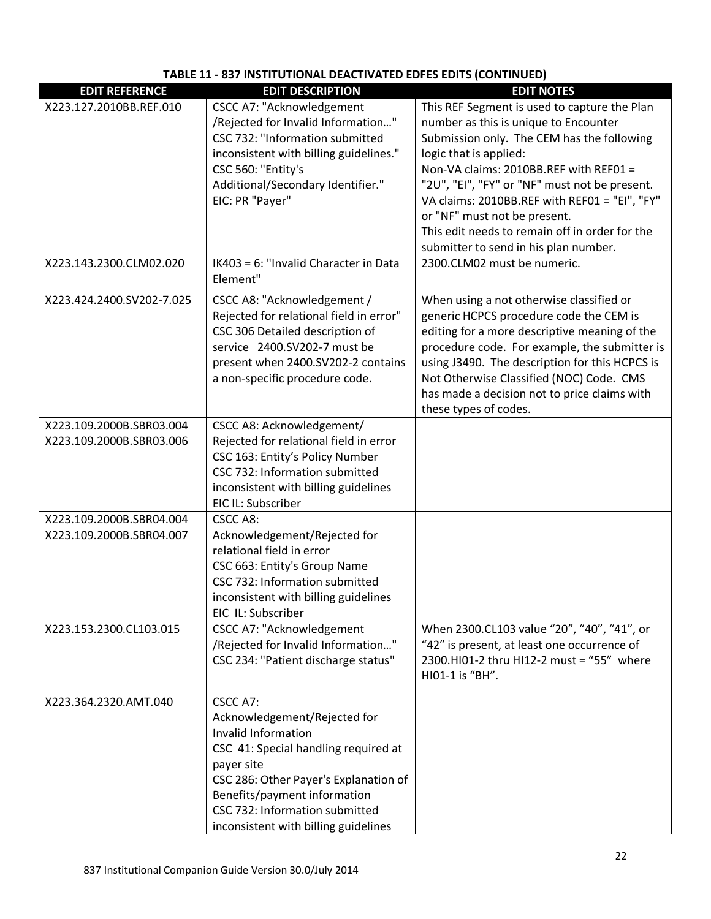# **TABLE 11 - 837 INSTITUTIONAL DEACTIVATED EDFES EDITS (CONTINUED)**

| <b>EDIT REFERENCE</b>                                | <b>EDIT DESCRIPTION</b>                                                                                                                                                                                                                                                    | <b>EDIT NOTES</b>                                                                                                                                                                                                                                                                                                                                                                                                                    |
|------------------------------------------------------|----------------------------------------------------------------------------------------------------------------------------------------------------------------------------------------------------------------------------------------------------------------------------|--------------------------------------------------------------------------------------------------------------------------------------------------------------------------------------------------------------------------------------------------------------------------------------------------------------------------------------------------------------------------------------------------------------------------------------|
| X223.127.2010BB.REF.010                              | <b>CSCC A7: "Acknowledgement</b><br>/Rejected for Invalid Information"<br>CSC 732: "Information submitted<br>inconsistent with billing guidelines."<br>CSC 560: "Entity's<br>Additional/Secondary Identifier."<br>EIC: PR "Payer"<br>IK403 = 6: "Invalid Character in Data | This REF Segment is used to capture the Plan<br>number as this is unique to Encounter<br>Submission only. The CEM has the following<br>logic that is applied:<br>Non-VA claims: 2010BB.REF with REF01 =<br>"2U", "EI", "FY" or "NF" must not be present.<br>VA claims: 2010BB.REF with REF01 = "EI", "FY"<br>or "NF" must not be present.<br>This edit needs to remain off in order for the<br>submitter to send in his plan number. |
| X223.143.2300.CLM02.020                              | Element"                                                                                                                                                                                                                                                                   | 2300.CLM02 must be numeric.                                                                                                                                                                                                                                                                                                                                                                                                          |
| X223.424.2400.SV202-7.025                            | CSCC A8: "Acknowledgement /<br>Rejected for relational field in error"<br>CSC 306 Detailed description of<br>service 2400.SV202-7 must be<br>present when 2400.SV202-2 contains<br>a non-specific procedure code.                                                          | When using a not otherwise classified or<br>generic HCPCS procedure code the CEM is<br>editing for a more descriptive meaning of the<br>procedure code. For example, the submitter is<br>using J3490. The description for this HCPCS is<br>Not Otherwise Classified (NOC) Code. CMS<br>has made a decision not to price claims with<br>these types of codes.                                                                         |
| X223.109.2000B.SBR03.004<br>X223.109.2000B.SBR03.006 | CSCC A8: Acknowledgement/<br>Rejected for relational field in error<br>CSC 163: Entity's Policy Number<br>CSC 732: Information submitted<br>inconsistent with billing guidelines<br>EIC IL: Subscriber                                                                     |                                                                                                                                                                                                                                                                                                                                                                                                                                      |
| X223.109.2000B.SBR04.004<br>X223.109.2000B.SBR04.007 | CSCC A8:<br>Acknowledgement/Rejected for<br>relational field in error<br>CSC 663: Entity's Group Name<br>CSC 732: Information submitted<br>inconsistent with billing guidelines<br>EIC IL: Subscriber                                                                      |                                                                                                                                                                                                                                                                                                                                                                                                                                      |
| X223.153.2300.CL103.015                              | <b>CSCC A7: "Acknowledgement</b><br>/Rejected for Invalid Information"<br>CSC 234: "Patient discharge status"                                                                                                                                                              | When 2300.CL103 value "20", "40", "41", or<br>"42" is present, at least one occurrence of<br>2300.HI01-2 thru HI12-2 must = "55" where<br>HI01-1 is "BH".                                                                                                                                                                                                                                                                            |
| X223.364.2320.AMT.040                                | CSCC A7:<br>Acknowledgement/Rejected for<br>Invalid Information<br>CSC 41: Special handling required at<br>payer site<br>CSC 286: Other Payer's Explanation of<br>Benefits/payment information<br>CSC 732: Information submitted<br>inconsistent with billing guidelines   |                                                                                                                                                                                                                                                                                                                                                                                                                                      |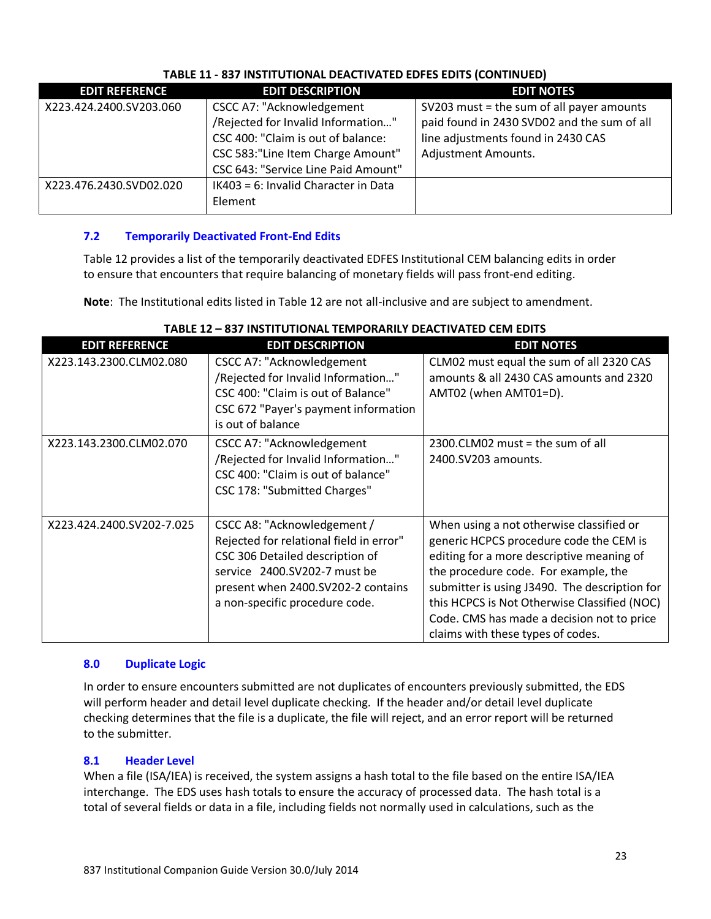| <u> IADLL 11 - 637 INSTITUTIONAL DEACTIVATED EDFES EDITS (CONTINUED)</u> |                                                                                                                                                                                          |                                                                                                                                                       |  |
|--------------------------------------------------------------------------|------------------------------------------------------------------------------------------------------------------------------------------------------------------------------------------|-------------------------------------------------------------------------------------------------------------------------------------------------------|--|
| <b>EDIT REFERENCE</b>                                                    | <b>EDIT DESCRIPTION</b>                                                                                                                                                                  | <b>EDIT NOTES</b>                                                                                                                                     |  |
| X223.424.2400.SV203.060                                                  | <b>CSCC A7: "Acknowledgement</b><br>/Rejected for Invalid Information"<br>CSC 400: "Claim is out of balance:<br>CSC 583:"Line Item Charge Amount"<br>CSC 643: "Service Line Paid Amount" | SV203 must = the sum of all payer amounts<br>paid found in 2430 SVD02 and the sum of all<br>line adjustments found in 2430 CAS<br>Adjustment Amounts. |  |
| X223.476.2430.SVD02.020                                                  | IK403 = 6: Invalid Character in Data<br>Element                                                                                                                                          |                                                                                                                                                       |  |

# **TABLE 11 - 837 INSTITUTIONAL DEACTIVATED EDFES EDITS (CONTINUED)**

# **7.2 Temporarily Deactivated Front-End Edits**

Table 12 provides a list of the temporarily deactivated EDFES Institutional CEM balancing edits in order to ensure that encounters that require balancing of monetary fields will pass front-end editing.

**Note**: The Institutional edits listed in Table 12 are not all-inclusive and are subject to amendment.

| <b>EDIT REFERENCE</b>     | <b>EDIT DESCRIPTION</b>                                                                                                                                                                                           | <b>EDIT NOTES</b>                                                                                                                                                                                                                                                                                                                                            |
|---------------------------|-------------------------------------------------------------------------------------------------------------------------------------------------------------------------------------------------------------------|--------------------------------------------------------------------------------------------------------------------------------------------------------------------------------------------------------------------------------------------------------------------------------------------------------------------------------------------------------------|
| X223.143.2300.CLM02.080   | <b>CSCC A7: "Acknowledgement</b><br>/Rejected for Invalid Information"<br>CSC 400: "Claim is out of Balance"<br>CSC 672 "Payer's payment information<br>is out of balance                                         | CLM02 must equal the sum of all 2320 CAS<br>amounts & all 2430 CAS amounts and 2320<br>AMT02 (when AMT01=D).                                                                                                                                                                                                                                                 |
| X223.143.2300.CLM02.070   | <b>CSCC A7: "Acknowledgement</b><br>/Rejected for Invalid Information"<br>CSC 400: "Claim is out of balance"<br>CSC 178: "Submitted Charges"                                                                      | $2300$ .CLM02 must = the sum of all<br>2400.SV203 amounts.                                                                                                                                                                                                                                                                                                   |
| X223.424.2400.SV202-7.025 | CSCC A8: "Acknowledgement /<br>Rejected for relational field in error"<br>CSC 306 Detailed description of<br>service 2400.SV202-7 must be<br>present when 2400.SV202-2 contains<br>a non-specific procedure code. | When using a not otherwise classified or<br>generic HCPCS procedure code the CEM is<br>editing for a more descriptive meaning of<br>the procedure code. For example, the<br>submitter is using J3490. The description for<br>this HCPCS is Not Otherwise Classified (NOC)<br>Code. CMS has made a decision not to price<br>claims with these types of codes. |

## **TABLE 12 – 837 INSTITUTIONAL TEMPORARILY DEACTIVATED CEM EDITS**

#### **8.0 Duplicate Logic**

In order to ensure encounters submitted are not duplicates of encounters previously submitted, the EDS will perform header and detail level duplicate checking. If the header and/or detail level duplicate checking determines that the file is a duplicate, the file will reject, and an error report will be returned to the submitter.

#### **8.1 Header Level**

When a file (ISA/IEA) is received, the system assigns a hash total to the file based on the entire ISA/IEA interchange. The EDS uses hash totals to ensure the accuracy of processed data. The hash total is a total of several fields or data in a file, including fields not normally used in calculations, such as the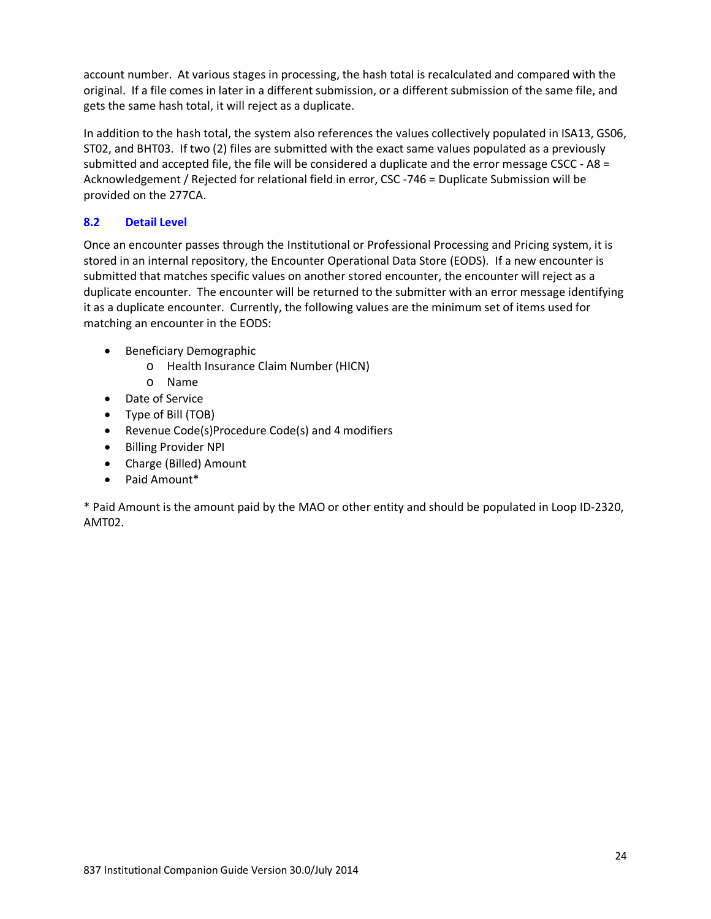account number. At various stages in processing, the hash total is recalculated and compared with the original. If a file comes in later in a different submission, or a different submission of the same file, and gets the same hash total, it will reject as a duplicate.

In addition to the hash total, the system also references the values collectively populated in ISA13, GS06, ST02, and BHT03. If two (2) files are submitted with the exact same values populated as a previously submitted and accepted file, the file will be considered a duplicate and the error message CSCC - A8 = Acknowledgement / Rejected for relational field in error, CSC -746 = Duplicate Submission will be provided on the 277CA.

## **8.2 Detail Level**

Once an encounter passes through the Institutional or Professional Processing and Pricing system, it is stored in an internal repository, the Encounter Operational Data Store (EODS). If a new encounter is submitted that matches specific values on another stored encounter, the encounter will reject as a duplicate encounter. The encounter will be returned to the submitter with an error message identifying it as a duplicate encounter. Currently, the following values are the minimum set of items used for matching an encounter in the EODS:

- Beneficiary Demographic
	- o Health Insurance Claim Number (HICN)
	- o Name
- Date of Service
- Type of Bill (TOB)
- Revenue Code(s)Procedure Code(s) and 4 modifiers
- Billing Provider NPI
- Charge (Billed) Amount
- Paid Amount\*

\* Paid Amount is the amount paid by the MAO or other entity and should be populated in Loop ID-2320, AMT02.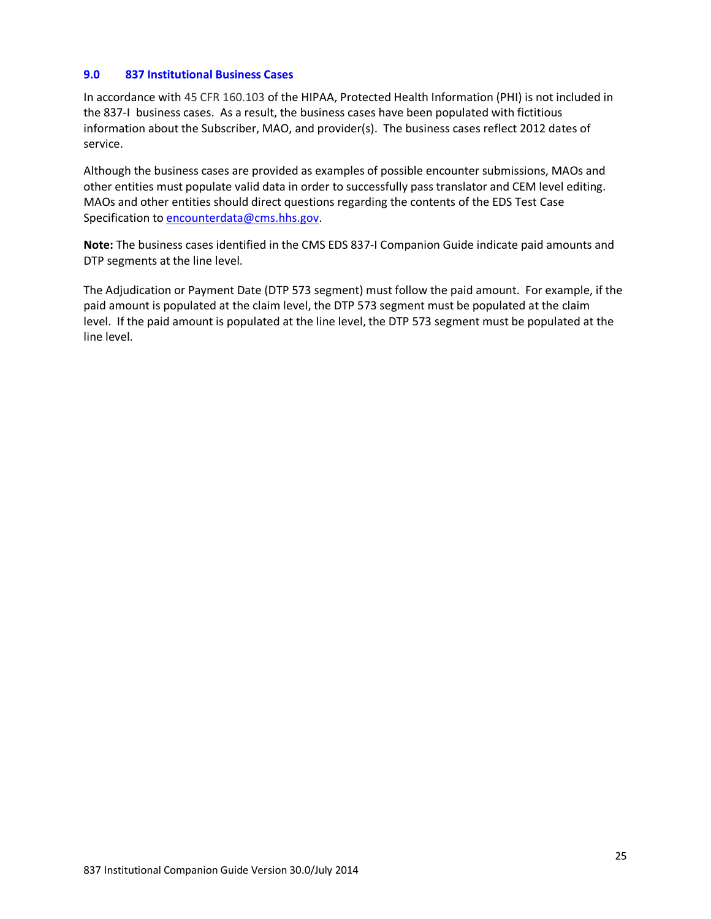#### **9.0 837 Institutional Business Cases**

In accordance with 45 CFR 160.103 of the HIPAA, Protected Health Information (PHI) is not included in the 837-I business cases. As a result, the business cases have been populated with fictitious information about the Subscriber, MAO, and provider(s). The business cases reflect 2012 dates of service.

Although the business cases are provided as examples of possible encounter submissions, MAOs and other entities must populate valid data in order to successfully pass translator and CEM level editing. MAOs and other entities should direct questions regarding the contents of the EDS Test Case Specification to [encounterdata@cms.hhs.gov.](mailto:eds@ardx.net)

**Note:** The business cases identified in the CMS EDS 837-I Companion Guide indicate paid amounts and DTP segments at the line level.

The Adjudication or Payment Date (DTP 573 segment) must follow the paid amount. For example, if the paid amount is populated at the claim level, the DTP 573 segment must be populated at the claim level. If the paid amount is populated at the line level, the DTP 573 segment must be populated at the line level.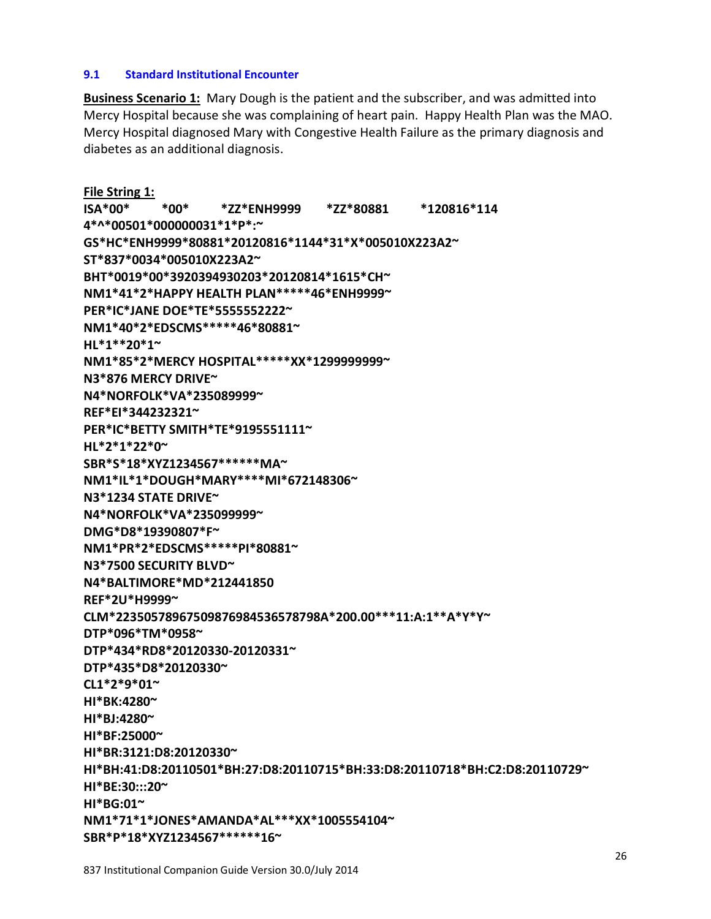#### **9.1 Standard Institutional Encounter**

**Business Scenario 1:** Mary Dough is the patient and the subscriber, and was admitted into Mercy Hospital because she was complaining of heart pain. Happy Health Plan was the MAO. Mercy Hospital diagnosed Mary with Congestive Health Failure as the primary diagnosis and diabetes as an additional diagnosis.

**File String 1: ISA\*00\* \*00\* \*ZZ\*ENH9999 \*ZZ\*80881 \*120816\*114 4\*^\*00501\*000000031\*1\*P\*:~ GS\*HC\*ENH9999\*80881\*20120816\*1144\*31\*X\*005010X223A2~ ST\*837\*0034\*005010X223A2~ BHT\*0019\*00\*3920394930203\*20120814\*1615\*CH~ NM1\*41\*2\*HAPPY HEALTH PLAN\*\*\*\*\*46\*ENH9999~ PER\*IC\*JANE DOE\*TE\*5555552222~ NM1\*40\*2\*EDSCMS\*\*\*\*\*46\*80881~ HL\*1\*\*20\*1~ NM1\*85\*2\*MERCY HOSPITAL\*\*\*\*\*XX\*1299999999~ N3\*876 MERCY DRIVE~ N4\*NORFOLK\*VA\*235089999~ REF\*EI\*344232321~ PER\*IC\*BETTY SMITH\*TE\*9195551111~ HL\*2\*1\*22\*0~ SBR\*S\*18\*XYZ1234567\*\*\*\*\*\*MA~ NM1\*IL\*1\*DOUGH\*MARY\*\*\*\*MI\*672148306~ N3\*1234 STATE DRIVE~ N4\*NORFOLK\*VA\*235099999~ DMG\*D8\*19390807\*F~ NM1\*PR\*2\*EDSCMS\*\*\*\*\*PI\*80881~ N3\*7500 SECURITY BLVD~ N4\*BALTIMORE\*MD\*212441850 REF\*2U\*H9999~ CLM\*22350578967509876984536578798A\*200.00\*\*\*11:A:1\*\*A\*Y\*Y~ DTP\*096\*TM\*0958~ DTP\*434\*RD8\*20120330-20120331~ DTP\*435\*D8\*20120330~ CL1\*2\*9\*01~ HI\*BK:4280~ HI\*BJ:4280~ HI\*BF:25000~ HI\*BR:3121:D8:20120330~ HI\*BH:41:D8:20110501\*BH:27:D8:20110715\*BH:33:D8:20110718\*BH:C2:D8:20110729~ HI\*BE:30:::20~ HI\*BG:01~ NM1\*71\*1\*JONES\*AMANDA\*AL\*\*\*XX\*1005554104~** 

**SBR\*P\*18\*XYZ1234567\*\*\*\*\*\*16~**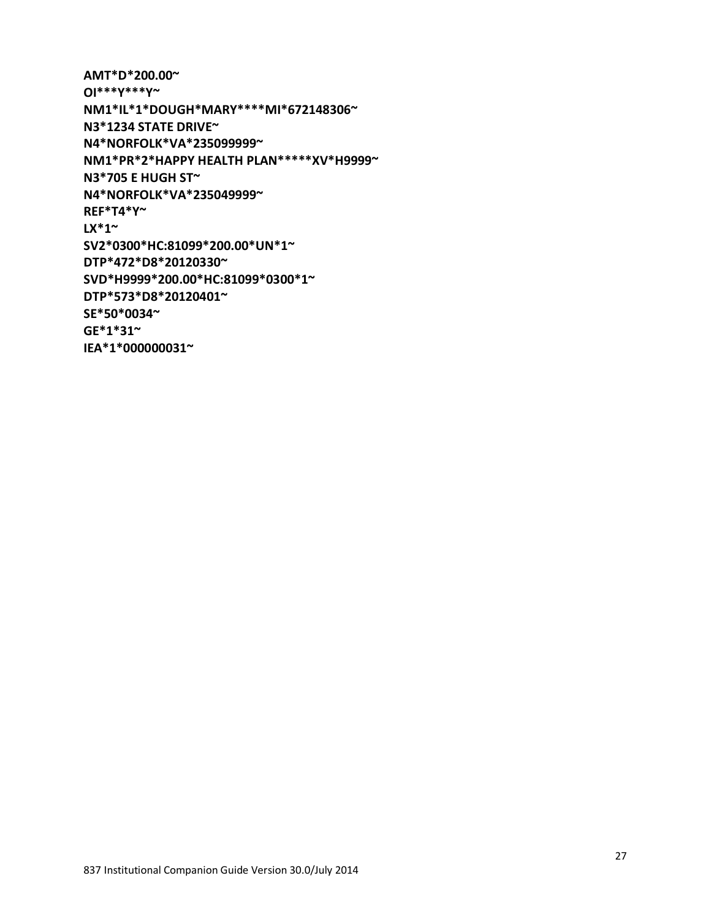27

**AMT\*D\*200.00~ OI\*\*\*Y\*\*\*Y~ NM1\*IL\*1\*DOUGH\*MARY\*\*\*\*MI\*672148306~ N3\*1234 STATE DRIVE~ N4\*NORFOLK\*VA\*235099999~ NM1\*PR\*2\*HAPPY HEALTH PLAN\*\*\*\*\*XV\*H9999~ N3\*705 E HUGH ST~ N4\*NORFOLK\*VA\*235049999~ REF\*T4\*Y~ LX\*1~ SV2\*0300\*HC:81099\*200.00\*UN\*1~ DTP\*472\*D8\*20120330~ SVD\*H9999\*200.00\*HC:81099\*0300\*1~ DTP\*573\*D8\*20120401~ SE\*50\*0034~ GE\*1\*31~ IEA\*1\*000000031~**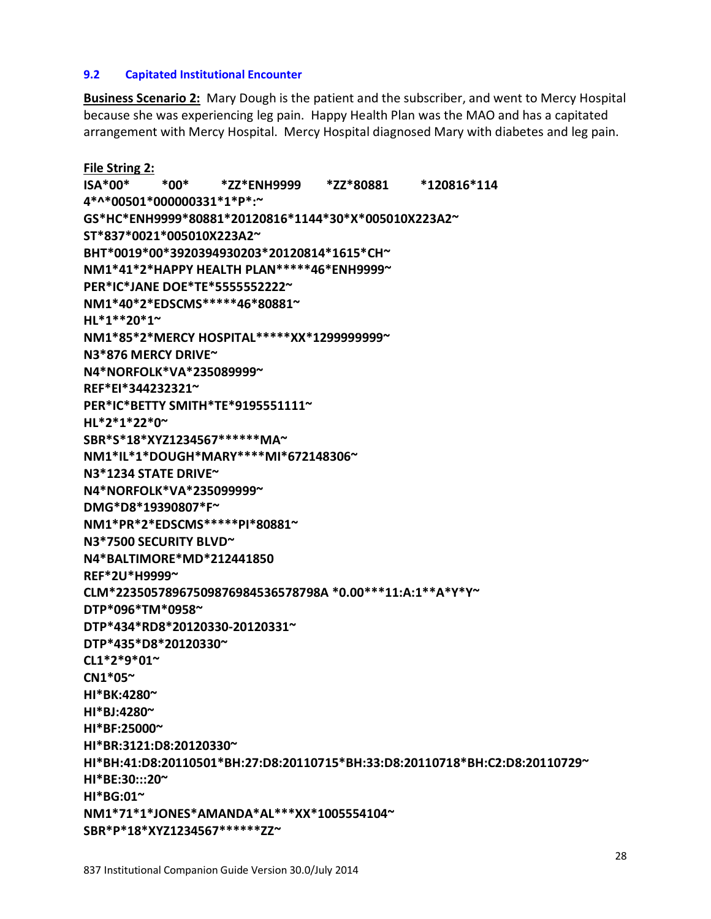#### **9.2 Capitated Institutional Encounter**

**Business Scenario 2:** Mary Dough is the patient and the subscriber, and went to Mercy Hospital because she was experiencing leg pain. Happy Health Plan was the MAO and has a capitated arrangement with Mercy Hospital. Mercy Hospital diagnosed Mary with diabetes and leg pain.

**File String 2: ISA\*00\* \*00\* \*ZZ\*ENH9999 \*ZZ\*80881 \*120816\*114 4\*^\*00501\*000000331\*1\*P\*:~ GS\*HC\*ENH9999\*80881\*20120816\*1144\*30\*X\*005010X223A2~ ST\*837\*0021\*005010X223A2~ BHT\*0019\*00\*3920394930203\*20120814\*1615\*CH~ NM1\*41\*2\*HAPPY HEALTH PLAN\*\*\*\*\*46\*ENH9999~ PER\*IC\*JANE DOE\*TE\*5555552222~ NM1\*40\*2\*EDSCMS\*\*\*\*\*46\*80881~ HL\*1\*\*20\*1~ NM1\*85\*2\*MERCY HOSPITAL\*\*\*\*\*XX\*1299999999~ N3\*876 MERCY DRIVE~ N4\*NORFOLK\*VA\*235089999~ REF\*EI\*344232321~ PER\*IC\*BETTY SMITH\*TE\*9195551111~ HL\*2\*1\*22\*0~ SBR\*S\*18\*XYZ1234567\*\*\*\*\*\*MA~ NM1\*IL\*1\*DOUGH\*MARY\*\*\*\*MI\*672148306~ N3\*1234 STATE DRIVE~ N4\*NORFOLK\*VA\*235099999~ DMG\*D8\*19390807\*F~ NM1\*PR\*2\*EDSCMS\*\*\*\*\*PI\*80881~ N3\*7500 SECURITY BLVD~ N4\*BALTIMORE\*MD\*212441850 REF\*2U\*H9999~ CLM\*22350578967509876984536578798A \*0.00\*\*\*11:A:1\*\*A\*Y\*Y~ DTP\*096\*TM\*0958~ DTP\*434\*RD8\*20120330-20120331~ DTP\*435\*D8\*20120330~ CL1\*2\*9\*01~ CN1\*05~ HI\*BK:4280~ HI\*BJ:4280~ HI\*BF:25000~ HI\*BR:3121:D8:20120330~ HI\*BH:41:D8:20110501\*BH:27:D8:20110715\*BH:33:D8:20110718\*BH:C2:D8:20110729~ HI\*BE:30:::20~ HI\*BG:01~ NM1\*71\*1\*JONES\*AMANDA\*AL\*\*\*XX\*1005554104~ SBR\*P\*18\*XYZ1234567\*\*\*\*\*\*ZZ~**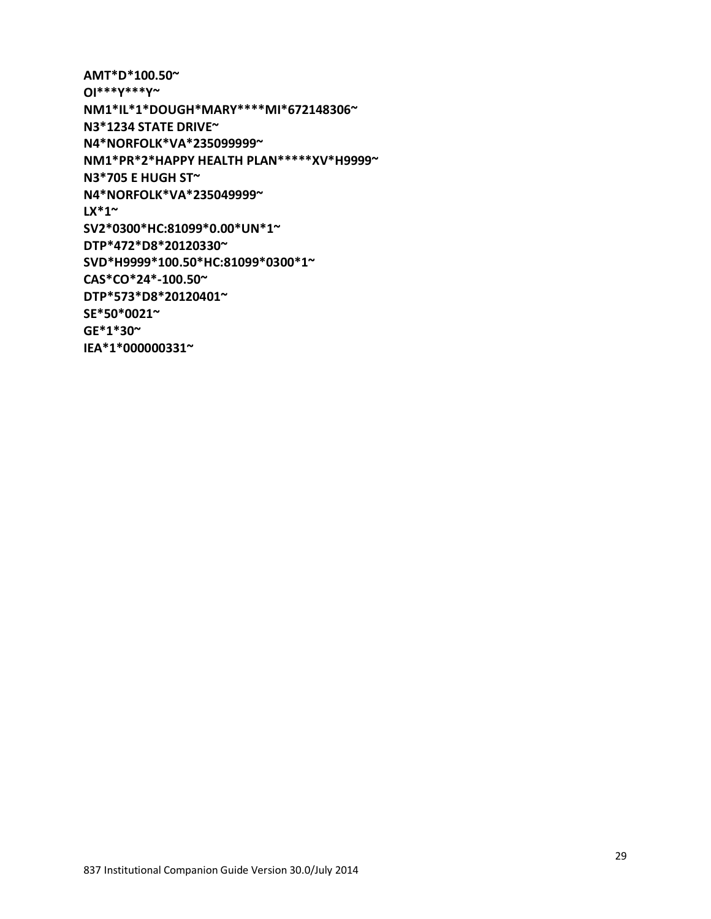29

**AMT\*D\*100.50~ OI\*\*\*Y\*\*\*Y~ NM1\*IL\*1\*DOUGH\*MARY\*\*\*\*MI\*672148306~ N3\*1234 STATE DRIVE~ N4\*NORFOLK\*VA\*235099999~ NM1\*PR\*2\*HAPPY HEALTH PLAN\*\*\*\*\*XV\*H9999~ N3\*705 E HUGH ST~ N4\*NORFOLK\*VA\*235049999~ LX\*1~ SV2\*0300\*HC:81099\*0.00\*UN\*1~ DTP\*472\*D8\*20120330~ SVD\*H9999\*100.50\*HC:81099\*0300\*1~ CAS\*CO\*24\*-100.50~ DTP\*573\*D8\*20120401~ SE\*50\*0021~ GE\*1\*30~ IEA\*1\*000000331~**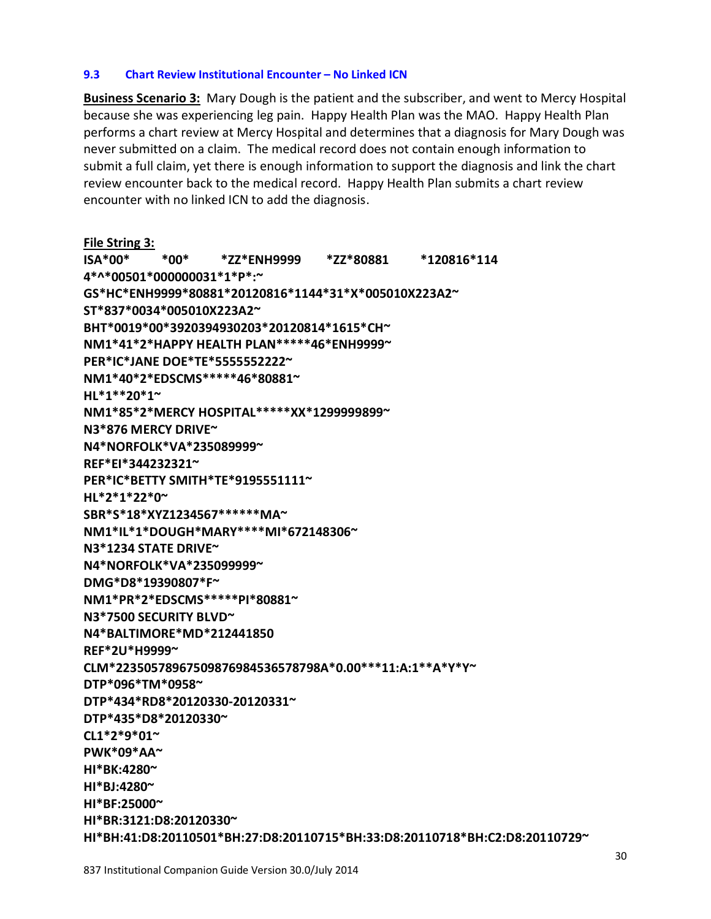837 Institutional Companion Guide Version 30.0/July 2014

**HI\*BJ:4280~**

**HI\*BR:3121:D8:20120330~**

submit a full claim, yet there is enough information to support the diagnosis and link the chart review encounter back to the medical record. Happy Health Plan submits a chart review encounter with no linked ICN to add the diagnosis. **File String 3: ISA\*00\* \*00\* \*ZZ\*ENH9999 \*ZZ\*80881 \*120816\*114 4\*^\*00501\*000000031\*1\*P\*:~ GS\*HC\*ENH9999\*80881\*20120816\*1144\*31\*X\*005010X223A2~ ST\*837\*0034\*005010X223A2~ BHT\*0019\*00\*3920394930203\*20120814\*1615\*CH~ NM1\*41\*2\*HAPPY HEALTH PLAN\*\*\*\*\*46\*ENH9999~ PER\*IC\*JANE DOE\*TE\*5555552222~ NM1\*40\*2\*EDSCMS\*\*\*\*\*46\*80881~ HL\*1\*\*20\*1~ NM1\*85\*2\*MERCY HOSPITAL\*\*\*\*\*XX\*1299999899~ N3\*876 MERCY DRIVE~ N4\*NORFOLK\*VA\*235089999~ REF\*EI\*344232321~ PER\*IC\*BETTY SMITH\*TE\*9195551111~ HL\*2\*1\*22\*0~ SBR\*S\*18\*XYZ1234567\*\*\*\*\*\*MA~ NM1\*IL\*1\*DOUGH\*MARY\*\*\*\*MI\*672148306~ N3\*1234 STATE DRIVE~ N4\*NORFOLK\*VA\*235099999~ DMG\*D8\*19390807\*F~ NM1\*PR\*2\*EDSCMS\*\*\*\*\*PI\*80881~ N3\*7500 SECURITY BLVD~ N4\*BALTIMORE\*MD\*212441850 REF\*2U\*H9999~ CLM\*22350578967509876984536578798A\*0.00\*\*\*11:A:1\*\*A\*Y\*Y~ DTP\*096\*TM\*0958~ DTP\*434\*RD8\*20120330-20120331~ DTP\*435\*D8\*20120330~ CL1\*2\*9\*01~ PWK\*09\*AA~ HI\*BK:4280~** 

**HI\*BH:41:D8:20110501\*BH:27:D8:20110715\*BH:33:D8:20110718\*BH:C2:D8:20110729~** 

**Business Scenario 3:** Mary Dough is the patient and the subscriber, and went to Mercy Hospital because she was experiencing leg pain. Happy Health Plan was the MAO. Happy Health Plan performs a chart review at Mercy Hospital and determines that a diagnosis for Mary Dough was

never submitted on a claim. The medical record does not contain enough information to

**9.3 Chart Review Institutional Encounter – No Linked ICN**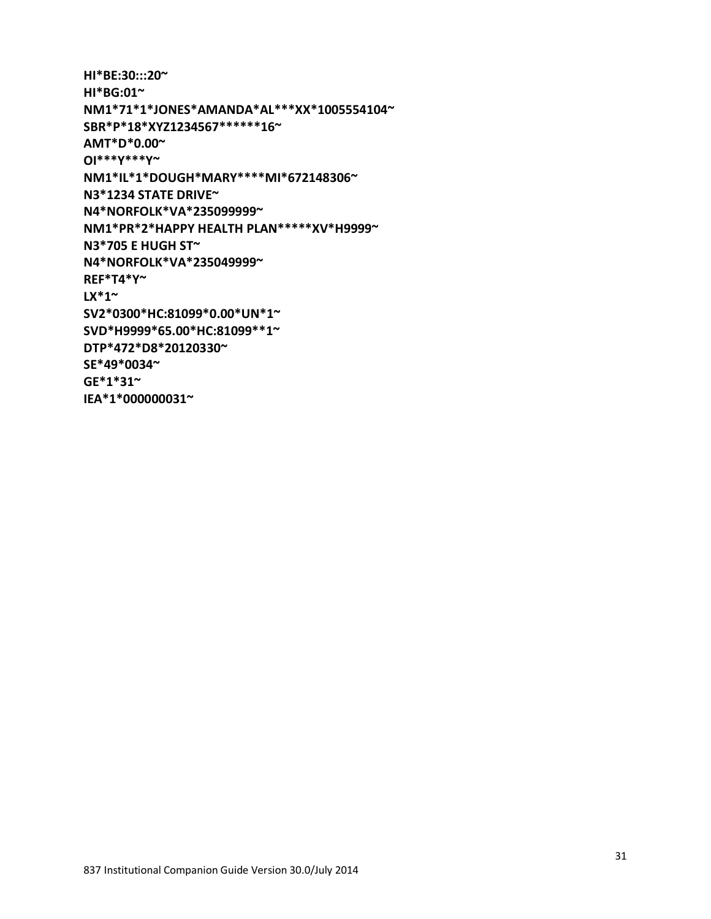31

**HI\*BE:30:::20~ HI\*BG:01~ NM1\*71\*1\*JONES\*AMANDA\*AL\*\*\*XX\*1005554104~ SBR\*P\*18\*XYZ1234567\*\*\*\*\*\*16~ AMT\*D\*0.00~ OI\*\*\*Y\*\*\*Y~ NM1\*IL\*1\*DOUGH\*MARY\*\*\*\*MI\*672148306~ N3\*1234 STATE DRIVE~ N4\*NORFOLK\*VA\*235099999~ NM1\*PR\*2\*HAPPY HEALTH PLAN\*\*\*\*\*XV\*H9999~ N3\*705 E HUGH ST~ N4\*NORFOLK\*VA\*235049999~ REF\*T4\*Y~ LX\*1~ SV2\*0300\*HC:81099\*0.00\*UN\*1~ SVD\*H9999\*65.00\*HC:81099\*\*1~ DTP\*472\*D8\*20120330~ SE\*49\*0034~ GE\*1\*31~ IEA\*1\*000000031~**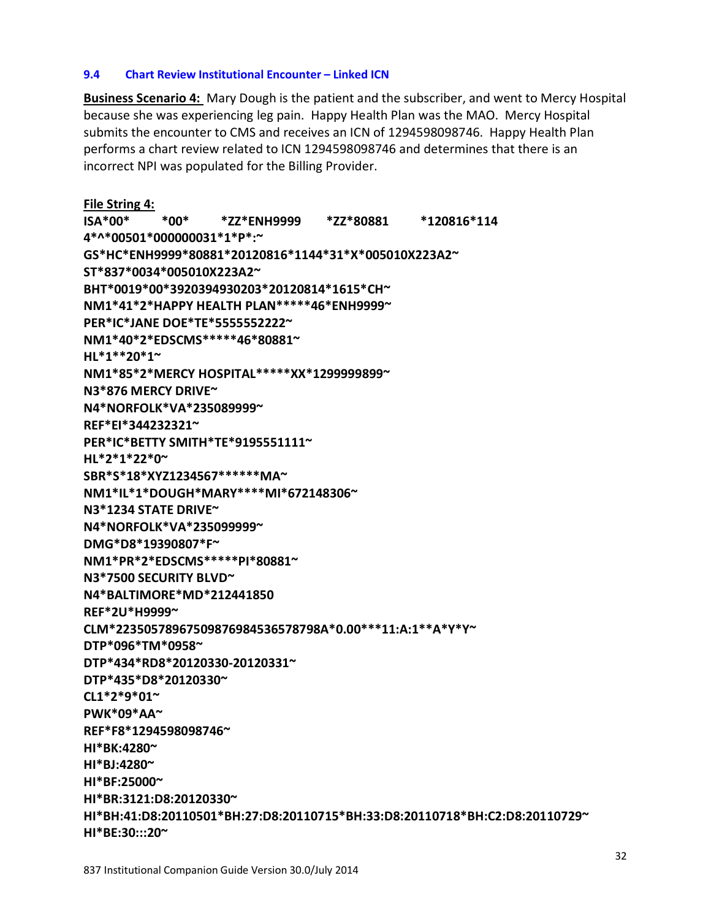# 837 Institutional Companion Guide Version 30.0/July 2014

**HI\*BE:30:::20~** 

**File String 4: ISA\*00\* \*00\* \*ZZ\*ENH9999 \*ZZ\*80881 \*120816\*114 4\*^\*00501\*000000031\*1\*P\*:~ GS\*HC\*ENH9999\*80881\*20120816\*1144\*31\*X\*005010X223A2~ ST\*837\*0034\*005010X223A2~ BHT\*0019\*00\*3920394930203\*20120814\*1615\*CH~ NM1\*41\*2\*HAPPY HEALTH PLAN\*\*\*\*\*46\*ENH9999~ PER\*IC\*JANE DOE\*TE\*5555552222~ NM1\*40\*2\*EDSCMS\*\*\*\*\*46\*80881~ HL\*1\*\*20\*1~ NM1\*85\*2\*MERCY HOSPITAL\*\*\*\*\*XX\*1299999899~ N3\*876 MERCY DRIVE~ N4\*NORFOLK\*VA\*235089999~ REF\*EI\*344232321~ PER\*IC\*BETTY SMITH\*TE\*9195551111~ HL\*2\*1\*22\*0~ SBR\*S\*18\*XYZ1234567\*\*\*\*\*\*MA~ NM1\*IL\*1\*DOUGH\*MARY\*\*\*\*MI\*672148306~ N3\*1234 STATE DRIVE~ N4\*NORFOLK\*VA\*235099999~ DMG\*D8\*19390807\*F~ NM1\*PR\*2\*EDSCMS\*\*\*\*\*PI\*80881~ N3\*7500 SECURITY BLVD~ N4\*BALTIMORE\*MD\*212441850 REF\*2U\*H9999~ CLM\*22350578967509876984536578798A\*0.00\*\*\*11:A:1\*\*A\*Y\*Y~ DTP\*096\*TM\*0958~ DTP\*434\*RD8\*20120330-20120331~ DTP\*435\*D8\*20120330~ CL1\*2\*9\*01~ PWK\*09\*AA~ REF\*F8\*1294598098746~ HI\*BK:4280~ HI\*BJ:4280~ HI\*BF:25000~ HI\*BR:3121:D8:20120330~ HI\*BH:41:D8:20110501\*BH:27:D8:20110715\*BH:33:D8:20110718\*BH:C2:D8:20110729~** 

**Business Scenario 4:** Mary Dough is the patient and the subscriber, and went to Mercy Hospital

because she was experiencing leg pain. Happy Health Plan was the MAO. Mercy Hospital submits the encounter to CMS and receives an ICN of 1294598098746. Happy Health Plan performs a chart review related to ICN 1294598098746 and determines that there is an

**9.4 Chart Review Institutional Encounter – Linked ICN**

incorrect NPI was populated for the Billing Provider.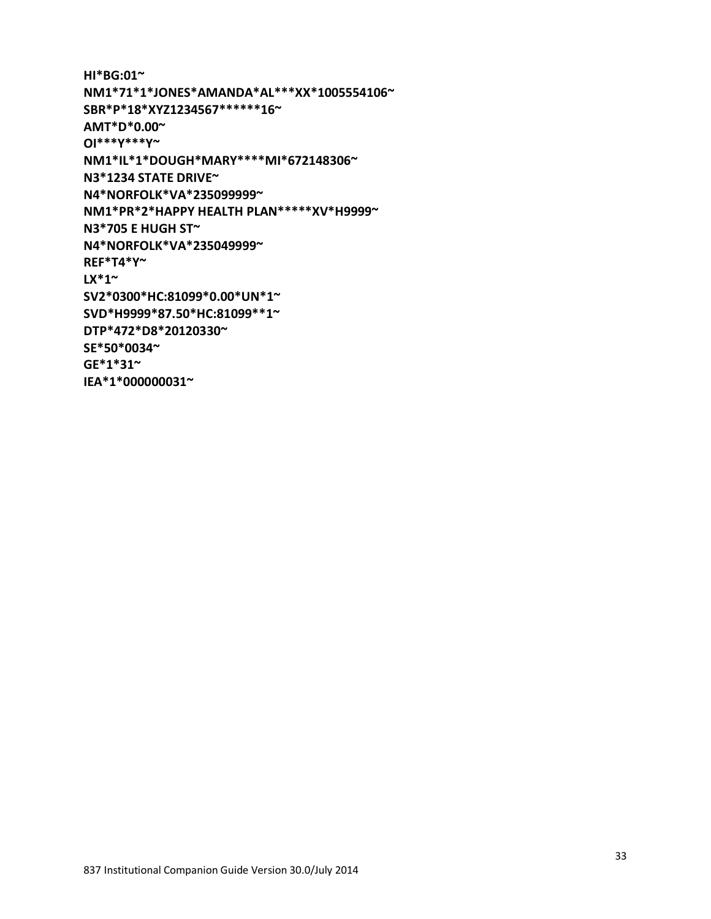33

```
HI*BG:01~ 
NM1*71*1*JONES*AMANDA*AL***XX*1005554106~ 
SBR*P*18*XYZ1234567******16~
AMT*D*0.00~ 
OI***Y***Y~
NM1*IL*1*DOUGH*MARY****MI*672148306~ 
N3*1234 STATE DRIVE~ 
N4*NORFOLK*VA*235099999~ 
NM1*PR*2*HAPPY HEALTH PLAN*****XV*H9999~
N3*705 E HUGH ST~
N4*NORFOLK*VA*235049999~
REF*T4*Y~
LX*1~ 
SV2*0300*HC:81099*0.00*UN*1~
SVD*H9999*87.50*HC:81099**1~
DTP*472*D8*20120330~ 
SE*50*0034~ 
GE*1*31~ 
IEA*1*000000031~
```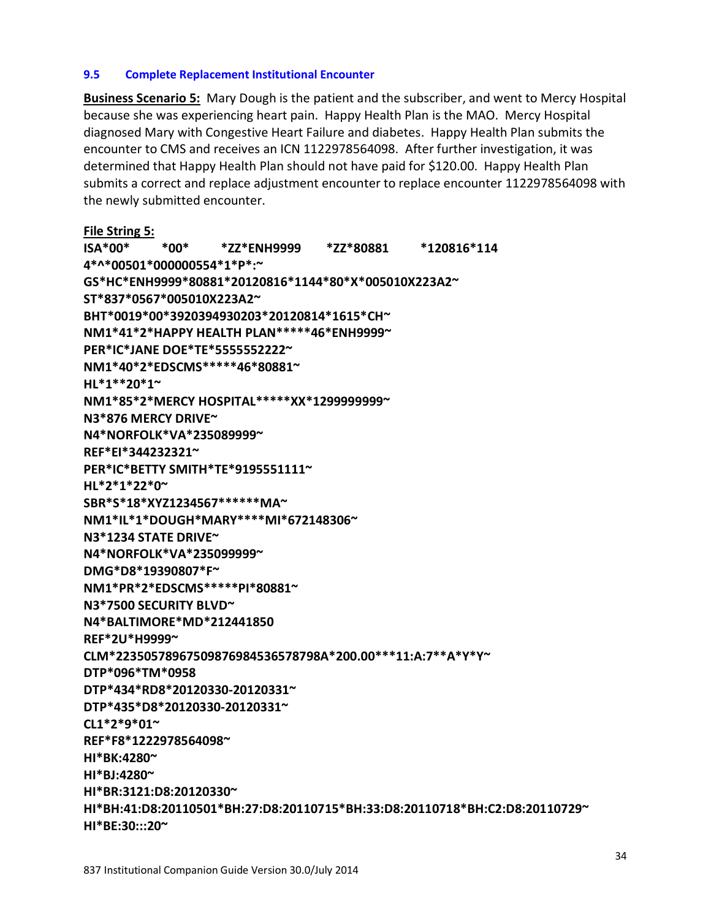#### **9.5 Complete Replacement Institutional Encounter**

**Business Scenario 5:** Mary Dough is the patient and the subscriber, and went to Mercy Hospital because she was experiencing heart pain. Happy Health Plan is the MAO. Mercy Hospital diagnosed Mary with Congestive Heart Failure and diabetes. Happy Health Plan submits the encounter to CMS and receives an ICN 1122978564098. After further investigation, it was determined that Happy Health Plan should not have paid for \$120.00. Happy Health Plan submits a correct and replace adjustment encounter to replace encounter 1122978564098 with the newly submitted encounter.

**File String 5: ISA\*00\* \*00\* \*ZZ\*ENH9999 \*ZZ\*80881 \*120816\*114 4\*^\*00501\*000000554\*1\*P\*:~ GS\*HC\*ENH9999\*80881\*20120816\*1144\*80\*X\*005010X223A2~ ST\*837\*0567\*005010X223A2~ BHT\*0019\*00\*3920394930203\*20120814\*1615\*CH~ NM1\*41\*2\*HAPPY HEALTH PLAN\*\*\*\*\*46\*ENH9999~ PER\*IC\*JANE DOE\*TE\*5555552222~ NM1\*40\*2\*EDSCMS\*\*\*\*\*46\*80881~ HL\*1\*\*20\*1~ NM1\*85\*2\*MERCY HOSPITAL\*\*\*\*\*XX\*1299999999~ N3\*876 MERCY DRIVE~ N4\*NORFOLK\*VA\*235089999~ REF\*EI\*344232321~ PER\*IC\*BETTY SMITH\*TE\*9195551111~ HL\*2\*1\*22\*0~ SBR\*S\*18\*XYZ1234567\*\*\*\*\*\*MA~ NM1\*IL\*1\*DOUGH\*MARY\*\*\*\*MI\*672148306~ N3\*1234 STATE DRIVE~ N4\*NORFOLK\*VA\*235099999~ DMG\*D8\*19390807\*F~ NM1\*PR\*2\*EDSCMS\*\*\*\*\*PI\*80881~ N3\*7500 SECURITY BLVD~ N4\*BALTIMORE\*MD\*212441850 REF\*2U\*H9999~ CLM\*22350578967509876984536578798A\*200.00\*\*\*11:A:7\*\*A\*Y\*Y~ DTP\*096\*TM\*0958 DTP\*434\*RD8\*20120330-20120331~ DTP\*435\*D8\*20120330-20120331~ CL1\*2\*9\*01~ REF\*F8\*1222978564098~ HI\*BK:4280~ HI\*BJ:4280~ HI\*BR:3121:D8:20120330~ HI\*BH:41:D8:20110501\*BH:27:D8:20110715\*BH:33:D8:20110718\*BH:C2:D8:20110729~ HI\*BE:30:::20~**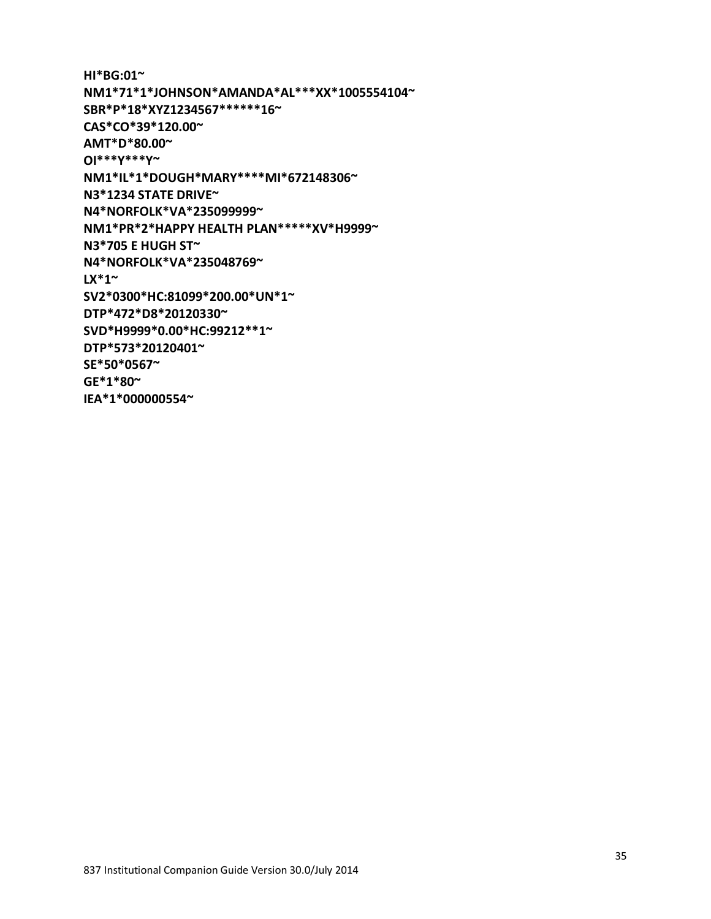35

**HI\*BG:01~ NM1\*71\*1\*JOHNSON\*AMANDA\*AL\*\*\*XX\*1005554104~ SBR\*P\*18\*XYZ1234567\*\*\*\*\*\*16~ CAS\*CO\*39\*120.00~ AMT\*D\*80.00~ OI\*\*\*Y\*\*\*Y~ NM1\*IL\*1\*DOUGH\*MARY\*\*\*\*MI\*672148306~ N3\*1234 STATE DRIVE~ N4\*NORFOLK\*VA\*235099999~ NM1\*PR\*2\*HAPPY HEALTH PLAN\*\*\*\*\*XV\*H9999~ N3\*705 E HUGH ST~ N4\*NORFOLK\*VA\*235048769~ LX\*1~ SV2\*0300\*HC:81099\*200.00\*UN\*1~ DTP\*472\*D8\*20120330~ SVD\*H9999\*0.00\*HC:99212\*\*1~ DTP\*573\*20120401~ SE\*50\*0567~ GE\*1\*80~ IEA\*1\*000000554~**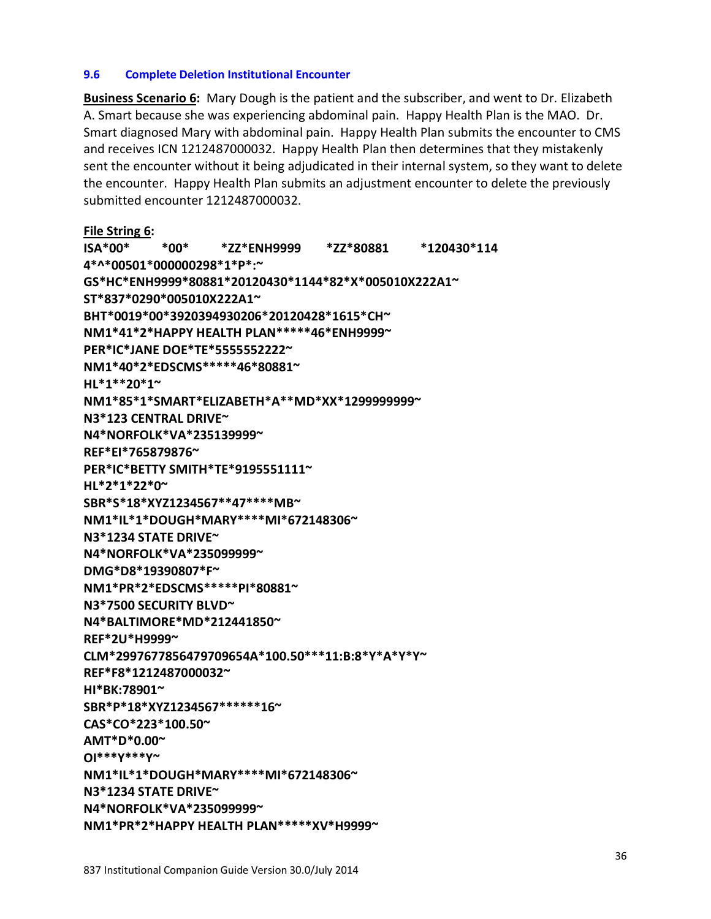#### **9.6 Complete Deletion Institutional Encounter**

**Business Scenario 6:** Mary Dough is the patient and the subscriber, and went to Dr. Elizabeth A. Smart because she was experiencing abdominal pain. Happy Health Plan is the MAO. Dr. Smart diagnosed Mary with abdominal pain. Happy Health Plan submits the encounter to CMS and receives ICN 1212487000032. Happy Health Plan then determines that they mistakenly sent the encounter without it being adjudicated in their internal system, so they want to delete the encounter. Happy Health Plan submits an adjustment encounter to delete the previously submitted encounter 1212487000032.

**File String 6: ISA\*00\* \*00\* \*ZZ\*ENH9999 \*ZZ\*80881 \*120430\*114 4\*^\*00501\*000000298\*1\*P\*:~ GS\*HC\*ENH9999\*80881\*20120430\*1144\*82\*X\*005010X222A1~ ST\*837\*0290\*005010X222A1~ BHT\*0019\*00\*3920394930206\*20120428\*1615\*CH~ NM1\*41\*2\*HAPPY HEALTH PLAN\*\*\*\*\*46\*ENH9999~ PER\*IC\*JANE DOE\*TE\*5555552222~ NM1\*40\*2\*EDSCMS\*\*\*\*\*46\*80881~ HL\*1\*\*20\*1~ NM1\*85\*1\*SMART\*ELIZABETH\*A\*\*MD\*XX\*1299999999~ N3\*123 CENTRAL DRIVE~ N4\*NORFOLK\*VA\*235139999~ REF\*EI\*765879876~ PER\*IC\*BETTY SMITH\*TE\*9195551111~ HL\*2\*1\*22\*0~ SBR\*S\*18\*XYZ1234567\*\*47\*\*\*\*MB~ NM1\*IL\*1\*DOUGH\*MARY\*\*\*\*MI\*672148306~ N3\*1234 STATE DRIVE~ N4\*NORFOLK\*VA\*235099999~ DMG\*D8\*19390807\*F~ NM1\*PR\*2\*EDSCMS\*\*\*\*\*PI\*80881~ N3\*7500 SECURITY BLVD~ N4\*BALTIMORE\*MD\*212441850~ REF\*2U\*H9999~ CLM\*2997677856479709654A\*100.50\*\*\*11:B:8\*Y\*A\*Y\*Y~ REF\*F8\*1212487000032~ HI\*BK:78901~ SBR\*P\*18\*XYZ1234567\*\*\*\*\*\*16~ CAS\*CO\*223\*100.50~ AMT\*D\*0.00~ OI\*\*\*Y\*\*\*Y~ NM1\*IL\*1\*DOUGH\*MARY\*\*\*\*MI\*672148306~ N3\*1234 STATE DRIVE~ N4\*NORFOLK\*VA\*235099999~** 

**NM1\*PR\*2\*HAPPY HEALTH PLAN\*\*\*\*\*XV\*H9999~**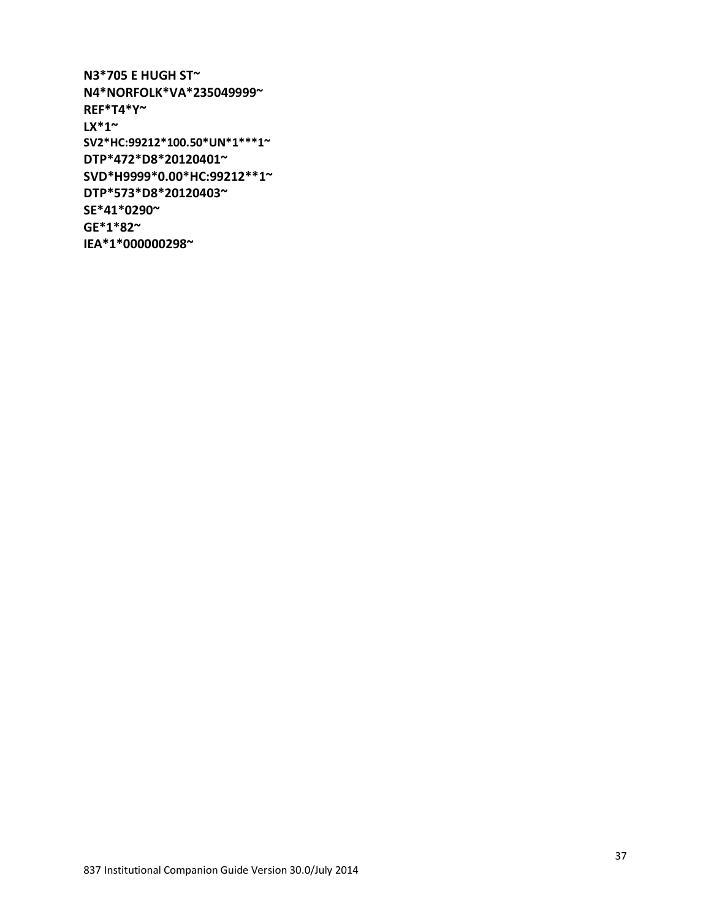**N3\*705 E HUGH ST~ N4\*NORFOLK\*VA\*235049999~ REF\*T4\*Y~ LX\*1~ SV2\*HC:99212\*100.50\*UN\*1\*\*\*1~ DTP\*472\*D8\*20120401~ SVD\*H9999\*0.00\*HC:99212\*\*1~ DTP\*573\*D8\*20120403~ SE\*41\*0290~ GE\*1\*82~** 

**IEA\*1\*000000298~**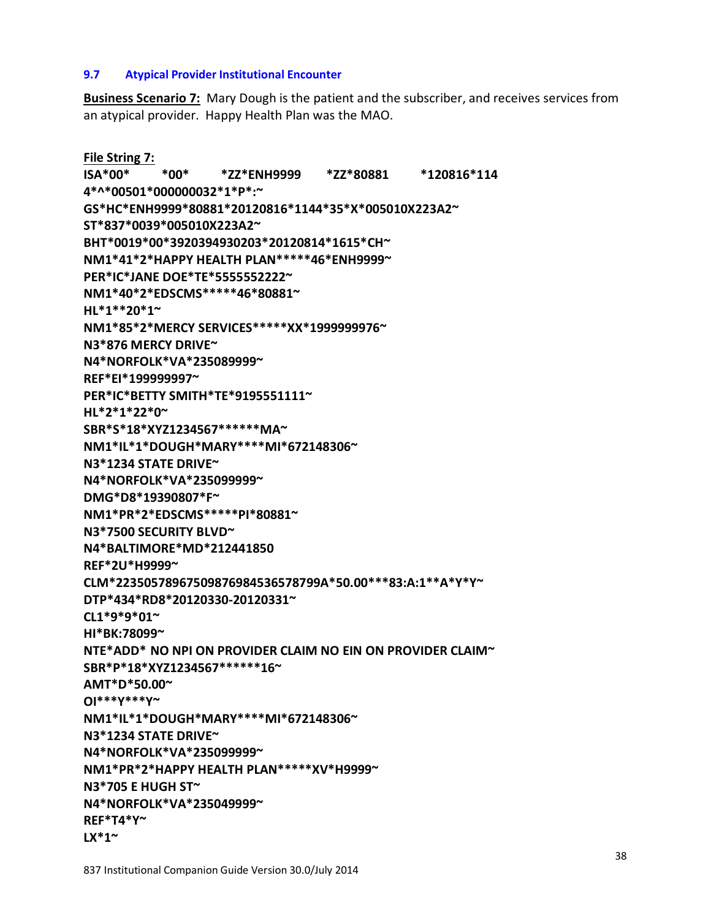#### **LX\*1~**

837 Institutional Companion Guide Version 30.0/July 2014

**9.7 Atypical Provider Institutional Encounter**

an atypical provider. Happy Health Plan was the MAO.

**File String 7: ISA\*00\* \*00\* \*ZZ\*ENH9999 \*ZZ\*80881 \*120816\*114 4\*^\*00501\*000000032\*1\*P\*:~ GS\*HC\*ENH9999\*80881\*20120816\*1144\*35\*X\*005010X223A2~ ST\*837\*0039\*005010X223A2~ BHT\*0019\*00\*3920394930203\*20120814\*1615\*CH~ NM1\*41\*2\*HAPPY HEALTH PLAN\*\*\*\*\*46\*ENH9999~ PER\*IC\*JANE DOE\*TE\*5555552222~ NM1\*40\*2\*EDSCMS\*\*\*\*\*46\*80881~ HL\*1\*\*20\*1~ NM1\*85\*2\*MERCY SERVICES\*\*\*\*\*XX\*1999999976~ N3\*876 MERCY DRIVE~ N4\*NORFOLK\*VA\*235089999~ REF\*EI\*199999997~ PER\*IC\*BETTY SMITH\*TE\*9195551111~ HL\*2\*1\*22\*0~ SBR\*S\*18\*XYZ1234567\*\*\*\*\*\*MA~ NM1\*IL\*1\*DOUGH\*MARY\*\*\*\*MI\*672148306~ N3\*1234 STATE DRIVE~ N4\*NORFOLK\*VA\*235099999~ DMG\*D8\*19390807\*F~ NM1\*PR\*2\*EDSCMS\*\*\*\*\*PI\*80881~ N3\*7500 SECURITY BLVD~ N4\*BALTIMORE\*MD\*212441850 REF\*2U\*H9999~ CLM\*22350578967509876984536578799A\*50.00\*\*\*83:A:1\*\*A\*Y\*Y~ DTP\*434\*RD8\*20120330-20120331~ CL1\*9\*9\*01~ HI\*BK:78099~ NTE\*ADD\* NO NPI ON PROVIDER CLAIM NO EIN ON PROVIDER CLAIM~ SBR\*P\*18\*XYZ1234567\*\*\*\*\*\*16~ AMT\*D\*50.00~ OI\*\*\*Y\*\*\*Y~ NM1\*IL\*1\*DOUGH\*MARY\*\*\*\*MI\*672148306~ N3\*1234 STATE DRIVE~ N4\*NORFOLK\*VA\*235099999~ NM1\*PR\*2\*HAPPY HEALTH PLAN\*\*\*\*\*XV\*H9999~ N3\*705 E HUGH ST~ N4\*NORFOLK\*VA\*235049999~ REF\*T4\*Y~**

**Business Scenario 7:** Mary Dough is the patient and the subscriber, and receives services from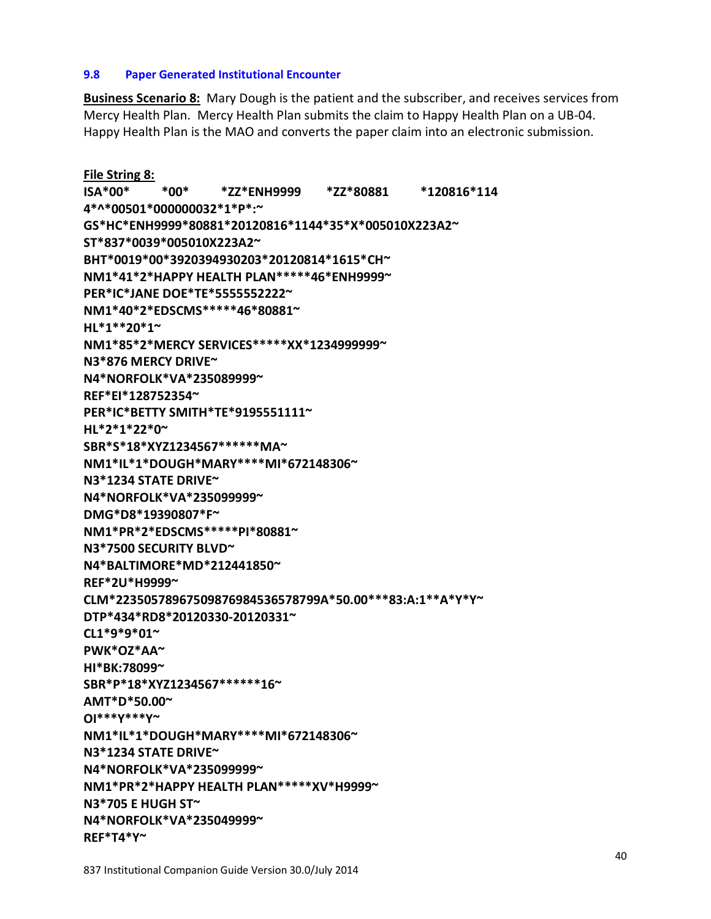# **9.8 Paper Generated Institutional Encounter**

**Business Scenario 8:** Mary Dough is the patient and the subscriber, and receives services from Mercy Health Plan. Mercy Health Plan submits the claim to Happy Health Plan on a UB-04. Happy Health Plan is the MAO and converts the paper claim into an electronic submission.

**File String 8: ISA\*00\* \*00\* \*ZZ\*ENH9999 \*ZZ\*80881 \*120816\*114 4\*^\*00501\*000000032\*1\*P\*:~ GS\*HC\*ENH9999\*80881\*20120816\*1144\*35\*X\*005010X223A2~ ST\*837\*0039\*005010X223A2~ BHT\*0019\*00\*3920394930203\*20120814\*1615\*CH~ NM1\*41\*2\*HAPPY HEALTH PLAN\*\*\*\*\*46\*ENH9999~ PER\*IC\*JANE DOE\*TE\*5555552222~ NM1\*40\*2\*EDSCMS\*\*\*\*\*46\*80881~ HL\*1\*\*20\*1~ NM1\*85\*2\*MERCY SERVICES\*\*\*\*\*XX\*1234999999~ N3\*876 MERCY DRIVE~ N4\*NORFOLK\*VA\*235089999~ REF\*EI\*128752354~ PER\*IC\*BETTY SMITH\*TE\*9195551111~ HL\*2\*1\*22\*0~ SBR\*S\*18\*XYZ1234567\*\*\*\*\*\*MA~ NM1\*IL\*1\*DOUGH\*MARY\*\*\*\*MI\*672148306~ N3\*1234 STATE DRIVE~ N4\*NORFOLK\*VA\*235099999~ DMG\*D8\*19390807\*F~ NM1\*PR\*2\*EDSCMS\*\*\*\*\*PI\*80881~ N3\*7500 SECURITY BLVD~ N4\*BALTIMORE\*MD\*212441850~ REF\*2U\*H9999~ CLM\*22350578967509876984536578799A\*50.00\*\*\*83:A:1\*\*A\*Y\*Y~ DTP\*434\*RD8\*20120330-20120331~ CL1\*9\*9\*01~ PWK\*OZ\*AA~ HI\*BK:78099~ SBR\*P\*18\*XYZ1234567\*\*\*\*\*\*16~ AMT\*D\*50.00~ OI\*\*\*Y\*\*\*Y~ NM1\*IL\*1\*DOUGH\*MARY\*\*\*\*MI\*672148306~ N3\*1234 STATE DRIVE~ N4\*NORFOLK\*VA\*235099999~ NM1\*PR\*2\*HAPPY HEALTH PLAN\*\*\*\*\*XV\*H9999~ N3\*705 E HUGH ST~ N4\*NORFOLK\*VA\*235049999~**

**REF\*T4\*Y~**

837 Institutional Companion Guide Version 30.0/July 2014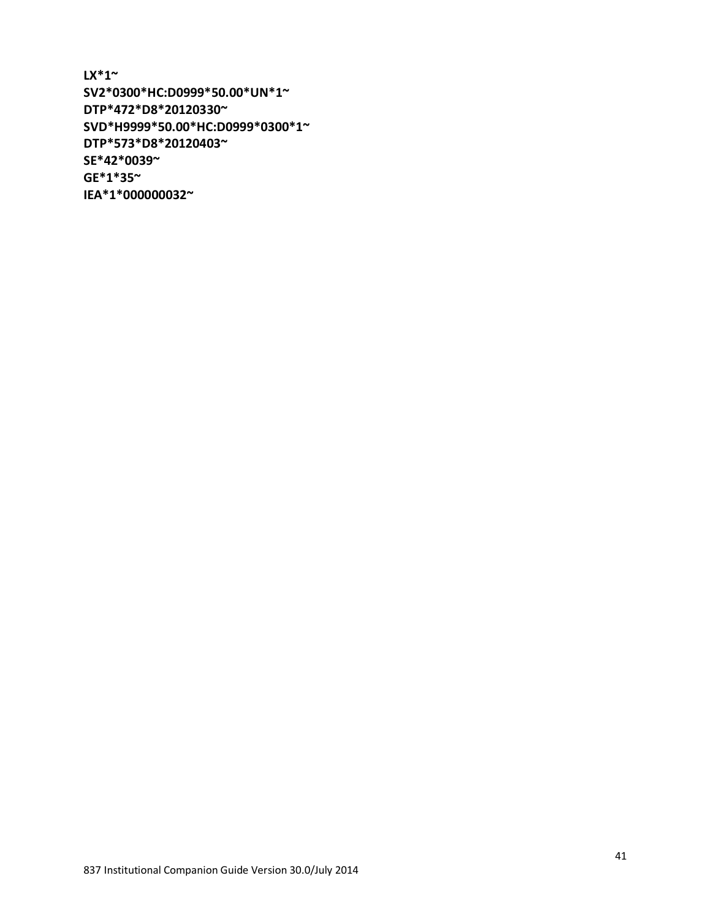**LX\*1~ SV2\*0300\*HC:D0999\*50.00\*UN\*1~ DTP\*472\*D8\*20120330~ SVD\*H9999\*50.00\*HC:D0999\*0300\*1~ DTP\*573\*D8\*20120403~ SE\*42\*0039~ GE\*1\*35~ IEA\*1\*000000032~**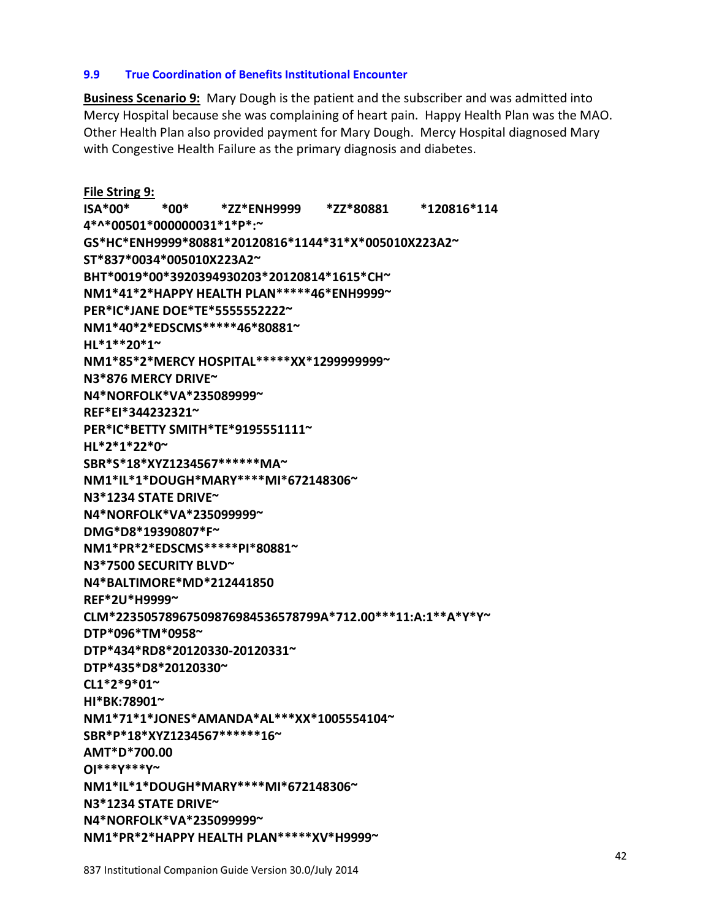## **NM1\*IL\*1\*DOUGH\*MARY\*\*\*\*MI\*672148306~**

**NM1\*PR\*2\*HAPPY HEALTH PLAN\*\*\*\*\*XV\*H9999~**

837 Institutional Companion Guide Version 30.0/July 2014

**OI\*\*\*Y\*\*\*Y~**

**AMT\*D\*700.00**

**N3\*1234 STATE DRIVE~** 

**N4\*NORFOLK\*VA\*235099999~** 

**NM1\*71\*1\*JONES\*AMANDA\*AL\*\*\*XX\*1005554104~ SBR\*P\*18\*XYZ1234567\*\*\*\*\*\*16~**

**9.9 True Coordination of Benefits Institutional Encounter**

with Congestive Health Failure as the primary diagnosis and diabetes.

**ISA\*00\* \*00\* \*ZZ\*ENH9999 \*ZZ\*80881 \*120816\*114**

**GS\*HC\*ENH9999\*80881\*20120816\*1144\*31\*X\*005010X223A2~** 

**BHT\*0019\*00\*3920394930203\*20120814\*1615\*CH~ NM1\*41\*2\*HAPPY HEALTH PLAN\*\*\*\*\*46\*ENH9999~** 

**NM1\*85\*2\*MERCY HOSPITAL\*\*\*\*\*XX\*1299999999~** 

**Business Scenario 9:** Mary Dough is the patient and the subscriber and was admitted into Mercy Hospital because she was complaining of heart pain. Happy Health Plan was the MAO. Other Health Plan also provided payment for Mary Dough. Mercy Hospital diagnosed Mary

**HI\*BK:78901~** 

**CL1\*2\*9\*01~** 

**DTP\*435\*D8\*20120330~**

**DTP\*434\*RD8\*20120330-20120331~** 

**DTP\*096\*TM\*0958~**

**CLM\*22350578967509876984536578799A\*712.00\*\*\*11:A:1\*\*A\*Y\*Y~** 

42

**REF\*2U\*H9999~**

**N4\*BALTIMORE\*MD\*212441850**

**File String 9:**

**HL\*1\*\*20\*1~** 

**N3\*7500 SECURITY BLVD~**

**NM1\*PR\*2\*EDSCMS\*\*\*\*\*PI\*80881~** 

**DMG\*D8\*19390807\*F~** 

**SBR\*S\*18\*XYZ1234567\*\*\*\*\*\*MA~** 

**N4\*NORFOLK\*VA\*235099999~** 

**N4\*NORFOLK\*VA\*235089999~** 

**PER\*IC\*BETTY SMITH\*TE\*9195551111~**

**NM1\*IL\*1\*DOUGH\*MARY\*\*\*\*MI\*672148306~** 

**4\*^\*00501\*000000031\*1\*P\*:~** 

**ST\*837\*0034\*005010X223A2~** 

**PER\*IC\*JANE DOE\*TE\*5555552222~ NM1\*40\*2\*EDSCMS\*\*\*\*\*46\*80881~** 

**N3\*1234 STATE DRIVE~** 

**N3\*876 MERCY DRIVE~** 

**REF\*EI\*344232321~**

**HL\*2\*1\*22\*0~**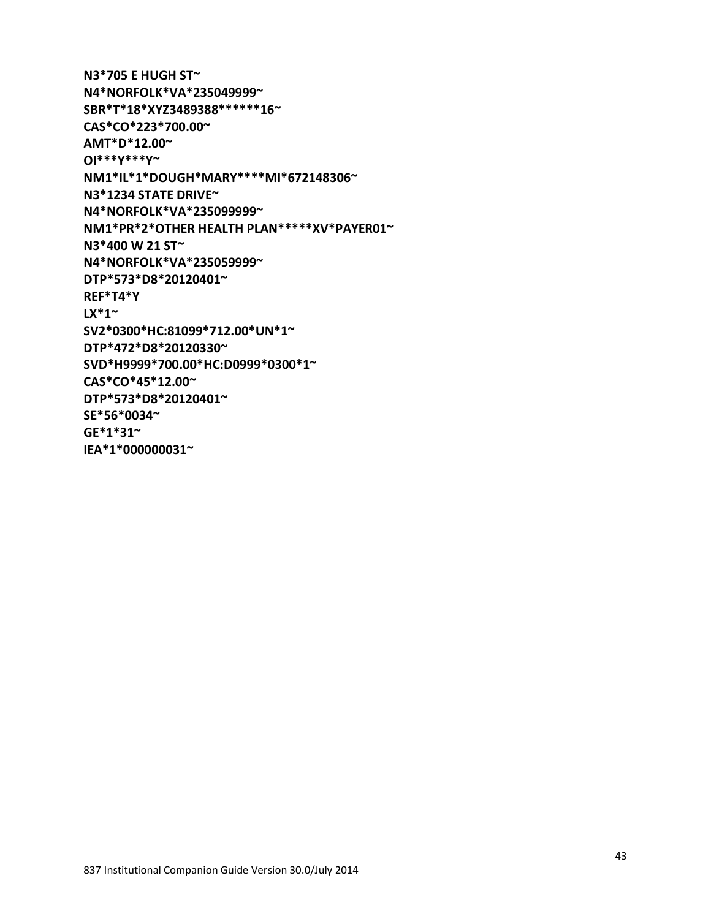43

**N3\*705 E HUGH ST~ N4\*NORFOLK\*VA\*235049999~ SBR\*T\*18\*XYZ3489388\*\*\*\*\*\*16~ CAS\*CO\*223\*700.00~ AMT\*D\*12.00~ OI\*\*\*Y\*\*\*Y~ NM1\*IL\*1\*DOUGH\*MARY\*\*\*\*MI\*672148306~ N3\*1234 STATE DRIVE~ N4\*NORFOLK\*VA\*235099999~ NM1\*PR\*2\*OTHER HEALTH PLAN\*\*\*\*\*XV\*PAYER01~ N3\*400 W 21 ST~ N4\*NORFOLK\*VA\*235059999~ DTP\*573\*D8\*20120401~ REF\*T4\*Y LX\*1~ SV2\*0300\*HC:81099\*712.00\*UN\*1~ DTP\*472\*D8\*20120330~ SVD\*H9999\*700.00\*HC:D0999\*0300\*1~ CAS\*CO\*45\*12.00~ DTP\*573\*D8\*20120401~ SE\*56\*0034~ GE\*1\*31~ IEA\*1\*000000031~**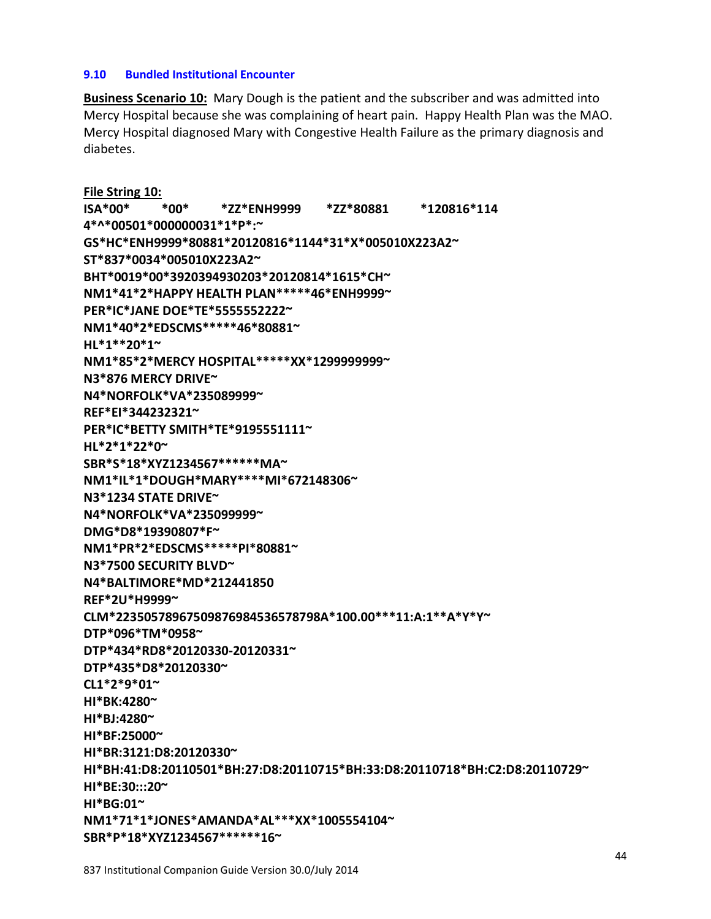# **9.10 Bundled Institutional Encounter**

**Business Scenario 10:** Mary Dough is the patient and the subscriber and was admitted into Mercy Hospital because she was complaining of heart pain. Happy Health Plan was the MAO. Mercy Hospital diagnosed Mary with Congestive Health Failure as the primary diagnosis and diabetes.

**File String 10: ISA\*00\* \*00\* \*ZZ\*ENH9999 \*ZZ\*80881 \*120816\*114 4\*^\*00501\*000000031\*1\*P\*:~ GS\*HC\*ENH9999\*80881\*20120816\*1144\*31\*X\*005010X223A2~ ST\*837\*0034\*005010X223A2~ BHT\*0019\*00\*3920394930203\*20120814\*1615\*CH~ NM1\*41\*2\*HAPPY HEALTH PLAN\*\*\*\*\*46\*ENH9999~ PER\*IC\*JANE DOE\*TE\*5555552222~ NM1\*40\*2\*EDSCMS\*\*\*\*\*46\*80881~ HL\*1\*\*20\*1~ NM1\*85\*2\*MERCY HOSPITAL\*\*\*\*\*XX\*1299999999~ N3\*876 MERCY DRIVE~ N4\*NORFOLK\*VA\*235089999~ REF\*EI\*344232321~ PER\*IC\*BETTY SMITH\*TE\*9195551111~ HL\*2\*1\*22\*0~ SBR\*S\*18\*XYZ1234567\*\*\*\*\*\*MA~ NM1\*IL\*1\*DOUGH\*MARY\*\*\*\*MI\*672148306~ N3\*1234 STATE DRIVE~ N4\*NORFOLK\*VA\*235099999~ DMG\*D8\*19390807\*F~ NM1\*PR\*2\*EDSCMS\*\*\*\*\*PI\*80881~ N3\*7500 SECURITY BLVD~ N4\*BALTIMORE\*MD\*212441850 REF\*2U\*H9999~ CLM\*22350578967509876984536578798A\*100.00\*\*\*11:A:1\*\*A\*Y\*Y~ DTP\*096\*TM\*0958~ DTP\*434\*RD8\*20120330-20120331~ DTP\*435\*D8\*20120330~ CL1\*2\*9\*01~ HI\*BK:4280~ HI\*BJ:4280~ HI\*BF:25000~ HI\*BR:3121:D8:20120330~ HI\*BH:41:D8:20110501\*BH:27:D8:20110715\*BH:33:D8:20110718\*BH:C2:D8:20110729~ HI\*BE:30:::20~ HI\*BG:01~ NM1\*71\*1\*JONES\*AMANDA\*AL\*\*\*XX\*1005554104~** 

**SBR\*P\*18\*XYZ1234567\*\*\*\*\*\*16~**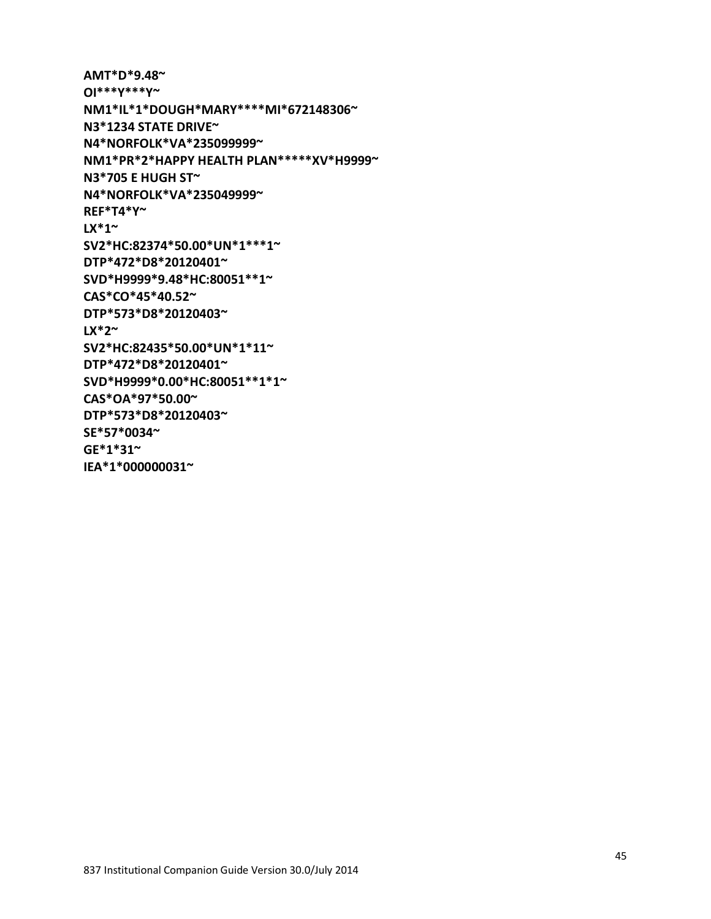**AMT\*D\*9.48~ OI\*\*\*Y\*\*\*Y~ NM1\*IL\*1\*DOUGH\*MARY\*\*\*\*MI\*672148306~ N3\*1234 STATE DRIVE~ N4\*NORFOLK\*VA\*235099999~ NM1\*PR\*2\*HAPPY HEALTH PLAN\*\*\*\*\*XV\*H9999~ N3\*705 E HUGH ST~ N4\*NORFOLK\*VA\*235049999~ REF\*T4\*Y~ LX\*1~ SV2\*HC:82374\*50.00\*UN\*1\*\*\*1~ DTP\*472\*D8\*20120401~ SVD\*H9999\*9.48\*HC:80051\*\*1~ CAS\*CO\*45\*40.52~ DTP\*573\*D8\*20120403~ LX\*2~ SV2\*HC:82435\*50.00\*UN\*1\*11~ DTP\*472\*D8\*20120401~ SVD\*H9999\*0.00\*HC:80051\*\*1\*1~ CAS\*OA\*97\*50.00~ DTP\*573\*D8\*20120403~ SE\*57\*0034~ GE\*1\*31~ IEA\*1\*000000031~**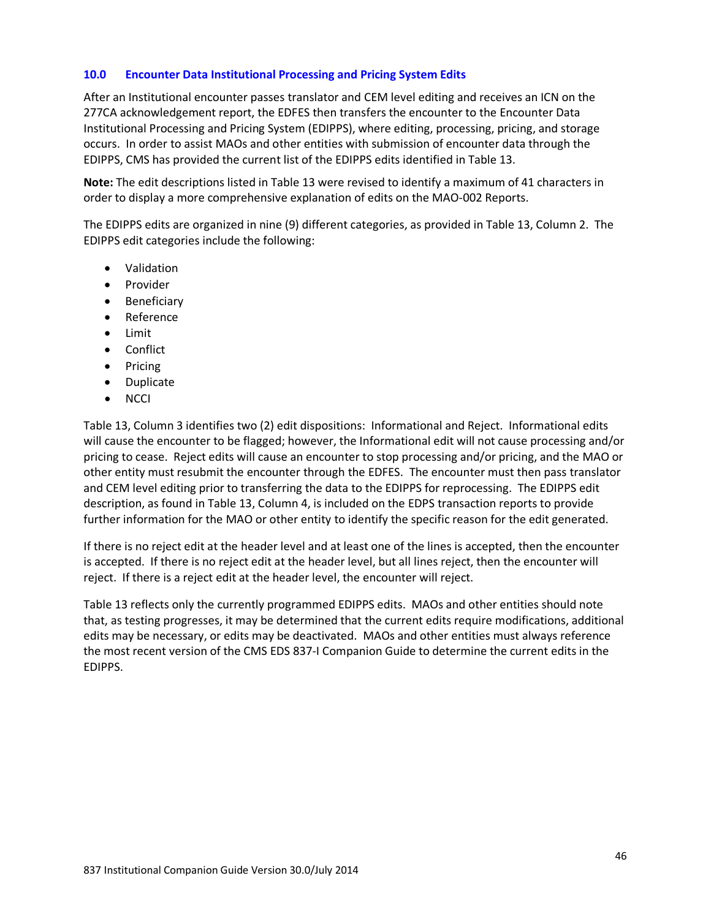#### **10.0 Encounter Data Institutional Processing and Pricing System Edits**

After an Institutional encounter passes translator and CEM level editing and receives an ICN on the 277CA acknowledgement report, the EDFES then transfers the encounter to the Encounter Data Institutional Processing and Pricing System (EDIPPS), where editing, processing, pricing, and storage occurs. In order to assist MAOs and other entities with submission of encounter data through the EDIPPS, CMS has provided the current list of the EDIPPS edits identified in Table 13.

**Note:** The edit descriptions listed in Table 13 were revised to identify a maximum of 41 characters in order to display a more comprehensive explanation of edits on the MAO-002 Reports.

The EDIPPS edits are organized in nine (9) different categories, as provided in Table 13, Column 2. The EDIPPS edit categories include the following:

- Validation
- Provider
- Beneficiary
- Reference
- Limit
- Conflict
- Pricing
- Duplicate
- NCCI

Table 13, Column 3 identifies two (2) edit dispositions: Informational and Reject. Informational edits will cause the encounter to be flagged; however, the Informational edit will not cause processing and/or pricing to cease. Reject edits will cause an encounter to stop processing and/or pricing, and the MAO or other entity must resubmit the encounter through the EDFES. The encounter must then pass translator and CEM level editing prior to transferring the data to the EDIPPS for reprocessing. The EDIPPS edit description, as found in Table 13, Column 4, is included on the EDPS transaction reports to provide further information for the MAO or other entity to identify the specific reason for the edit generated.

If there is no reject edit at the header level and at least one of the lines is accepted, then the encounter is accepted. If there is no reject edit at the header level, but all lines reject, then the encounter will reject. If there is a reject edit at the header level, the encounter will reject.

Table 13 reflects only the currently programmed EDIPPS edits. MAOs and other entities should note that, as testing progresses, it may be determined that the current edits require modifications, additional edits may be necessary, or edits may be deactivated. MAOs and other entities must always reference the most recent version of the CMS EDS 837-I Companion Guide to determine the current edits in the EDIPPS.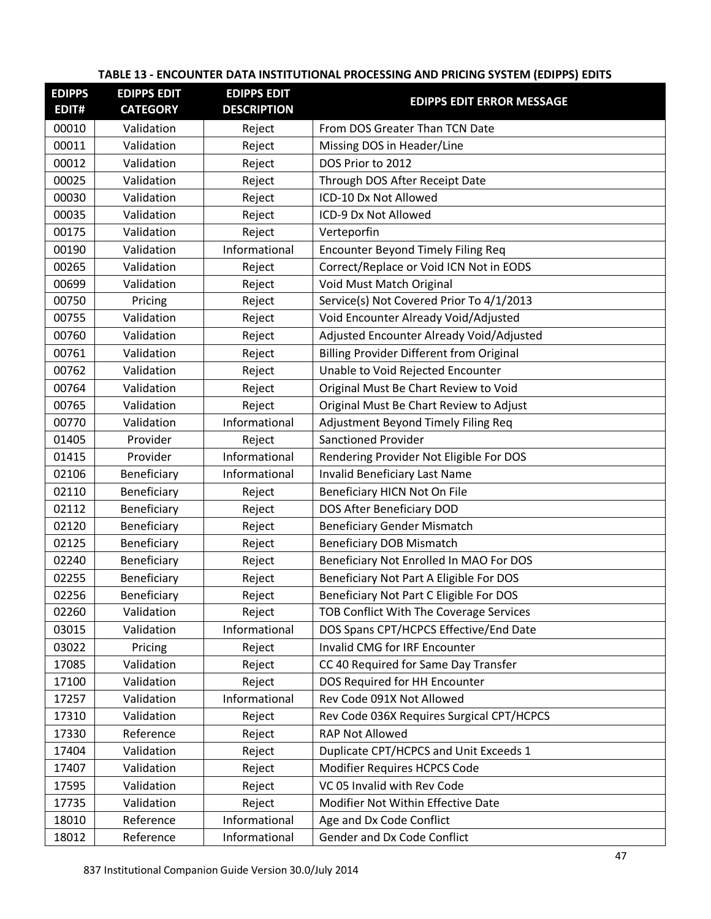## **EDIPPS EDIT# EDIPPS EDIT CATEGORY EDIPPS EDIT DESCRIPTION EDIPPS EDIT ERROR MESSAGE** 00010 | Validation | Reject | From DOS Greater Than TCN Date 00011 | Validation | Reject | Missing DOS in Header/Line 00012 Validation Reject DOS Prior to 2012 00025 Validation | Reject | Through DOS After Receipt Date 00030 | Validation | Reject | ICD-10 Dx Not Allowed 00035 Validation | Reject | ICD-9 Dx Not Allowed 00175 | Validation | Reject | Verteporfin 00190 | Validation | Informational | Encounter Beyond Timely Filing Req 00265 Validation Reject Correct/Replace or Void ICN Not in EODS 00699 | Validation | Reject | Void Must Match Original 00750 Pricing Reject Service(s) Not Covered Prior To 4/1/2013 00755 Validation | Reject Void Encounter Already Void/Adjusted 00760 | Validation | Reject | Adjusted Encounter Already Void/Adjusted 00761 | Validation | Reject | Billing Provider Different from Original 00762 Validation Reject Unable to Void Rejected Encounter 00764 | Validation | Reject | Original Must Be Chart Review to Void 00765 Validation | Reject | Original Must Be Chart Review to Adjust 00770 | Validation | Informational | Adjustment Beyond Timely Filing Req 01405 Provider | Reject Sanctioned Provider 01415 | Provider | Informational Rendering Provider Not Eligible For DOS 02106 | Beneficiary | Informational | Invalid Beneficiary Last Name 02110 | Beneficiary | Reject | Beneficiary HICN Not On File 02112 | Beneficiary | Reject | DOS After Beneficiary DOD 02120 Beneficiary Reject Beneficiary Gender Mismatch 02125 | Beneficiary | Reject | Beneficiary DOB Mismatch 02240 | Beneficiary | Reject | Beneficiary Not Enrolled In MAO For DOS 02255 | Beneficiary | Reject | Beneficiary Not Part A Eligible For DOS 02256 | Beneficiary | Reject | Beneficiary Not Part C Eligible For DOS 02260 | Validation | Reject | TOB Conflict With The Coverage Services 03015 | Validation | Informational | DOS Spans CPT/HCPCS Effective/End Date 03022 Pricing | Reject | Invalid CMG for IRF Encounter 17085 | Validation | Reject | CC 40 Required for Same Day Transfer 17100 Validation Reject DOS Required for HH Encounter 17257 Validation Informational Rev Code 091X Not Allowed 17310 | Validation | Reject | Rev Code 036X Requires Surgical CPT/HCPCS 17330 Reference Reject RAP Not Allowed 17404 | Validation | Reject | Duplicate CPT/HCPCS and Unit Exceeds 1 17407 Validation Reject Modifier Requires HCPCS Code 17595 Validation | Reject VC 05 Invalid with Rev Code 17735 Validation | Reject | Modifier Not Within Effective Date 18010 Reference Informational Age and Dx Code Conflict 18012 Reference | Informational Gender and Dx Code Conflict

#### **TABLE 13 - ENCOUNTER DATA INSTITUTIONAL PROCESSING AND PRICING SYSTEM (EDIPPS) EDITS**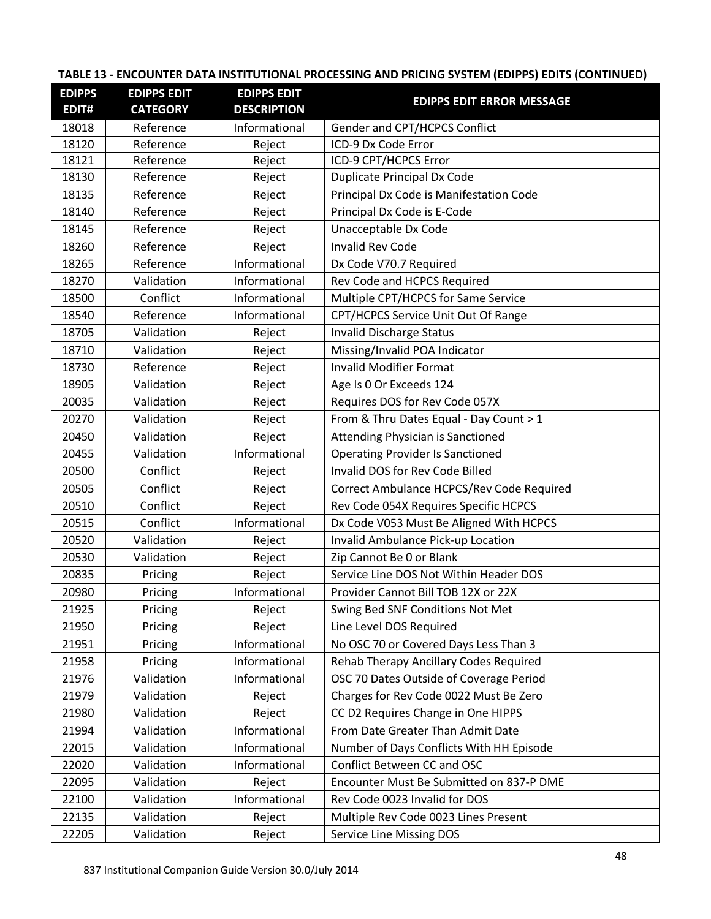| <b>EDIPPS</b><br>EDIT# | <b>EDIPPS EDIT</b><br><b>CATEGORY</b> | <b>EDIPPS EDIT</b><br><b>DESCRIPTION</b> | <b>EDIPPS EDIT ERROR MESSAGE</b>              |
|------------------------|---------------------------------------|------------------------------------------|-----------------------------------------------|
| 18018                  | Reference                             | Informational                            | Gender and CPT/HCPCS Conflict                 |
| 18120                  | Reference                             | Reject                                   | ICD-9 Dx Code Error                           |
| 18121                  | Reference                             | Reject                                   | ICD-9 CPT/HCPCS Error                         |
| 18130                  | Reference                             | Reject                                   | <b>Duplicate Principal Dx Code</b>            |
| 18135                  | Reference                             | Reject                                   | Principal Dx Code is Manifestation Code       |
| 18140                  | Reference                             | Reject                                   | Principal Dx Code is E-Code                   |
| 18145                  | Reference                             | Reject                                   | Unacceptable Dx Code                          |
| 18260                  | Reference                             | Reject                                   | <b>Invalid Rev Code</b>                       |
| 18265                  | Reference                             | Informational                            | Dx Code V70.7 Required                        |
| 18270                  | Validation                            | Informational                            | Rev Code and HCPCS Required                   |
| 18500                  | Conflict                              | Informational                            | Multiple CPT/HCPCS for Same Service           |
| 18540                  | Reference                             | Informational                            | CPT/HCPCS Service Unit Out Of Range           |
| 18705                  | Validation                            | Reject                                   | <b>Invalid Discharge Status</b>               |
| 18710                  | Validation                            | Reject                                   | Missing/Invalid POA Indicator                 |
| 18730                  | Reference                             | Reject                                   | <b>Invalid Modifier Format</b>                |
| 18905                  | Validation                            | Reject                                   | Age Is 0 Or Exceeds 124                       |
| 20035                  | Validation                            | Reject                                   | Requires DOS for Rev Code 057X                |
| 20270                  | Validation                            | Reject                                   | From & Thru Dates Equal - Day Count > 1       |
| 20450                  | Validation                            | Reject                                   | <b>Attending Physician is Sanctioned</b>      |
| 20455                  | Validation                            | Informational                            | <b>Operating Provider Is Sanctioned</b>       |
| 20500                  | Conflict                              | Reject                                   | Invalid DOS for Rev Code Billed               |
| 20505                  | Conflict                              | Reject                                   | Correct Ambulance HCPCS/Rev Code Required     |
| 20510                  | Conflict                              | Reject                                   | Rev Code 054X Requires Specific HCPCS         |
| 20515                  | Conflict                              | Informational                            | Dx Code V053 Must Be Aligned With HCPCS       |
| 20520                  | Validation                            | Reject                                   | Invalid Ambulance Pick-up Location            |
| 20530                  | Validation                            | Reject                                   | Zip Cannot Be 0 or Blank                      |
| 20835                  | Pricing                               | Reject                                   | Service Line DOS Not Within Header DOS        |
| 20980                  | Pricing                               | Informational                            | Provider Cannot Bill TOB 12X or 22X           |
| 21925                  | Pricing                               | Reject                                   | Swing Bed SNF Conditions Not Met              |
| 21950                  | Pricing                               | Reject                                   | Line Level DOS Required                       |
| 21951                  | Pricing                               | Informational                            | No OSC 70 or Covered Days Less Than 3         |
| 21958                  | Pricing                               | Informational                            | <b>Rehab Therapy Ancillary Codes Required</b> |
| 21976                  | Validation                            | Informational                            | OSC 70 Dates Outside of Coverage Period       |
| 21979                  | Validation                            | Reject                                   | Charges for Rev Code 0022 Must Be Zero        |
| 21980                  | Validation                            | Reject                                   | CC D2 Requires Change in One HIPPS            |
| 21994                  | Validation                            | Informational                            | From Date Greater Than Admit Date             |
| 22015                  | Validation                            | Informational                            | Number of Days Conflicts With HH Episode      |
| 22020                  | Validation                            | Informational                            | Conflict Between CC and OSC                   |
| 22095                  | Validation                            | Reject                                   | Encounter Must Be Submitted on 837-P DME      |
| 22100                  | Validation                            | Informational                            | Rev Code 0023 Invalid for DOS                 |
| 22135                  | Validation                            | Reject                                   | Multiple Rev Code 0023 Lines Present          |
| 22205                  | Validation                            | Reject                                   | <b>Service Line Missing DOS</b>               |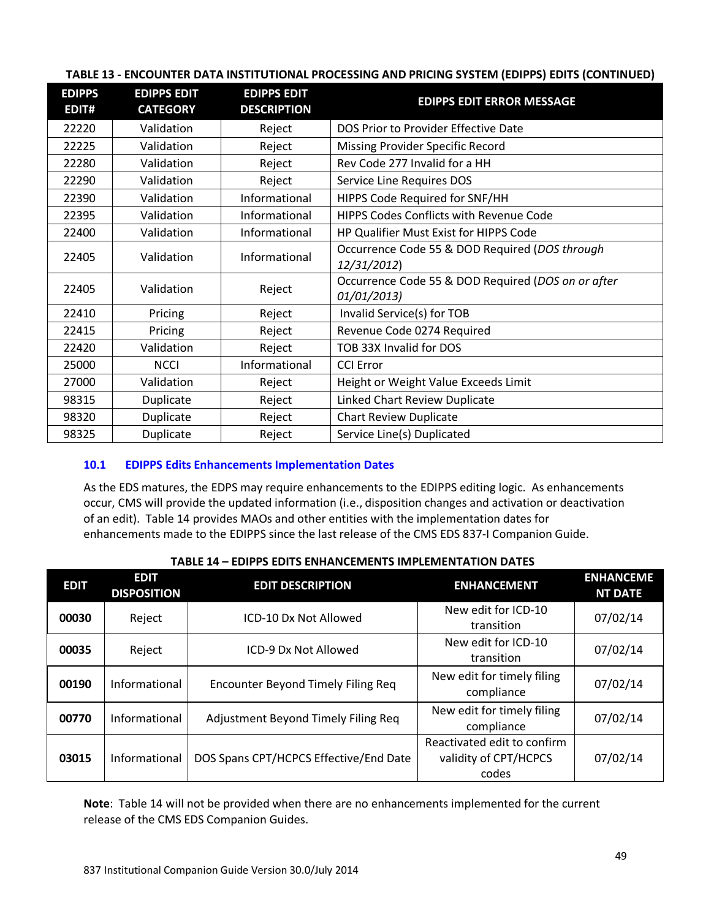| <b>EDIPPS</b><br>EDIT# | <b>EDIPPS EDIT</b><br><b>CATEGORY</b> | <b>EDIPPS EDIT</b><br><b>DESCRIPTION</b> | <b>EDIPPS EDIT ERROR MESSAGE</b>                                  |
|------------------------|---------------------------------------|------------------------------------------|-------------------------------------------------------------------|
| 22220                  | Validation                            | Reject                                   | DOS Prior to Provider Effective Date                              |
| 22225                  | Validation                            | Reject                                   | Missing Provider Specific Record                                  |
| 22280                  | Validation                            | Reject                                   | Rev Code 277 Invalid for a HH                                     |
| 22290                  | Validation                            | Reject                                   | Service Line Requires DOS                                         |
| 22390                  | Validation                            | Informational                            | HIPPS Code Required for SNF/HH                                    |
| 22395                  | Validation                            | Informational                            | <b>HIPPS Codes Conflicts with Revenue Code</b>                    |
| 22400                  | Validation                            | Informational                            | HP Qualifier Must Exist for HIPPS Code                            |
| 22405                  | Validation                            | Informational                            | Occurrence Code 55 & DOD Required (DOS through<br>12/31/2012)     |
| 22405                  | Validation                            | Reject                                   | Occurrence Code 55 & DOD Required (DOS on or after<br>01/01/2013) |
| 22410                  | Pricing                               | Reject                                   | Invalid Service(s) for TOB                                        |
| 22415                  | Pricing                               | Reject                                   | Revenue Code 0274 Required                                        |
| 22420                  | Validation                            | Reject                                   | TOB 33X Invalid for DOS                                           |
| 25000                  | <b>NCCI</b>                           | Informational                            | <b>CCI Error</b>                                                  |
| 27000                  | Validation                            | Reject                                   | Height or Weight Value Exceeds Limit                              |
| 98315                  | Duplicate                             | Reject                                   | Linked Chart Review Duplicate                                     |
| 98320                  | Duplicate                             | Reject                                   | <b>Chart Review Duplicate</b>                                     |
| 98325                  | Duplicate                             | Reject                                   | Service Line(s) Duplicated                                        |

#### **TABLE 13 - ENCOUNTER DATA INSTITUTIONAL PROCESSING AND PRICING SYSTEM (EDIPPS) EDITS (CONTINUED)**

## **10.1 EDIPPS Edits Enhancements Implementation Dates**

As the EDS matures, the EDPS may require enhancements to the EDIPPS editing logic. As enhancements occur, CMS will provide the updated information (i.e., disposition changes and activation or deactivation of an edit). Table 14 provides MAOs and other entities with the implementation dates for enhancements made to the EDIPPS since the last release of the CMS EDS 837-I Companion Guide.

| <b>EDIT</b> | <b>EDIT</b><br><b>DISPOSITION</b> | <b>EDIT DESCRIPTION</b>                   | <b>ENHANCEMENT</b>                                            | <b>ENHANCEME</b><br><b>NT DATE</b> |
|-------------|-----------------------------------|-------------------------------------------|---------------------------------------------------------------|------------------------------------|
| 00030       | Reject                            | ICD-10 Dx Not Allowed                     | New edit for ICD-10<br>transition                             | 07/02/14                           |
| 00035       | Reject                            | ICD-9 Dx Not Allowed                      | New edit for ICD-10<br>transition                             | 07/02/14                           |
| 00190       | Informational                     | <b>Encounter Beyond Timely Filing Req</b> | New edit for timely filing<br>compliance                      | 07/02/14                           |
| 00770       | Informational                     | Adjustment Beyond Timely Filing Req       | New edit for timely filing<br>compliance                      | 07/02/14                           |
| 03015       | Informational                     | DOS Spans CPT/HCPCS Effective/End Date    | Reactivated edit to confirm<br>validity of CPT/HCPCS<br>codes | 07/02/14                           |

#### **TABLE 14 – EDIPPS EDITS ENHANCEMENTS IMPLEMENTATION DATES**

**Note**: Table 14 will not be provided when there are no enhancements implemented for the current release of the CMS EDS Companion Guides.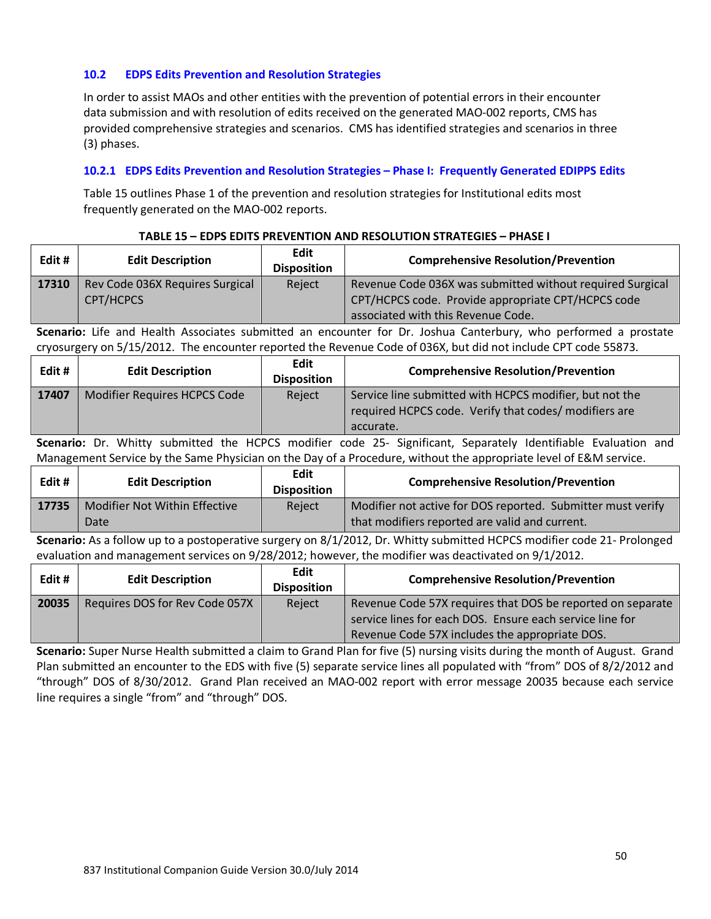#### **10.2 EDPS Edits Prevention and Resolution Strategies**

In order to assist MAOs and other entities with the prevention of potential errors in their encounter data submission and with resolution of edits received on the generated MAO-002 reports, CMS has provided comprehensive strategies and scenarios. CMS has identified strategies and scenarios in three (3) phases.

#### **10.2.1 EDPS Edits Prevention and Resolution Strategies – Phase I: Frequently Generated EDIPPS Edits**

Table 15 outlines Phase 1 of the prevention and resolution strategies for Institutional edits most frequently generated on the MAO-002 reports.

#### **TABLE 15 – EDPS EDITS PREVENTION AND RESOLUTION STRATEGIES – PHASE I**

| Edit # | <b>Edit Description</b>                      | <b>Edit</b><br><b>Disposition</b> | <b>Comprehensive Resolution/Prevention</b>                                                                                                            |
|--------|----------------------------------------------|-----------------------------------|-------------------------------------------------------------------------------------------------------------------------------------------------------|
| 17310  | Rev Code 036X Requires Surgical<br>CPT/HCPCS | Reject                            | Revenue Code 036X was submitted without required Surgical<br>CPT/HCPCS code. Provide appropriate CPT/HCPCS code<br>associated with this Revenue Code. |

**Scenario:** Life and Health Associates submitted an encounter for Dr. Joshua Canterbury, who performed a prostate cryosurgery on 5/15/2012. The encounter reported the Revenue Code of 036X, but did not include CPT code 55873.

| Edit# | <b>Edit Description</b>      | Edit<br><b>Disposition</b> | <b>Comprehensive Resolution/Prevention</b>                                                                                    |
|-------|------------------------------|----------------------------|-------------------------------------------------------------------------------------------------------------------------------|
| 17407 | Modifier Requires HCPCS Code | Reject                     | Service line submitted with HCPCS modifier, but not the<br>required HCPCS code. Verify that codes/ modifiers are<br>accurate. |

**Scenario:** Dr. Whitty submitted the HCPCS modifier code 25- Significant, Separately Identifiable Evaluation and Management Service by the Same Physician on the Day of a Procedure, without the appropriate level of E&M service.

| Edit# | <b>Edit Description</b>               | Edit<br><b>Disposition</b> | <b>Comprehensive Resolution/Prevention</b>                                                                    |
|-------|---------------------------------------|----------------------------|---------------------------------------------------------------------------------------------------------------|
| 17735 | Modifier Not Within Effective<br>Date | Reject                     | Modifier not active for DOS reported. Submitter must verify<br>that modifiers reported are valid and current. |

**Scenario:** As a follow up to a postoperative surgery on 8/1/2012, Dr. Whitty submitted HCPCS modifier code 21- Prolonged evaluation and management services on 9/28/2012; however, the modifier was deactivated on 9/1/2012.

| Edit # | <b>Edit Description</b>        | Edit<br><b>Disposition</b> | <b>Comprehensive Resolution/Prevention</b>                                                                             |
|--------|--------------------------------|----------------------------|------------------------------------------------------------------------------------------------------------------------|
| 20035  | Requires DOS for Rev Code 057X | Reject                     | Revenue Code 57X requires that DOS be reported on separate<br>service lines for each DOS. Ensure each service line for |
|        |                                |                            | Revenue Code 57X includes the appropriate DOS.                                                                         |

**Scenario:** Super Nurse Health submitted a claim to Grand Plan for five (5) nursing visits during the month of August. Grand Plan submitted an encounter to the EDS with five (5) separate service lines all populated with "from" DOS of 8/2/2012 and "through" DOS of 8/30/2012. Grand Plan received an MAO-002 report with error message 20035 because each service line requires a single "from" and "through" DOS.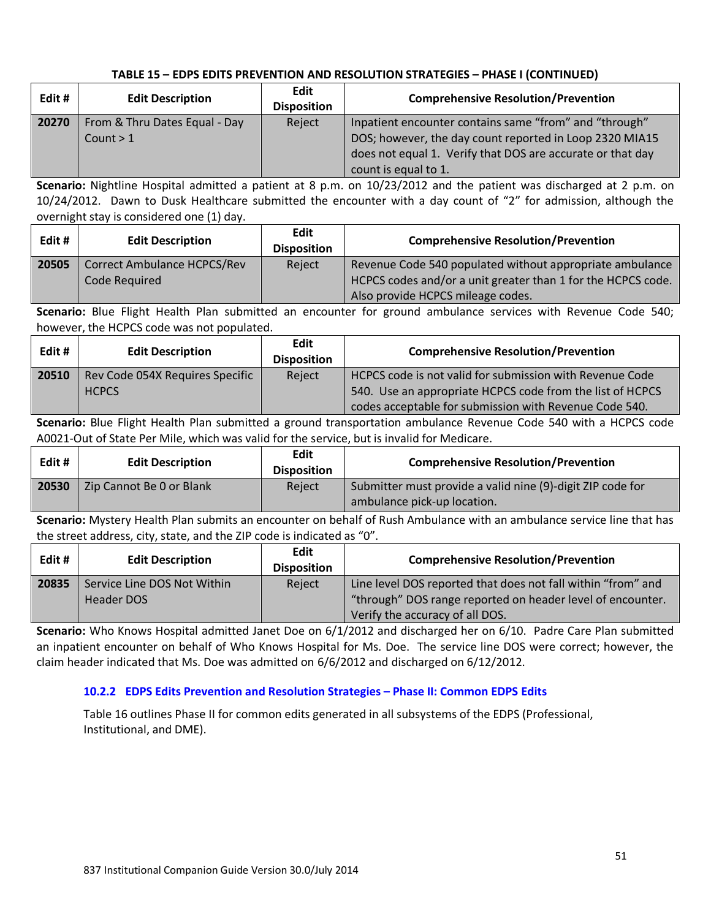| Edit # | <b>Edit Description</b>       | Edit<br><b>Disposition</b> | <b>Comprehensive Resolution/Prevention</b>                 |
|--------|-------------------------------|----------------------------|------------------------------------------------------------|
| 20270  | From & Thru Dates Equal - Day | Reject                     | Inpatient encounter contains same "from" and "through"     |
|        | Count $> 1$                   |                            | DOS; however, the day count reported in Loop 2320 MIA15    |
|        |                               |                            | does not equal 1. Verify that DOS are accurate or that day |
|        |                               |                            | count is equal to 1.                                       |

**Scenario:** Nightline Hospital admitted a patient at 8 p.m. on 10/23/2012 and the patient was discharged at 2 p.m. on 10/24/2012. Dawn to Dusk Healthcare submitted the encounter with a day count of "2" for admission, although the overnight stay is considered one (1) day.

| Edit # | <b>Edit Description</b>                             | Edit<br><b>Disposition</b> | <b>Comprehensive Resolution/Prevention</b>                                                                               |
|--------|-----------------------------------------------------|----------------------------|--------------------------------------------------------------------------------------------------------------------------|
| 20505  | <b>Correct Ambulance HCPCS/Rev</b><br>Code Required | Reject                     | Revenue Code 540 populated without appropriate ambulance<br>HCPCS codes and/or a unit greater than 1 for the HCPCS code. |
|        |                                                     |                            | Also provide HCPCS mileage codes.                                                                                        |

**Scenario:** Blue Flight Health Plan submitted an encounter for ground ambulance services with Revenue Code 540; however, the HCPCS code was not populated.

| Edit # | <b>Edit Description</b>         | Edit<br><b>Disposition</b> | <b>Comprehensive Resolution/Prevention</b>                |
|--------|---------------------------------|----------------------------|-----------------------------------------------------------|
| 20510  | Rev Code 054X Requires Specific | Reject                     | HCPCS code is not valid for submission with Revenue Code  |
|        | <b>HCPCS</b>                    |                            | 540. Use an appropriate HCPCS code from the list of HCPCS |
|        |                                 |                            | codes acceptable for submission with Revenue Code 540.    |

**Scenario:** Blue Flight Health Plan submitted a ground transportation ambulance Revenue Code 540 with a HCPCS code A0021-Out of State Per Mile, which was valid for the service, but is invalid for Medicare.

| Edit # | <b>Edit Description</b>  | Edit<br><b>Disposition</b> | <b>Comprehensive Resolution/Prevention</b>                                                |
|--------|--------------------------|----------------------------|-------------------------------------------------------------------------------------------|
| 20530  | Zip Cannot Be 0 or Blank | Reject                     | Submitter must provide a valid nine (9)-digit ZIP code for<br>ambulance pick-up location. |

**Scenario:** Mystery Health Plan submits an encounter on behalf of Rush Ambulance with an ambulance service line that has the street address, city, state, and the ZIP code is indicated as "0".

| Edit# | <b>Edit Description</b>     | Edit<br><b>Disposition</b> | <b>Comprehensive Resolution/Prevention</b>                   |
|-------|-----------------------------|----------------------------|--------------------------------------------------------------|
| 20835 | Service Line DOS Not Within | Reject                     | Line level DOS reported that does not fall within "from" and |
|       | Header DOS                  |                            | "through" DOS range reported on header level of encounter.   |
|       |                             |                            | Verify the accuracy of all DOS.                              |

**Scenario:** Who Knows Hospital admitted Janet Doe on 6/1/2012 and discharged her on 6/10. Padre Care Plan submitted an inpatient encounter on behalf of Who Knows Hospital for Ms. Doe. The service line DOS were correct; however, the claim header indicated that Ms. Doe was admitted on 6/6/2012 and discharged on 6/12/2012.

## **10.2.2 EDPS Edits Prevention and Resolution Strategies – Phase II: Common EDPS Edits**

Table 16 outlines Phase II for common edits generated in all subsystems of the EDPS (Professional, Institutional, and DME).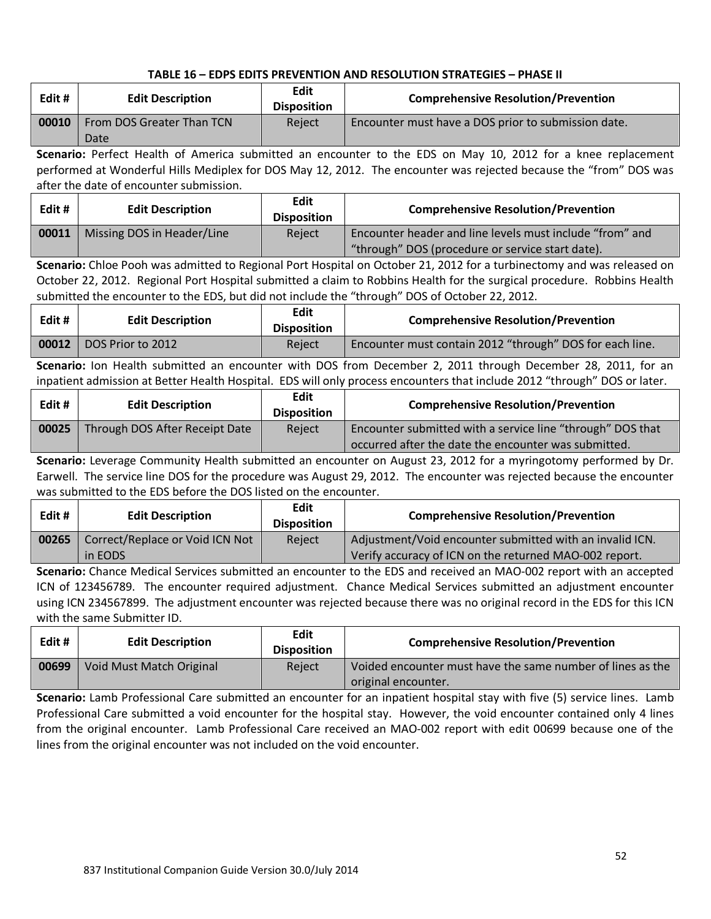| Edit# | <b>Edit Description</b>   | Edit<br><b>Disposition</b> | <b>Comprehensive Resolution/Prevention</b>          |
|-------|---------------------------|----------------------------|-----------------------------------------------------|
| 00010 | From DOS Greater Than TCN | Reject                     | Encounter must have a DOS prior to submission date. |
|       | Date                      |                            |                                                     |

**Scenario:** Perfect Health of America submitted an encounter to the EDS on May 10, 2012 for a knee replacement performed at Wonderful Hills Mediplex for DOS May 12, 2012. The encounter was rejected because the "from" DOS was after the date of encounter submission.

| Edit# | <b>Edit Description</b>    | Edit<br><b>Disposition</b> | <b>Comprehensive Resolution/Prevention</b>               |
|-------|----------------------------|----------------------------|----------------------------------------------------------|
| 00011 | Missing DOS in Header/Line | Reject                     | Encounter header and line levels must include "from" and |
|       |                            |                            | "through" DOS (procedure or service start date).         |

**Scenario:** Chloe Pooh was admitted to Regional Port Hospital on October 21, 2012 for a turbinectomy and was released on October 22, 2012. Regional Port Hospital submitted a claim to Robbins Health for the surgical procedure. Robbins Health submitted the encounter to the EDS, but did not include the "through" DOS of October 22, 2012.

| Edit# | <b>Edit Description</b> | Edit<br><b>Disposition</b> | <b>Comprehensive Resolution/Prevention</b>               |
|-------|-------------------------|----------------------------|----------------------------------------------------------|
| 00012 | DOS Prior to 2012       | Reject                     | Encounter must contain 2012 "through" DOS for each line. |

**Scenario:** Ion Health submitted an encounter with DOS from December 2, 2011 through December 28, 2011, for an inpatient admission at Better Health Hospital. EDS will only process encounters that include 2012 "through" DOS or later.

| Edit # | <b>Edit Description</b>        | <b>Edit</b><br><b>Disposition</b> | <b>Comprehensive Resolution/Prevention</b>                 |
|--------|--------------------------------|-----------------------------------|------------------------------------------------------------|
| 00025  | Through DOS After Receipt Date | Reject                            | Encounter submitted with a service line "through" DOS that |
|        |                                |                                   | occurred after the date the encounter was submitted.       |

**Scenario:** Leverage Community Health submitted an encounter on August 23, 2012 for a myringotomy performed by Dr. Earwell. The service line DOS for the procedure was August 29, 2012. The encounter was rejected because the encounter was submitted to the EDS before the DOS listed on the encounter.

| Edit# | <b>Edit Description</b>         | Edit<br><b>Disposition</b> | <b>Comprehensive Resolution/Prevention</b>               |
|-------|---------------------------------|----------------------------|----------------------------------------------------------|
| 00265 | Correct/Replace or Void ICN Not | Reject                     | Adjustment/Void encounter submitted with an invalid ICN. |
|       | in EODS                         |                            | Verify accuracy of ICN on the returned MAO-002 report.   |

**Scenario:** Chance Medical Services submitted an encounter to the EDS and received an MAO-002 report with an accepted ICN of 123456789. The encounter required adjustment. Chance Medical Services submitted an adjustment encounter using ICN 234567899. The adjustment encounter was rejected because there was no original record in the EDS for this ICN with the same Submitter ID.

| Edit# | <b>Edit Description</b>  | Edit<br><b>Disposition</b> | <b>Comprehensive Resolution/Prevention</b>                 |
|-------|--------------------------|----------------------------|------------------------------------------------------------|
| 00699 | Void Must Match Original | Reject                     | Voided encounter must have the same number of lines as the |
|       |                          |                            | original encounter.                                        |

**Scenario:** Lamb Professional Care submitted an encounter for an inpatient hospital stay with five (5) service lines. Lamb Professional Care submitted a void encounter for the hospital stay. However, the void encounter contained only 4 lines from the original encounter. Lamb Professional Care received an MAO-002 report with edit 00699 because one of the lines from the original encounter was not included on the void encounter.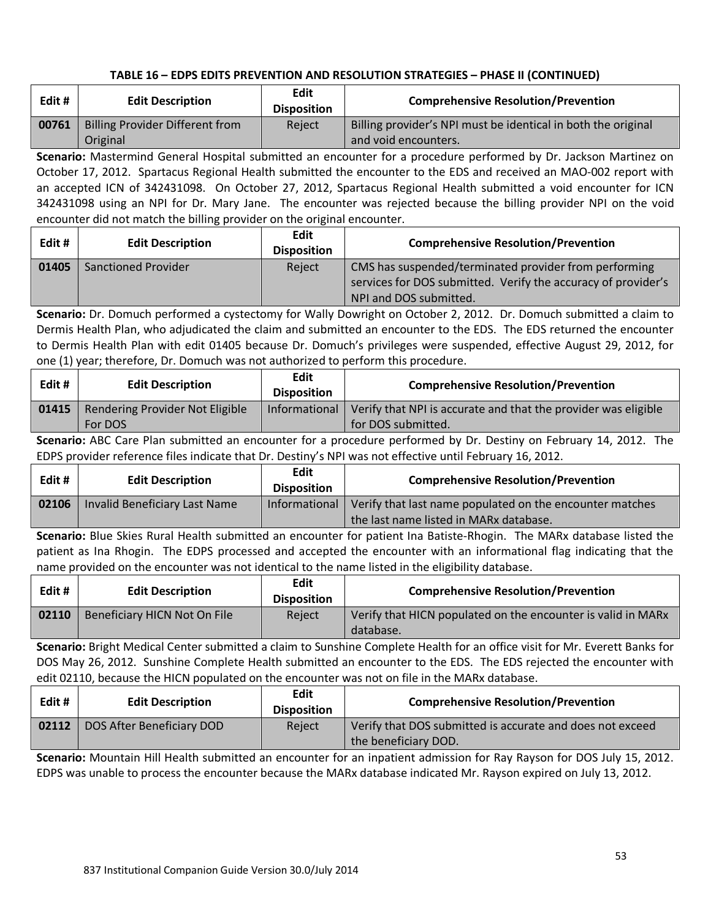| Edit # | <b>Edit Description</b>                | Edit<br><b>Disposition</b> | <b>Comprehensive Resolution/Prevention</b>                    |
|--------|----------------------------------------|----------------------------|---------------------------------------------------------------|
| 00761  | <b>Billing Provider Different from</b> | Reject                     | Billing provider's NPI must be identical in both the original |
|        | Original                               |                            | and void encounters.                                          |

**Scenario:** Mastermind General Hospital submitted an encounter for a procedure performed by Dr. Jackson Martinez on October 17, 2012. Spartacus Regional Health submitted the encounter to the EDS and received an MAO-002 report with an accepted ICN of 342431098. On October 27, 2012, Spartacus Regional Health submitted a void encounter for ICN 342431098 using an NPI for Dr. Mary Jane. The encounter was rejected because the billing provider NPI on the void encounter did not match the billing provider on the original encounter.

| Edit # | <b>Edit Description</b> | Edit<br><b>Disposition</b> | <b>Comprehensive Resolution/Prevention</b>                                                                                                       |
|--------|-------------------------|----------------------------|--------------------------------------------------------------------------------------------------------------------------------------------------|
| 01405  | Sanctioned Provider     | Reject                     | CMS has suspended/terminated provider from performing<br>services for DOS submitted. Verify the accuracy of provider's<br>NPI and DOS submitted. |

**Scenario:** Dr. Domuch performed a cystectomy for Wally Dowright on October 2, 2012. Dr. Domuch submitted a claim to Dermis Health Plan, who adjudicated the claim and submitted an encounter to the EDS. The EDS returned the encounter to Dermis Health Plan with edit 01405 because Dr. Domuch's privileges were suspended, effective August 29, 2012, for one (1) year; therefore, Dr. Domuch was not authorized to perform this procedure.

| Edit# | <b>Edit Description</b>         | Edit<br><b>Disposition</b> | <b>Comprehensive Resolution/Prevention</b>                     |
|-------|---------------------------------|----------------------------|----------------------------------------------------------------|
| 01415 | Rendering Provider Not Eligible | Informational              | Verify that NPI is accurate and that the provider was eligible |
|       | For DOS                         |                            | for DOS submitted.                                             |

**Scenario:** ABC Care Plan submitted an encounter for a procedure performed by Dr. Destiny on February 14, 2012. The EDPS provider reference files indicate that Dr. Destiny's NPI was not effective until February 16, 2012.

| Edit # | <b>Edit Description</b>              | Edit<br><b>Disposition</b> | <b>Comprehensive Resolution/Prevention</b>                                                         |
|--------|--------------------------------------|----------------------------|----------------------------------------------------------------------------------------------------|
| 02106  | <b>Invalid Beneficiary Last Name</b> | Informational              | Verify that last name populated on the encounter matches<br>the last name listed in MARx database. |

**Scenario:** Blue Skies Rural Health submitted an encounter for patient Ina Batiste-Rhogin. The MARx database listed the patient as Ina Rhogin. The EDPS processed and accepted the encounter with an informational flag indicating that the name provided on the encounter was not identical to the name listed in the eligibility database.

| Edit # | <b>Edit Description</b>      | Edit<br><b>Disposition</b> | <b>Comprehensive Resolution/Prevention</b>                                |
|--------|------------------------------|----------------------------|---------------------------------------------------------------------------|
| 02110  | Beneficiary HICN Not On File | Reiect                     | Verify that HICN populated on the encounter is valid in MARx<br>database. |

**Scenario:** Bright Medical Center submitted a claim to Sunshine Complete Health for an office visit for Mr. Everett Banks for DOS May 26, 2012. Sunshine Complete Health submitted an encounter to the EDS. The EDS rejected the encounter with edit 02110, because the HICN populated on the encounter was not on file in the MARx database.

| Edit # | <b>Edit Description</b>   | Edit<br><b>Disposition</b> | <b>Comprehensive Resolution/Prevention</b>                                        |
|--------|---------------------------|----------------------------|-----------------------------------------------------------------------------------|
| 02112  | DOS After Beneficiary DOD | Reject                     | Verify that DOS submitted is accurate and does not exceed<br>the beneficiary DOD. |

**Scenario:** Mountain Hill Health submitted an encounter for an inpatient admission for Ray Rayson for DOS July 15, 2012. EDPS was unable to process the encounter because the MARx database indicated Mr. Rayson expired on July 13, 2012.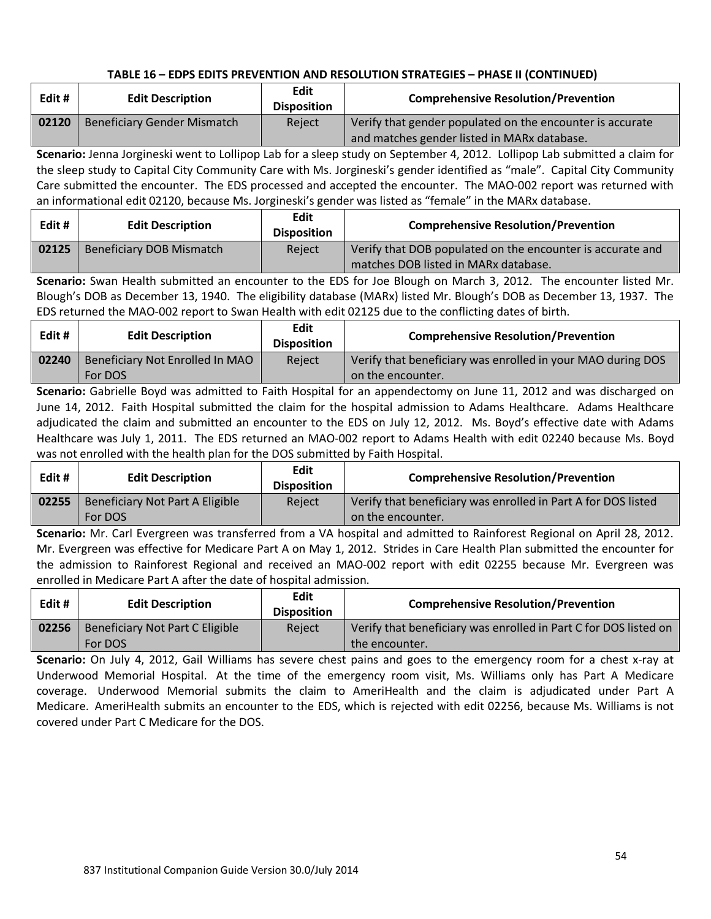| Edit # | <b>Edit Description</b>            | Edit<br><b>Disposition</b> | <b>Comprehensive Resolution/Prevention</b>                |
|--------|------------------------------------|----------------------------|-----------------------------------------------------------|
| 02120  | <b>Beneficiary Gender Mismatch</b> | Reject                     | Verify that gender populated on the encounter is accurate |
|        |                                    |                            | and matches gender listed in MARx database.               |

**Scenario:** Jenna Jorgineski went to Lollipop Lab for a sleep study on September 4, 2012. Lollipop Lab submitted a claim for the sleep study to Capital City Community Care with Ms. Jorgineski's gender identified as "male". Capital City Community Care submitted the encounter. The EDS processed and accepted the encounter. The MAO-002 report was returned with an informational edit 02120, because Ms. Jorgineski's gender was listed as "female" in the MARx database.

| Edit# | <b>Edit Description</b>  | <b>Edit</b><br><b>Disposition</b> | <b>Comprehensive Resolution/Prevention</b>                                                         |
|-------|--------------------------|-----------------------------------|----------------------------------------------------------------------------------------------------|
| 02125 | Beneficiary DOB Mismatch | Reject                            | Verify that DOB populated on the encounter is accurate and<br>matches DOB listed in MARx database. |

**Scenario:** Swan Health submitted an encounter to the EDS for Joe Blough on March 3, 2012. The encounter listed Mr. Blough's DOB as December 13, 1940. The eligibility database (MARx) listed Mr. Blough's DOB as December 13, 1937. The EDS returned the MAO-002 report to Swan Health with edit 02125 due to the conflicting dates of birth.

| Edit# | <b>Edit Description</b>         | <b>Edit</b><br><b>Disposition</b> | <b>Comprehensive Resolution/Prevention</b>                  |
|-------|---------------------------------|-----------------------------------|-------------------------------------------------------------|
| 02240 | Beneficiary Not Enrolled In MAO | Reject                            | Verify that beneficiary was enrolled in your MAO during DOS |
|       | For DOS                         |                                   | on the encounter.                                           |

**Scenario:** Gabrielle Boyd was admitted to Faith Hospital for an appendectomy on June 11, 2012 and was discharged on June 14, 2012. Faith Hospital submitted the claim for the hospital admission to Adams Healthcare. Adams Healthcare adjudicated the claim and submitted an encounter to the EDS on July 12, 2012. Ms. Boyd's effective date with Adams Healthcare was July 1, 2011. The EDS returned an MAO-002 report to Adams Health with edit 02240 because Ms. Boyd was not enrolled with the health plan for the DOS submitted by Faith Hospital.

| Edit # | <b>Edit Description</b>                    | Edit<br><b>Disposition</b> | <b>Comprehensive Resolution/Prevention</b>                                         |
|--------|--------------------------------------------|----------------------------|------------------------------------------------------------------------------------|
| 02255  | Beneficiary Not Part A Eligible<br>For DOS | Reject                     | Verify that beneficiary was enrolled in Part A for DOS listed<br>on the encounter. |

**Scenario:** Mr. Carl Evergreen was transferred from a VA hospital and admitted to Rainforest Regional on April 28, 2012. Mr. Evergreen was effective for Medicare Part A on May 1, 2012. Strides in Care Health Plan submitted the encounter for the admission to Rainforest Regional and received an MAO-002 report with edit 02255 because Mr. Evergreen was enrolled in Medicare Part A after the date of hospital admission.

| Edit # | <b>Edit Description</b>         | Edit<br><b>Disposition</b> | <b>Comprehensive Resolution/Prevention</b>                       |
|--------|---------------------------------|----------------------------|------------------------------------------------------------------|
| 02256  | Beneficiary Not Part C Eligible | Reject                     | Verify that beneficiary was enrolled in Part C for DOS listed on |
|        | For DOS                         |                            | the encounter.                                                   |

**Scenario:** On July 4, 2012, Gail Williams has severe chest pains and goes to the emergency room for a chest x-ray at Underwood Memorial Hospital. At the time of the emergency room visit, Ms. Williams only has Part A Medicare coverage. Underwood Memorial submits the claim to AmeriHealth and the claim is adjudicated under Part A Medicare. AmeriHealth submits an encounter to the EDS, which is rejected with edit 02256, because Ms. Williams is not covered under Part C Medicare for the DOS.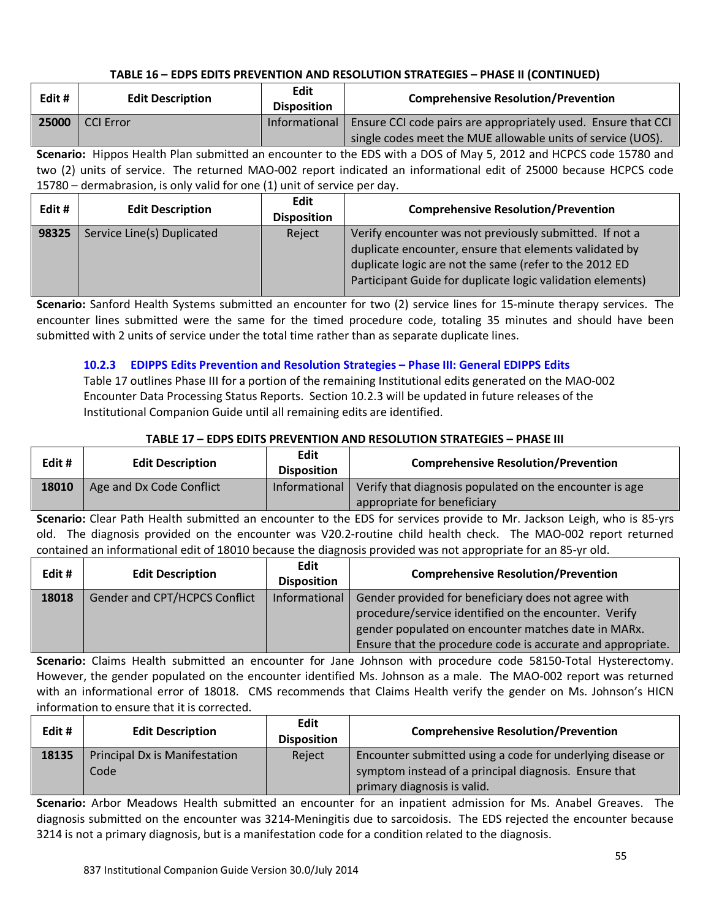| Edit # | <b>Edit Description</b> | <b>Edit</b><br><b>Disposition</b> | <b>Comprehensive Resolution/Prevention</b>                    |
|--------|-------------------------|-----------------------------------|---------------------------------------------------------------|
| 25000  | CCI Error               | Informational                     | Ensure CCI code pairs are appropriately used. Ensure that CCI |
|        |                         |                                   | single codes meet the MUE allowable units of service (UOS).   |

**Scenario:** Hippos Health Plan submitted an encounter to the EDS with a DOS of May 5, 2012 and HCPCS code 15780 and two (2) units of service. The returned MAO-002 report indicated an informational edit of 25000 because HCPCS code 15780 – dermabrasion, is only valid for one (1) unit of service per day.

| Edit # | <b>Edit Description</b>    | Edit<br><b>Disposition</b> | <b>Comprehensive Resolution/Prevention</b>                                                                                                                                                                                                |
|--------|----------------------------|----------------------------|-------------------------------------------------------------------------------------------------------------------------------------------------------------------------------------------------------------------------------------------|
| 98325  | Service Line(s) Duplicated | Reject                     | Verify encounter was not previously submitted. If not a<br>duplicate encounter, ensure that elements validated by<br>duplicate logic are not the same (refer to the 2012 ED<br>Participant Guide for duplicate logic validation elements) |

**Scenario:** Sanford Health Systems submitted an encounter for two (2) service lines for 15-minute therapy services. The encounter lines submitted were the same for the timed procedure code, totaling 35 minutes and should have been submitted with 2 units of service under the total time rather than as separate duplicate lines.

## **10.2.3 EDIPPS Edits Prevention and Resolution Strategies – Phase III: General EDIPPS Edits**

Table 17 outlines Phase III for a portion of the remaining Institutional edits generated on the MAO-002 Encounter Data Processing Status Reports. Section 10.2.3 will be updated in future releases of the Institutional Companion Guide until all remaining edits are identified.

## **TABLE 17 – EDPS EDITS PREVENTION AND RESOLUTION STRATEGIES – PHASE III**

| Edit# | <b>Edit Description</b>  | Edit<br><b>Disposition</b> | <b>Comprehensive Resolution/Prevention</b>                                             |
|-------|--------------------------|----------------------------|----------------------------------------------------------------------------------------|
| 18010 | Age and Dx Code Conflict | <b>Informational</b>       | Verify that diagnosis populated on the encounter is age<br>appropriate for beneficiary |

**Scenario:** Clear Path Health submitted an encounter to the EDS for services provide to Mr. Jackson Leigh, who is 85-yrs old. The diagnosis provided on the encounter was V20.2-routine child health check. The MAO-002 report returned contained an informational edit of 18010 because the diagnosis provided was not appropriate for an 85-yr old.

| Edit# | <b>Edit Description</b>       | Edit<br><b>Disposition</b> | <b>Comprehensive Resolution/Prevention</b>                  |
|-------|-------------------------------|----------------------------|-------------------------------------------------------------|
| 18018 | Gender and CPT/HCPCS Conflict | Informational              | Gender provided for beneficiary does not agree with         |
|       |                               |                            | procedure/service identified on the encounter. Verify       |
|       |                               |                            | gender populated on encounter matches date in MARx.         |
|       |                               |                            | Ensure that the procedure code is accurate and appropriate. |

**Scenario:** Claims Health submitted an encounter for Jane Johnson with procedure code 58150-Total Hysterectomy. However, the gender populated on the encounter identified Ms. Johnson as a male. The MAO-002 report was returned with an informational error of 18018. CMS recommends that Claims Health verify the gender on Ms. Johnson's HICN information to ensure that it is corrected.

| Edit# | <b>Edit Description</b>                      | Edit<br><b>Disposition</b> | <b>Comprehensive Resolution/Prevention</b>                                                                                                         |
|-------|----------------------------------------------|----------------------------|----------------------------------------------------------------------------------------------------------------------------------------------------|
| 18135 | <b>Principal Dx is Manifestation</b><br>Code | Reject                     | Encounter submitted using a code for underlying disease or<br>symptom instead of a principal diagnosis. Ensure that<br>primary diagnosis is valid. |

**Scenario:** Arbor Meadows Health submitted an encounter for an inpatient admission for Ms. Anabel Greaves. The diagnosis submitted on the encounter was 3214-Meningitis due to sarcoidosis. The EDS rejected the encounter because 3214 is not a primary diagnosis, but is a manifestation code for a condition related to the diagnosis.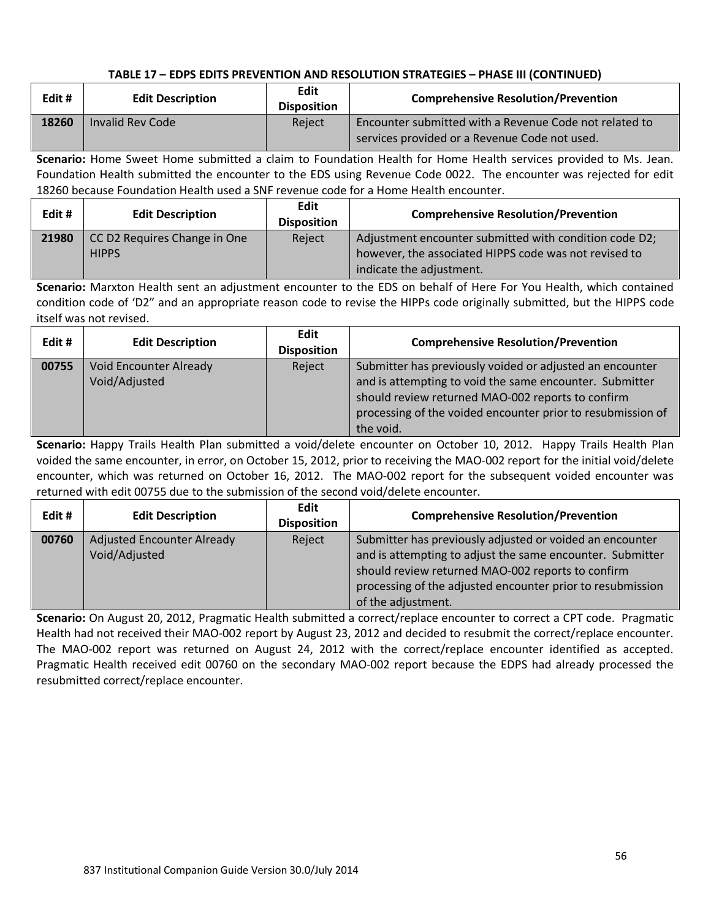| Edit # | <b>Edit Description</b> | <b>Edit</b><br><b>Disposition</b> | <b>Comprehensive Resolution/Prevention</b>                                                              |
|--------|-------------------------|-----------------------------------|---------------------------------------------------------------------------------------------------------|
| 18260  | Invalid Rev Code        | Reject                            | Encounter submitted with a Revenue Code not related to<br>services provided or a Revenue Code not used. |

**Scenario:** Home Sweet Home submitted a claim to Foundation Health for Home Health services provided to Ms. Jean. Foundation Health submitted the encounter to the EDS using Revenue Code 0022. The encounter was rejected for edit 18260 because Foundation Health used a SNF revenue code for a Home Health encounter.

| Edit# | <b>Edit Description</b>                      | Edit<br><b>Disposition</b> | <b>Comprehensive Resolution/Prevention</b>                                                                      |
|-------|----------------------------------------------|----------------------------|-----------------------------------------------------------------------------------------------------------------|
| 21980 | CC D2 Requires Change in One<br><b>HIPPS</b> | Reject                     | Adjustment encounter submitted with condition code D2;<br>however, the associated HIPPS code was not revised to |
|       |                                              |                            | indicate the adjustment.                                                                                        |

**Scenario:** Marxton Health sent an adjustment encounter to the EDS on behalf of Here For You Health, which contained condition code of 'D2" and an appropriate reason code to revise the HIPPs code originally submitted, but the HIPPS code itself was not revised.

| Edit# | <b>Edit Description</b>                        | <b>Edit</b><br><b>Disposition</b> | <b>Comprehensive Resolution/Prevention</b>                                                                                                                                                                                                           |
|-------|------------------------------------------------|-----------------------------------|------------------------------------------------------------------------------------------------------------------------------------------------------------------------------------------------------------------------------------------------------|
| 00755 | <b>Void Encounter Already</b><br>Void/Adjusted | Reject                            | Submitter has previously voided or adjusted an encounter<br>and is attempting to void the same encounter. Submitter<br>should review returned MAO-002 reports to confirm<br>processing of the voided encounter prior to resubmission of<br>the void. |

**Scenario:** Happy Trails Health Plan submitted a void/delete encounter on October 10, 2012. Happy Trails Health Plan voided the same encounter, in error, on October 15, 2012, prior to receiving the MAO-002 report for the initial void/delete encounter, which was returned on October 16, 2012. The MAO-002 report for the subsequent voided encounter was returned with edit 00755 due to the submission of the second void/delete encounter.

| Edit# | <b>Edit Description</b>                            | <b>Edit</b><br><b>Disposition</b> | <b>Comprehensive Resolution/Prevention</b>                                                                                                                                                                                                                     |
|-------|----------------------------------------------------|-----------------------------------|----------------------------------------------------------------------------------------------------------------------------------------------------------------------------------------------------------------------------------------------------------------|
| 00760 | <b>Adjusted Encounter Already</b><br>Void/Adjusted | Reject                            | Submitter has previously adjusted or voided an encounter<br>and is attempting to adjust the same encounter. Submitter<br>should review returned MAO-002 reports to confirm<br>processing of the adjusted encounter prior to resubmission<br>of the adjustment. |

**Scenario:** On August 20, 2012, Pragmatic Health submitted a correct/replace encounter to correct a CPT code. Pragmatic Health had not received their MAO-002 report by August 23, 2012 and decided to resubmit the correct/replace encounter. The MAO-002 report was returned on August 24, 2012 with the correct/replace encounter identified as accepted. Pragmatic Health received edit 00760 on the secondary MAO-002 report because the EDPS had already processed the resubmitted correct/replace encounter.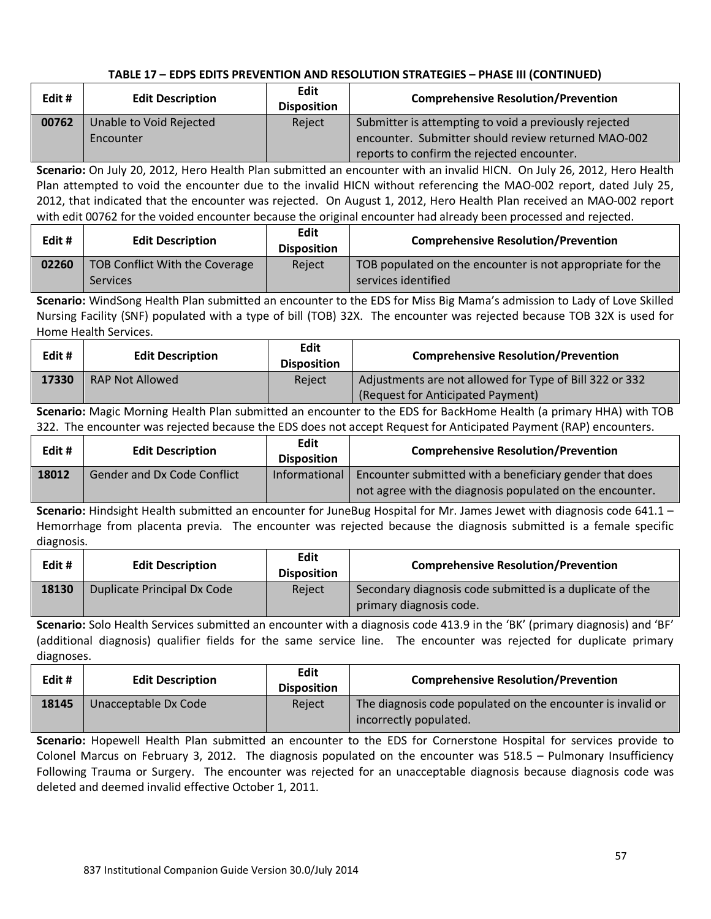| Edit# | <b>Edit Description</b> | Edit<br><b>Disposition</b> | <b>Comprehensive Resolution/Prevention</b>            |
|-------|-------------------------|----------------------------|-------------------------------------------------------|
| 00762 | Unable to Void Rejected | Reject                     | Submitter is attempting to void a previously rejected |
|       | Encounter               |                            | encounter. Submitter should review returned MAO-002   |
|       |                         |                            | reports to confirm the rejected encounter.            |

**Scenario:** On July 20, 2012, Hero Health Plan submitted an encounter with an invalid HICN. On July 26, 2012, Hero Health Plan attempted to void the encounter due to the invalid HICN without referencing the MAO-002 report, dated July 25, 2012, that indicated that the encounter was rejected. On August 1, 2012, Hero Health Plan received an MAO-002 report with edit 00762 for the voided encounter because the original encounter had already been processed and rejected.

| Edit# | <b>Edit Description</b>                           | Edit<br><b>Disposition</b> | <b>Comprehensive Resolution/Prevention</b>                                       |
|-------|---------------------------------------------------|----------------------------|----------------------------------------------------------------------------------|
| 02260 | TOB Conflict With the Coverage<br><b>Services</b> | Reject                     | TOB populated on the encounter is not appropriate for the<br>services identified |

**Scenario:** WindSong Health Plan submitted an encounter to the EDS for Miss Big Mama's admission to Lady of Love Skilled Nursing Facility (SNF) populated with a type of bill (TOB) 32X. The encounter was rejected because TOB 32X is used for Home Health Services.

| Edit# | <b>Edit Description</b> | Edit<br><b>Disposition</b> | <b>Comprehensive Resolution/Prevention</b>                                                   |
|-------|-------------------------|----------------------------|----------------------------------------------------------------------------------------------|
| 17330 | <b>RAP Not Allowed</b>  | Reiect                     | Adjustments are not allowed for Type of Bill 322 or 332<br>(Request for Anticipated Payment) |

**Scenario:** Magic Morning Health Plan submitted an encounter to the EDS for BackHome Health (a primary HHA) with TOB 322. The encounter was rejected because the EDS does not accept Request for Anticipated Payment (RAP) encounters.

| Edit # | <b>Edit Description</b>            | Edit<br><b>Disposition</b> | <b>Comprehensive Resolution/Prevention</b>                                                                                          |
|--------|------------------------------------|----------------------------|-------------------------------------------------------------------------------------------------------------------------------------|
| 18012  | <b>Gender and Dx Code Conflict</b> |                            | Informational   Encounter submitted with a beneficiary gender that does<br>not agree with the diagnosis populated on the encounter. |

**Scenario:** Hindsight Health submitted an encounter for JuneBug Hospital for Mr. James Jewet with diagnosis code 641.1 – Hemorrhage from placenta previa. The encounter was rejected because the diagnosis submitted is a female specific diagnosis.

| Edit# | <b>Edit Description</b>     | Edit<br><b>Disposition</b> | <b>Comprehensive Resolution/Prevention</b>                                          |
|-------|-----------------------------|----------------------------|-------------------------------------------------------------------------------------|
| 18130 | Duplicate Principal Dx Code | Reiect                     | Secondary diagnosis code submitted is a duplicate of the<br>primary diagnosis code. |

**Scenario:** Solo Health Services submitted an encounter with a diagnosis code 413.9 in the 'BK' (primary diagnosis) and 'BF' (additional diagnosis) qualifier fields for the same service line. The encounter was rejected for duplicate primary diagnoses.

| Edit # | <b>Edit Description</b> | Edit<br><b>Disposition</b> | <b>Comprehensive Resolution/Prevention</b>                                            |
|--------|-------------------------|----------------------------|---------------------------------------------------------------------------------------|
| 18145  | Unacceptable Dx Code    | Reject                     | The diagnosis code populated on the encounter is invalid or<br>incorrectly populated. |

**Scenario:** Hopewell Health Plan submitted an encounter to the EDS for Cornerstone Hospital for services provide to Colonel Marcus on February 3, 2012. The diagnosis populated on the encounter was 518.5 – Pulmonary Insufficiency Following Trauma or Surgery. The encounter was rejected for an unacceptable diagnosis because diagnosis code was deleted and deemed invalid effective October 1, 2011.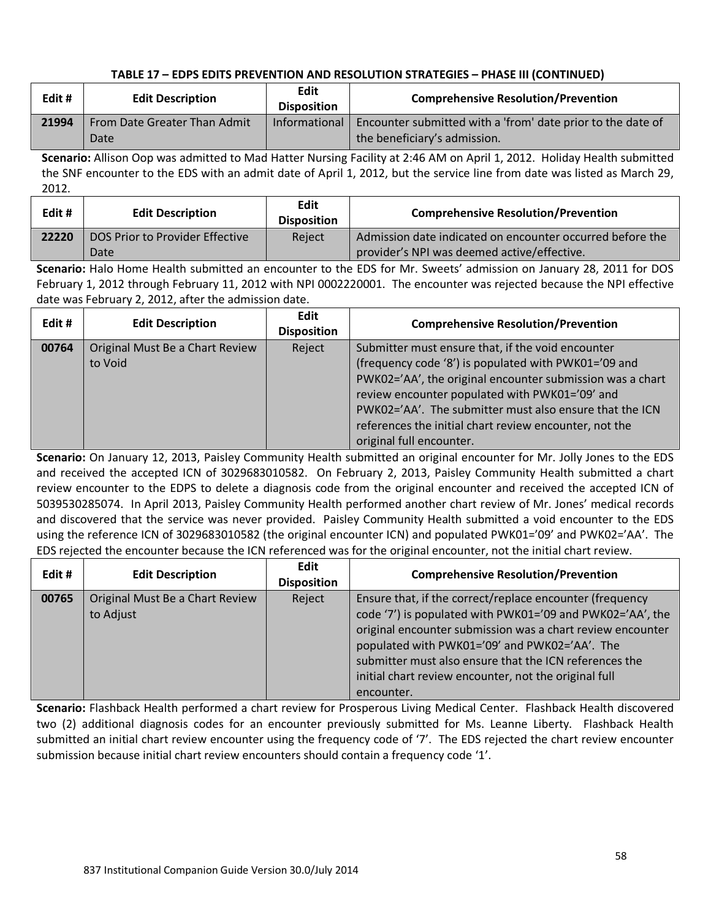| Edit # | <b>Edit Description</b>      | <b>Edit</b><br><b>Disposition</b> | <b>Comprehensive Resolution/Prevention</b>                         |
|--------|------------------------------|-----------------------------------|--------------------------------------------------------------------|
| 21994  | From Date Greater Than Admit | Informational                     | Fig. 2 I counter submitted with a 'from' date prior to the date of |
|        | Date                         |                                   | the beneficiary's admission.                                       |

**Scenario:** Allison Oop was admitted to Mad Hatter Nursing Facility at 2:46 AM on April 1, 2012. Holiday Health submitted the SNF encounter to the EDS with an admit date of April 1, 2012, but the service line from date was listed as March 29, 2012.

| Edit# | <b>Edit Description</b>                 | <b>Edit</b><br><b>Disposition</b> | <b>Comprehensive Resolution/Prevention</b>                                                               |
|-------|-----------------------------------------|-----------------------------------|----------------------------------------------------------------------------------------------------------|
| 22220 | DOS Prior to Provider Effective<br>Date | Reject                            | Admission date indicated on encounter occurred before the<br>provider's NPI was deemed active/effective. |

**Scenario:** Halo Home Health submitted an encounter to the EDS for Mr. Sweets' admission on January 28, 2011 for DOS February 1, 2012 through February 11, 2012 with NPI 0002220001. The encounter was rejected because the NPI effective date was February 2, 2012, after the admission date.

| Edit# | <b>Edit Description</b>                    | Edit<br><b>Disposition</b> | <b>Comprehensive Resolution/Prevention</b>                                                                                                                                                                                                                                                                                                                                |
|-------|--------------------------------------------|----------------------------|---------------------------------------------------------------------------------------------------------------------------------------------------------------------------------------------------------------------------------------------------------------------------------------------------------------------------------------------------------------------------|
| 00764 | Original Must Be a Chart Review<br>to Void | Reject                     | Submitter must ensure that, if the void encounter<br>(frequency code '8') is populated with PWK01='09 and<br>PWK02='AA', the original encounter submission was a chart<br>review encounter populated with PWK01='09' and<br>PWK02='AA'. The submitter must also ensure that the ICN<br>references the initial chart review encounter, not the<br>original full encounter. |

**Scenario:** On January 12, 2013, Paisley Community Health submitted an original encounter for Mr. Jolly Jones to the EDS and received the accepted ICN of 3029683010582. On February 2, 2013, Paisley Community Health submitted a chart review encounter to the EDPS to delete a diagnosis code from the original encounter and received the accepted ICN of 5039530285074. In April 2013, Paisley Community Health performed another chart review of Mr. Jones' medical records and discovered that the service was never provided. Paisley Community Health submitted a void encounter to the EDS using the reference ICN of 3029683010582 (the original encounter ICN) and populated PWK01='09' and PWK02='AA'. The EDS rejected the encounter because the ICN referenced was for the original encounter, not the initial chart review.

| Edit# | <b>Edit Description</b>                      | <b>Edit</b><br><b>Disposition</b> | <b>Comprehensive Resolution/Prevention</b>                                                                                                                                                                                                                                                                                                                            |
|-------|----------------------------------------------|-----------------------------------|-----------------------------------------------------------------------------------------------------------------------------------------------------------------------------------------------------------------------------------------------------------------------------------------------------------------------------------------------------------------------|
| 00765 | Original Must Be a Chart Review<br>to Adjust | Reject                            | Ensure that, if the correct/replace encounter (frequency<br>code '7') is populated with PWK01='09 and PWK02='AA', the<br>original encounter submission was a chart review encounter<br>populated with PWK01='09' and PWK02='AA'. The<br>submitter must also ensure that the ICN references the<br>initial chart review encounter, not the original full<br>encounter. |

**Scenario:** Flashback Health performed a chart review for Prosperous Living Medical Center. Flashback Health discovered two (2) additional diagnosis codes for an encounter previously submitted for Ms. Leanne Liberty. Flashback Health submitted an initial chart review encounter using the frequency code of '7'. The EDS rejected the chart review encounter submission because initial chart review encounters should contain a frequency code '1'.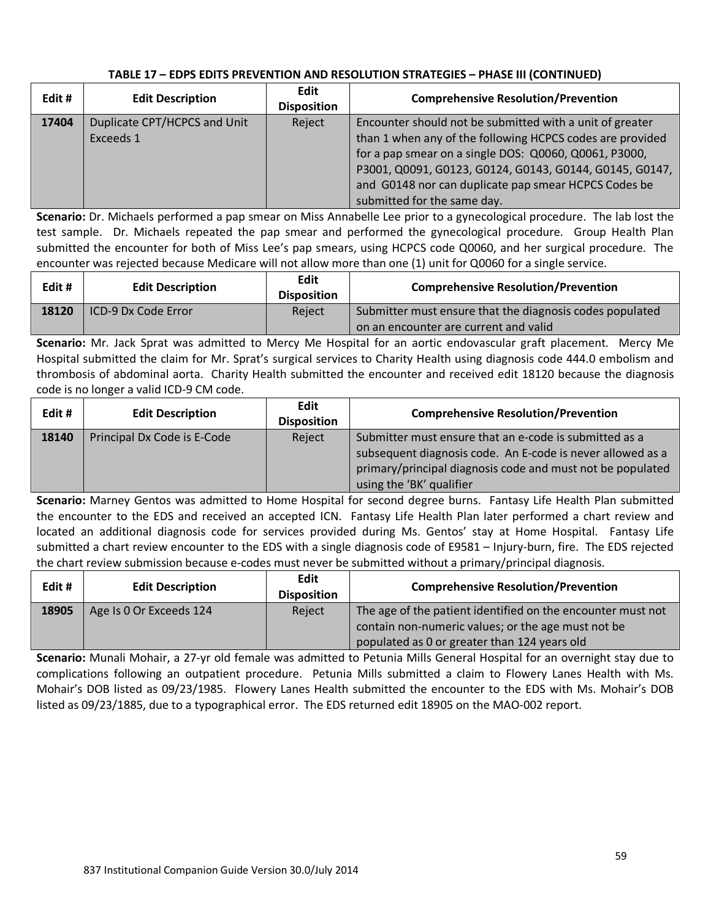| Edit# | <b>Edit Description</b>                   | <b>Edit</b><br><b>Disposition</b> | <b>Comprehensive Resolution/Prevention</b>                                                                                                                                                                                                                                                        |
|-------|-------------------------------------------|-----------------------------------|---------------------------------------------------------------------------------------------------------------------------------------------------------------------------------------------------------------------------------------------------------------------------------------------------|
| 17404 | Duplicate CPT/HCPCS and Unit<br>Exceeds 1 | Reject                            | Encounter should not be submitted with a unit of greater<br>than 1 when any of the following HCPCS codes are provided<br>for a pap smear on a single DOS: Q0060, Q0061, P3000,<br>P3001, Q0091, G0123, G0124, G0143, G0144, G0145, G0147,<br>and G0148 nor can duplicate pap smear HCPCS Codes be |
|       |                                           |                                   | submitted for the same day.                                                                                                                                                                                                                                                                       |

**Scenario:** Dr. Michaels performed a pap smear on Miss Annabelle Lee prior to a gynecological procedure. The lab lost the test sample. Dr. Michaels repeated the pap smear and performed the gynecological procedure. Group Health Plan submitted the encounter for both of Miss Lee's pap smears, using HCPCS code Q0060, and her surgical procedure. The encounter was rejected because Medicare will not allow more than one (1) unit for Q0060 for a single service.

| Edit # | <b>Edit Description</b>    | Edit<br><b>Disposition</b> | <b>Comprehensive Resolution/Prevention</b>               |
|--------|----------------------------|----------------------------|----------------------------------------------------------|
| 18120  | <b>ICD-9 Dx Code Error</b> | Reject                     | Submitter must ensure that the diagnosis codes populated |
|        |                            |                            | on an encounter are current and valid                    |

**Scenario:** Mr. Jack Sprat was admitted to Mercy Me Hospital for an aortic endovascular graft placement. Mercy Me Hospital submitted the claim for Mr. Sprat's surgical services to Charity Health using diagnosis code 444.0 embolism and thrombosis of abdominal aorta. Charity Health submitted the encounter and received edit 18120 because the diagnosis code is no longer a valid ICD-9 CM code.

| Edit# | <b>Edit Description</b>     | Edit<br><b>Disposition</b> | <b>Comprehensive Resolution/Prevention</b>                                                                                                                                                                     |
|-------|-----------------------------|----------------------------|----------------------------------------------------------------------------------------------------------------------------------------------------------------------------------------------------------------|
| 18140 | Principal Dx Code is E-Code | Reject                     | Submitter must ensure that an e-code is submitted as a<br>subsequent diagnosis code. An E-code is never allowed as a<br>primary/principal diagnosis code and must not be populated<br>using the 'BK' qualifier |

**Scenario:** Marney Gentos was admitted to Home Hospital for second degree burns. Fantasy Life Health Plan submitted the encounter to the EDS and received an accepted ICN. Fantasy Life Health Plan later performed a chart review and located an additional diagnosis code for services provided during Ms. Gentos' stay at Home Hospital. Fantasy Life submitted a chart review encounter to the EDS with a single diagnosis code of E9581 – Injury-burn, fire. The EDS rejected the chart review submission because e-codes must never be submitted without a primary/principal diagnosis.

| Edit# | <b>Edit Description</b> | Edit<br><b>Disposition</b> | <b>Comprehensive Resolution/Prevention</b>                  |
|-------|-------------------------|----------------------------|-------------------------------------------------------------|
| 18905 | Age Is 0 Or Exceeds 124 | Reject                     | The age of the patient identified on the encounter must not |
|       |                         |                            | contain non-numeric values; or the age must not be          |
|       |                         |                            | populated as 0 or greater than 124 years old                |

**Scenario:** Munali Mohair, a 27-yr old female was admitted to Petunia Mills General Hospital for an overnight stay due to complications following an outpatient procedure. Petunia Mills submitted a claim to Flowery Lanes Health with Ms. Mohair's DOB listed as 09/23/1985. Flowery Lanes Health submitted the encounter to the EDS with Ms. Mohair's DOB listed as 09/23/1885, due to a typographical error. The EDS returned edit 18905 on the MAO-002 report.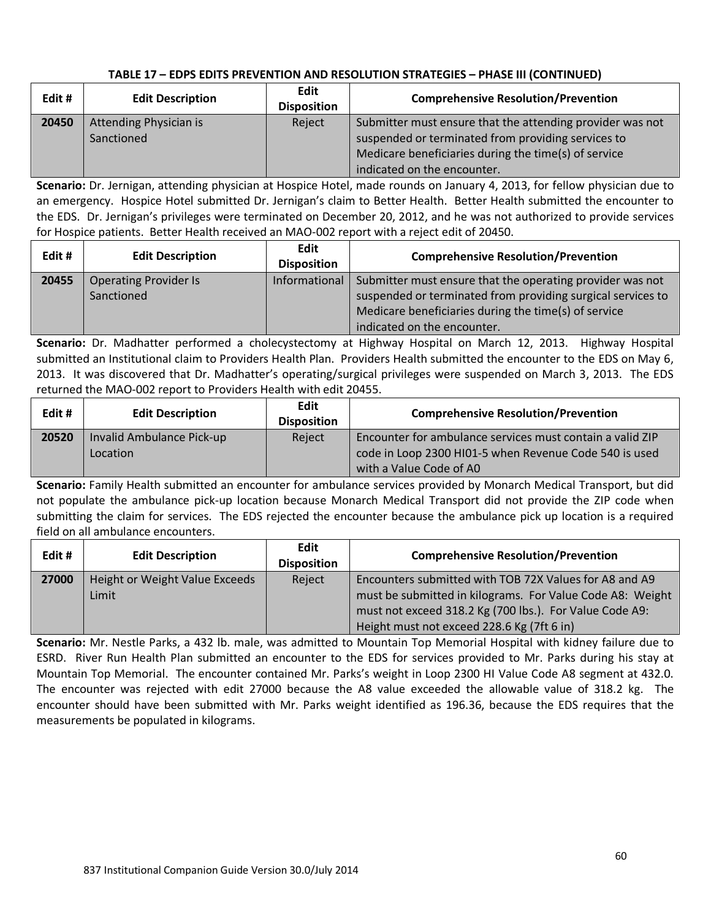| Edit# | <b>Edit Description</b>              | Edit<br><b>Disposition</b> | <b>Comprehensive Resolution/Prevention</b>                                                                                                                                                             |
|-------|--------------------------------------|----------------------------|--------------------------------------------------------------------------------------------------------------------------------------------------------------------------------------------------------|
| 20450 | Attending Physician is<br>Sanctioned | Reject                     | Submitter must ensure that the attending provider was not<br>suspended or terminated from providing services to<br>Medicare beneficiaries during the time(s) of service<br>indicated on the encounter. |

**Scenario:** Dr. Jernigan, attending physician at Hospice Hotel, made rounds on January 4, 2013, for fellow physician due to an emergency. Hospice Hotel submitted Dr. Jernigan's claim to Better Health. Better Health submitted the encounter to the EDS. Dr. Jernigan's privileges were terminated on December 20, 2012, and he was not authorized to provide services for Hospice patients. Better Health received an MAO-002 report with a reject edit of 20450.

| Edit# | <b>Edit Description</b>      | Edit<br><b>Disposition</b> | <b>Comprehensive Resolution/Prevention</b>                  |
|-------|------------------------------|----------------------------|-------------------------------------------------------------|
| 20455 | <b>Operating Provider Is</b> | Informational              | Submitter must ensure that the operating provider was not   |
|       | Sanctioned                   |                            | suspended or terminated from providing surgical services to |
|       |                              |                            | Medicare beneficiaries during the time(s) of service        |
|       |                              |                            | indicated on the encounter.                                 |

**Scenario:** Dr. Madhatter performed a cholecystectomy at Highway Hospital on March 12, 2013. Highway Hospital submitted an Institutional claim to Providers Health Plan. Providers Health submitted the encounter to the EDS on May 6, 2013. It was discovered that Dr. Madhatter's operating/surgical privileges were suspended on March 3, 2013. The EDS returned the MAO-002 report to Providers Health with edit 20455.

| Edit# | <b>Edit Description</b>   | Edit<br><b>Disposition</b> | <b>Comprehensive Resolution/Prevention</b>                |
|-------|---------------------------|----------------------------|-----------------------------------------------------------|
| 20520 | Invalid Ambulance Pick-up | Reject                     | Encounter for ambulance services must contain a valid ZIP |
|       | Location                  |                            | code in Loop 2300 HI01-5 when Revenue Code 540 is used    |
|       |                           |                            | with a Value Code of A0                                   |

**Scenario:** Family Health submitted an encounter for ambulance services provided by Monarch Medical Transport, but did not populate the ambulance pick-up location because Monarch Medical Transport did not provide the ZIP code when submitting the claim for services. The EDS rejected the encounter because the ambulance pick up location is a required field on all ambulance encounters.

| Edit# | <b>Edit Description</b>        | <b>Edit</b><br><b>Disposition</b> | <b>Comprehensive Resolution/Prevention</b>                |
|-------|--------------------------------|-----------------------------------|-----------------------------------------------------------|
| 27000 | Height or Weight Value Exceeds | Reject                            | Encounters submitted with TOB 72X Values for A8 and A9    |
|       | Limit                          |                                   | must be submitted in kilograms. For Value Code A8: Weight |
|       |                                |                                   | must not exceed 318.2 Kg (700 lbs.). For Value Code A9:   |
|       |                                |                                   | Height must not exceed 228.6 Kg (7ft 6 in)                |

**Scenario:** Mr. Nestle Parks, a 432 lb. male, was admitted to Mountain Top Memorial Hospital with kidney failure due to ESRD. River Run Health Plan submitted an encounter to the EDS for services provided to Mr. Parks during his stay at Mountain Top Memorial. The encounter contained Mr. Parks's weight in Loop 2300 HI Value Code A8 segment at 432.0. The encounter was rejected with edit 27000 because the A8 value exceeded the allowable value of 318.2 kg. The encounter should have been submitted with Mr. Parks weight identified as 196.36, because the EDS requires that the measurements be populated in kilograms.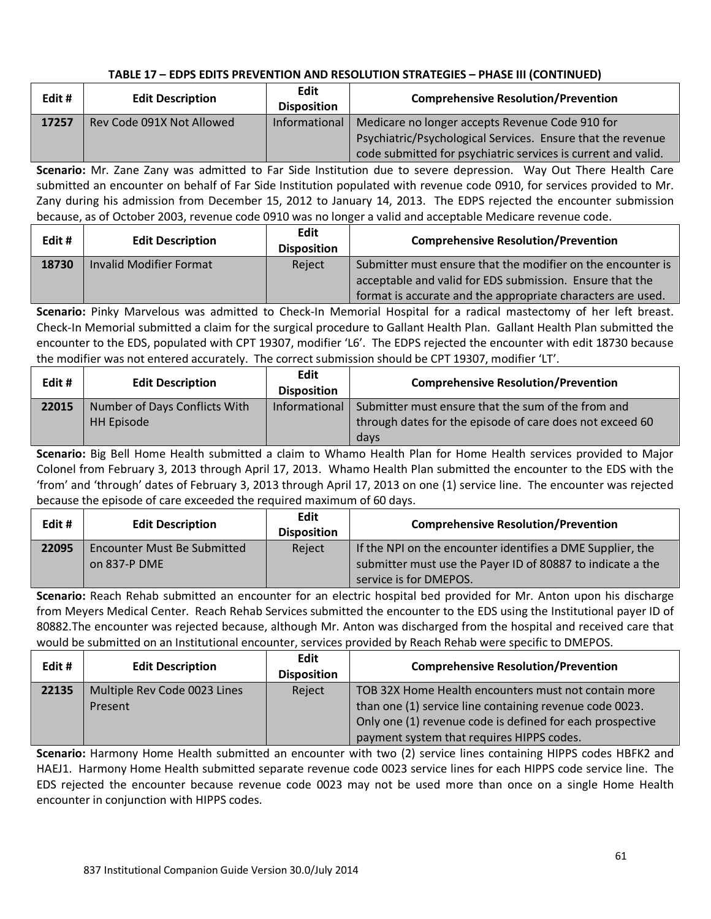| Edit# | <b>Edit Description</b>   | <b>Edit</b><br><b>Disposition</b> | <b>Comprehensive Resolution/Prevention</b>                    |
|-------|---------------------------|-----------------------------------|---------------------------------------------------------------|
| 17257 | Rev Code 091X Not Allowed | Informational                     | Medicare no longer accepts Revenue Code 910 for               |
|       |                           |                                   | Psychiatric/Psychological Services. Ensure that the revenue   |
|       |                           |                                   | code submitted for psychiatric services is current and valid. |

**Scenario:** Mr. Zane Zany was admitted to Far Side Institution due to severe depression. Way Out There Health Care submitted an encounter on behalf of Far Side Institution populated with revenue code 0910, for services provided to Mr. Zany during his admission from December 15, 2012 to January 14, 2013. The EDPS rejected the encounter submission because, as of October 2003, revenue code 0910 was no longer a valid and acceptable Medicare revenue code.

| Edit# | <b>Edit Description</b>        | Edit<br><b>Disposition</b> | <b>Comprehensive Resolution/Prevention</b>                                                                                                                                             |
|-------|--------------------------------|----------------------------|----------------------------------------------------------------------------------------------------------------------------------------------------------------------------------------|
| 18730 | <b>Invalid Modifier Format</b> | Reject                     | Submitter must ensure that the modifier on the encounter is<br>acceptable and valid for EDS submission. Ensure that the<br>format is accurate and the appropriate characters are used. |

**Scenario:** Pinky Marvelous was admitted to Check-In Memorial Hospital for a radical mastectomy of her left breast. Check-In Memorial submitted a claim for the surgical procedure to Gallant Health Plan. Gallant Health Plan submitted the encounter to the EDS, populated with CPT 19307, modifier 'L6'. The EDPS rejected the encounter with edit 18730 because the modifier was not entered accurately. The correct submission should be CPT 19307, modifier 'LT'.

| Edit# | <b>Edit Description</b>       | Edit<br><b>Disposition</b> | <b>Comprehensive Resolution/Prevention</b>               |
|-------|-------------------------------|----------------------------|----------------------------------------------------------|
| 22015 | Number of Days Conflicts With | Informational              | Submitter must ensure that the sum of the from and       |
|       | <b>HH Episode</b>             |                            | through dates for the episode of care does not exceed 60 |
|       |                               |                            | days                                                     |

**Scenario:** Big Bell Home Health submitted a claim to Whamo Health Plan for Home Health services provided to Major Colonel from February 3, 2013 through April 17, 2013. Whamo Health Plan submitted the encounter to the EDS with the 'from' and 'through' dates of February 3, 2013 through April 17, 2013 on one (1) service line. The encounter was rejected because the episode of care exceeded the required maximum of 60 days.

| Edit# | <b>Edit Description</b>     | <b>Edit</b><br><b>Disposition</b> | <b>Comprehensive Resolution/Prevention</b>                 |
|-------|-----------------------------|-----------------------------------|------------------------------------------------------------|
| 22095 | Encounter Must Be Submitted | Reject                            | If the NPI on the encounter identifies a DME Supplier, the |
|       | on 837-P DME                |                                   | submitter must use the Payer ID of 80887 to indicate a the |
|       |                             |                                   | service is for DMEPOS.                                     |

**Scenario:** Reach Rehab submitted an encounter for an electric hospital bed provided for Mr. Anton upon his discharge from Meyers Medical Center. Reach Rehab Services submitted the encounter to the EDS using the Institutional payer ID of 80882.The encounter was rejected because, although Mr. Anton was discharged from the hospital and received care that would be submitted on an Institutional encounter, services provided by Reach Rehab were specific to DMEPOS.

| Edit# | <b>Edit Description</b>                 | <b>Edit</b><br><b>Disposition</b> | <b>Comprehensive Resolution/Prevention</b>                                                                                                                                                                                |
|-------|-----------------------------------------|-----------------------------------|---------------------------------------------------------------------------------------------------------------------------------------------------------------------------------------------------------------------------|
| 22135 | Multiple Rev Code 0023 Lines<br>Present | Reject                            | TOB 32X Home Health encounters must not contain more<br>than one (1) service line containing revenue code 0023.<br>Only one (1) revenue code is defined for each prospective<br>payment system that requires HIPPS codes. |

**Scenario:** Harmony Home Health submitted an encounter with two (2) service lines containing HIPPS codes HBFK2 and HAEJ1. Harmony Home Health submitted separate revenue code 0023 service lines for each HIPPS code service line. The EDS rejected the encounter because revenue code 0023 may not be used more than once on a single Home Health encounter in conjunction with HIPPS codes.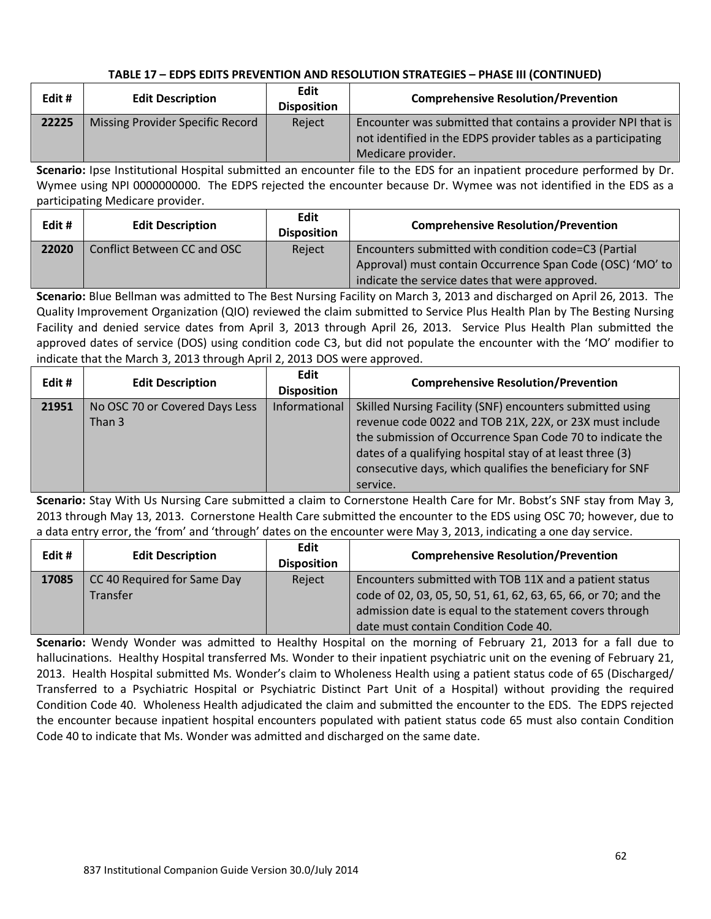| Edit# | <b>Edit Description</b>          | Edit<br><b>Disposition</b> | <b>Comprehensive Resolution/Prevention</b>                                                                                                          |
|-------|----------------------------------|----------------------------|-----------------------------------------------------------------------------------------------------------------------------------------------------|
| 22225 | Missing Provider Specific Record | Reject                     | Encounter was submitted that contains a provider NPI that is<br>not identified in the EDPS provider tables as a participating<br>Medicare provider. |

**Scenario:** Ipse Institutional Hospital submitted an encounter file to the EDS for an inpatient procedure performed by Dr. Wymee using NPI 0000000000. The EDPS rejected the encounter because Dr. Wymee was not identified in the EDS as a participating Medicare provider.

| Edit# | <b>Edit Description</b>     | Edit<br><b>Disposition</b> | <b>Comprehensive Resolution/Prevention</b>                                                                                                                          |
|-------|-----------------------------|----------------------------|---------------------------------------------------------------------------------------------------------------------------------------------------------------------|
| 22020 | Conflict Between CC and OSC | Reject                     | Encounters submitted with condition code=C3 (Partial<br>Approval) must contain Occurrence Span Code (OSC) 'MO' to<br>indicate the service dates that were approved. |

**Scenario:** Blue Bellman was admitted to The Best Nursing Facility on March 3, 2013 and discharged on April 26, 2013. The Quality Improvement Organization (QIO) reviewed the claim submitted to Service Plus Health Plan by The Besting Nursing Facility and denied service dates from April 3, 2013 through April 26, 2013. Service Plus Health Plan submitted the approved dates of service (DOS) using condition code C3, but did not populate the encounter with the 'MO' modifier to indicate that the March 3, 2013 through April 2, 2013 DOS were approved.

| Edit# | <b>Edit Description</b>                  | <b>Edit</b><br><b>Disposition</b> | <b>Comprehensive Resolution/Prevention</b>                                                                                                                                                                                                                                                                              |
|-------|------------------------------------------|-----------------------------------|-------------------------------------------------------------------------------------------------------------------------------------------------------------------------------------------------------------------------------------------------------------------------------------------------------------------------|
| 21951 | No OSC 70 or Covered Days Less<br>Than 3 | Informational                     | Skilled Nursing Facility (SNF) encounters submitted using<br>revenue code 0022 and TOB 21X, 22X, or 23X must include<br>the submission of Occurrence Span Code 70 to indicate the<br>dates of a qualifying hospital stay of at least three (3)<br>consecutive days, which qualifies the beneficiary for SNF<br>service. |

**Scenario:** Stay With Us Nursing Care submitted a claim to Cornerstone Health Care for Mr. Bobst's SNF stay from May 3, 2013 through May 13, 2013. Cornerstone Health Care submitted the encounter to the EDS using OSC 70; however, due to a data entry error, the 'from' and 'through' dates on the encounter were May 3, 2013, indicating a one day service.

| Edit# | <b>Edit Description</b>                 | Edit<br><b>Disposition</b> | <b>Comprehensive Resolution/Prevention</b>                                                                                                                                                                                  |
|-------|-----------------------------------------|----------------------------|-----------------------------------------------------------------------------------------------------------------------------------------------------------------------------------------------------------------------------|
| 17085 | CC 40 Required for Same Day<br>Transfer | Reject                     | Encounters submitted with TOB 11X and a patient status<br>code of 02, 03, 05, 50, 51, 61, 62, 63, 65, 66, or 70; and the<br>admission date is equal to the statement covers through<br>date must contain Condition Code 40. |

**Scenario:** Wendy Wonder was admitted to Healthy Hospital on the morning of February 21, 2013 for a fall due to hallucinations. Healthy Hospital transferred Ms. Wonder to their inpatient psychiatric unit on the evening of February 21, 2013. Health Hospital submitted Ms. Wonder's claim to Wholeness Health using a patient status code of 65 (Discharged/ Transferred to a Psychiatric Hospital or Psychiatric Distinct Part Unit of a Hospital) without providing the required Condition Code 40. Wholeness Health adjudicated the claim and submitted the encounter to the EDS. The EDPS rejected the encounter because inpatient hospital encounters populated with patient status code 65 must also contain Condition Code 40 to indicate that Ms. Wonder was admitted and discharged on the same date.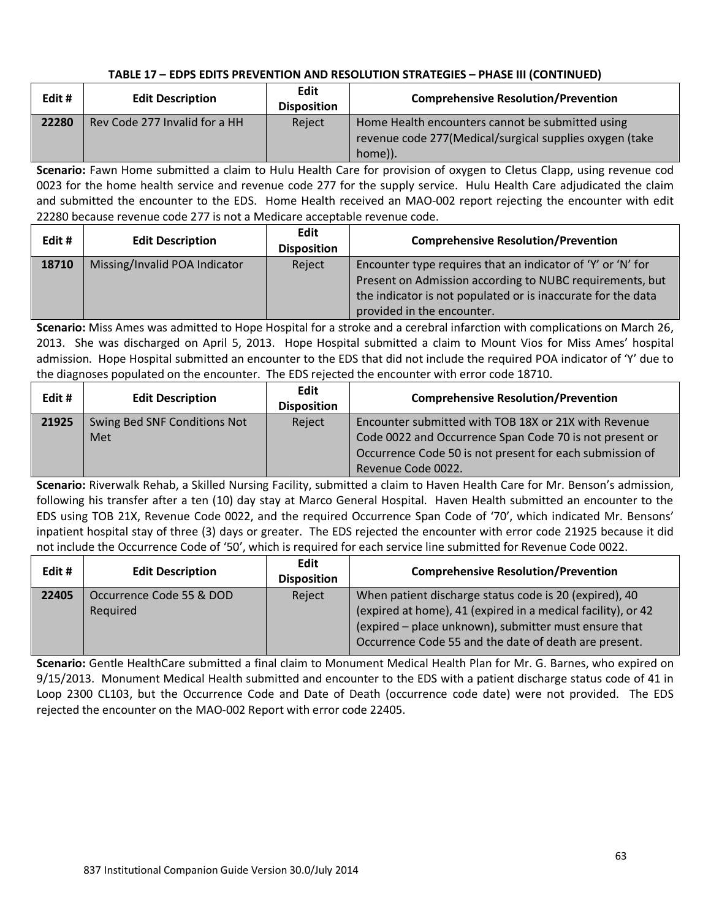| Edit# | <b>Edit Description</b>       | Edit<br><b>Disposition</b> | <b>Comprehensive Resolution/Prevention</b>                                                                              |
|-------|-------------------------------|----------------------------|-------------------------------------------------------------------------------------------------------------------------|
| 22280 | Rev Code 277 Invalid for a HH | Reject                     | Home Health encounters cannot be submitted using<br>revenue code 277 (Medical/surgical supplies oxygen (take<br>home)). |

**Scenario:** Fawn Home submitted a claim to Hulu Health Care for provision of oxygen to Cletus Clapp, using revenue cod 0023 for the home health service and revenue code 277 for the supply service. Hulu Health Care adjudicated the claim and submitted the encounter to the EDS. Home Health received an MAO-002 report rejecting the encounter with edit 22280 because revenue code 277 is not a Medicare acceptable revenue code.

| Edit# | <b>Edit Description</b>       | Edit<br><b>Disposition</b> | <b>Comprehensive Resolution/Prevention</b>                                                                                                                                                                            |
|-------|-------------------------------|----------------------------|-----------------------------------------------------------------------------------------------------------------------------------------------------------------------------------------------------------------------|
| 18710 | Missing/Invalid POA Indicator | Reject                     | Encounter type requires that an indicator of 'Y' or 'N' for<br>Present on Admission according to NUBC requirements, but<br>the indicator is not populated or is inaccurate for the data<br>provided in the encounter. |

**Scenario:** Miss Ames was admitted to Hope Hospital for a stroke and a cerebral infarction with complications on March 26, 2013. She was discharged on April 5, 2013. Hope Hospital submitted a claim to Mount Vios for Miss Ames' hospital admission. Hope Hospital submitted an encounter to the EDS that did not include the required POA indicator of 'Y' due to the diagnoses populated on the encounter. The EDS rejected the encounter with error code 18710.

| Edit# | <b>Edit Description</b>             | <b>Edit</b><br><b>Disposition</b> | <b>Comprehensive Resolution/Prevention</b>                                                                                                                                                        |
|-------|-------------------------------------|-----------------------------------|---------------------------------------------------------------------------------------------------------------------------------------------------------------------------------------------------|
| 21925 | Swing Bed SNF Conditions Not<br>Met | Reject                            | Encounter submitted with TOB 18X or 21X with Revenue<br>Code 0022 and Occurrence Span Code 70 is not present or<br>Occurrence Code 50 is not present for each submission of<br>Revenue Code 0022. |

**Scenario:** Riverwalk Rehab, a Skilled Nursing Facility, submitted a claim to Haven Health Care for Mr. Benson's admission, following his transfer after a ten (10) day stay at Marco General Hospital. Haven Health submitted an encounter to the EDS using TOB 21X, Revenue Code 0022, and the required Occurrence Span Code of '70', which indicated Mr. Bensons' inpatient hospital stay of three (3) days or greater. The EDS rejected the encounter with error code 21925 because it did not include the Occurrence Code of '50', which is required for each service line submitted for Revenue Code 0022.

| Edit# | <b>Edit Description</b>  | <b>Edit</b><br><b>Disposition</b> | <b>Comprehensive Resolution/Prevention</b>                   |
|-------|--------------------------|-----------------------------------|--------------------------------------------------------------|
| 22405 | Occurrence Code 55 & DOD | Reject                            | When patient discharge status code is 20 (expired), 40       |
|       | Required                 |                                   | (expired at home), 41 (expired in a medical facility), or 42 |
|       |                          |                                   | (expired – place unknown), submitter must ensure that        |
|       |                          |                                   | Occurrence Code 55 and the date of death are present.        |

**Scenario:** Gentle HealthCare submitted a final claim to Monument Medical Health Plan for Mr. G. Barnes, who expired on 9/15/2013. Monument Medical Health submitted and encounter to the EDS with a patient discharge status code of 41 in Loop 2300 CL103, but the Occurrence Code and Date of Death (occurrence code date) were not provided. The EDS rejected the encounter on the MAO-002 Report with error code 22405.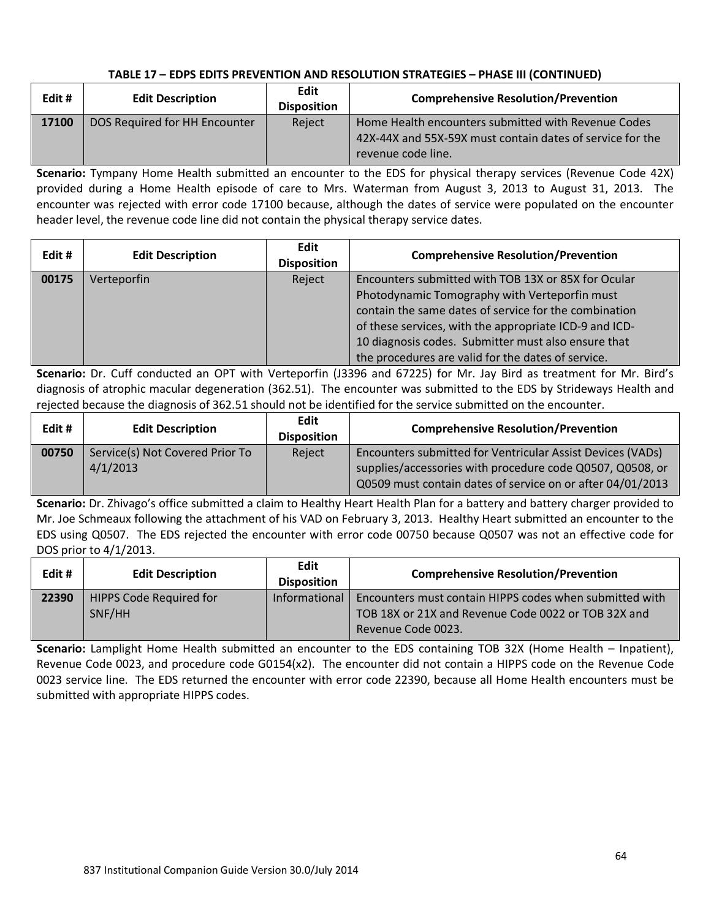| Edit# | <b>Edit Description</b>       | Edit<br><b>Disposition</b> | <b>Comprehensive Resolution/Prevention</b>                                                                                             |
|-------|-------------------------------|----------------------------|----------------------------------------------------------------------------------------------------------------------------------------|
| 17100 | DOS Required for HH Encounter | Reject                     | Home Health encounters submitted with Revenue Codes<br>42X-44X and 55X-59X must contain dates of service for the<br>revenue code line. |

**Scenario:** Tympany Home Health submitted an encounter to the EDS for physical therapy services (Revenue Code 42X) provided during a Home Health episode of care to Mrs. Waterman from August 3, 2013 to August 31, 2013. The encounter was rejected with error code 17100 because, although the dates of service were populated on the encounter header level, the revenue code line did not contain the physical therapy service dates.

| Edit# | <b>Edit Description</b> | <b>Edit</b><br><b>Disposition</b> | <b>Comprehensive Resolution/Prevention</b>             |
|-------|-------------------------|-----------------------------------|--------------------------------------------------------|
| 00175 | Verteporfin             | Reject                            | Encounters submitted with TOB 13X or 85X for Ocular    |
|       |                         |                                   | Photodynamic Tomography with Verteporfin must          |
|       |                         |                                   | contain the same dates of service for the combination  |
|       |                         |                                   | of these services, with the appropriate ICD-9 and ICD- |
|       |                         |                                   | 10 diagnosis codes. Submitter must also ensure that    |
|       |                         |                                   | the procedures are valid for the dates of service.     |

**Scenario:** Dr. Cuff conducted an OPT with Verteporfin (J3396 and 67225) for Mr. Jay Bird as treatment for Mr. Bird's diagnosis of atrophic macular degeneration (362.51). The encounter was submitted to the EDS by Strideways Health and rejected because the diagnosis of 362.51 should not be identified for the service submitted on the encounter.

| Edit# | <b>Edit Description</b>                     | <b>Edit</b><br><b>Disposition</b> | <b>Comprehensive Resolution/Prevention</b>                                                                                                                                            |
|-------|---------------------------------------------|-----------------------------------|---------------------------------------------------------------------------------------------------------------------------------------------------------------------------------------|
| 00750 | Service(s) Not Covered Prior To<br>4/1/2013 | Reject                            | Encounters submitted for Ventricular Assist Devices (VADs)<br>supplies/accessories with procedure code Q0507, Q0508, or<br>Q0509 must contain dates of service on or after 04/01/2013 |

**Scenario:** Dr. Zhivago's office submitted a claim to Healthy Heart Health Plan for a battery and battery charger provided to Mr. Joe Schmeaux following the attachment of his VAD on February 3, 2013. Healthy Heart submitted an encounter to the EDS using Q0507. The EDS rejected the encounter with error code 00750 because Q0507 was not an effective code for DOS prior to 4/1/2013.

| Edit# | <b>Edit Description</b>        | Edit<br><b>Disposition</b> | <b>Comprehensive Resolution/Prevention</b>              |
|-------|--------------------------------|----------------------------|---------------------------------------------------------|
| 22390 | <b>HIPPS Code Required for</b> | Informational              | Encounters must contain HIPPS codes when submitted with |
|       | SNF/HH                         |                            | TOB 18X or 21X and Revenue Code 0022 or TOB 32X and     |
|       |                                |                            | Revenue Code 0023.                                      |

**Scenario:** Lamplight Home Health submitted an encounter to the EDS containing TOB 32X (Home Health – Inpatient), Revenue Code 0023, and procedure code G0154(x2). The encounter did not contain a HIPPS code on the Revenue Code 0023 service line. The EDS returned the encounter with error code 22390, because all Home Health encounters must be submitted with appropriate HIPPS codes.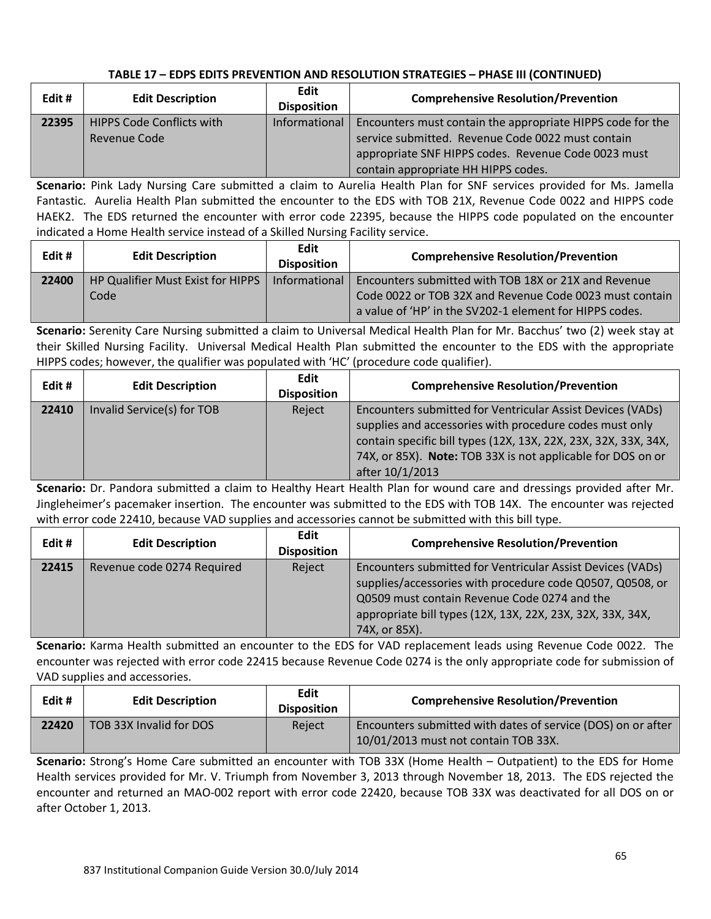| Edit# | <b>Edit Description</b>          | Edit<br><b>Disposition</b> | <b>Comprehensive Resolution/Prevention</b>                 |
|-------|----------------------------------|----------------------------|------------------------------------------------------------|
| 22395 | <b>HIPPS Code Conflicts with</b> | Informational              | Encounters must contain the appropriate HIPPS code for the |
|       | Revenue Code                     |                            | service submitted. Revenue Code 0022 must contain          |
|       |                                  |                            | appropriate SNF HIPPS codes. Revenue Code 0023 must        |
|       |                                  |                            | contain appropriate HH HIPPS codes.                        |

**Scenario:** Pink Lady Nursing Care submitted a claim to Aurelia Health Plan for SNF services provided for Ms. Jamella Fantastic. Aurelia Health Plan submitted the encounter to the EDS with TOB 21X, Revenue Code 0022 and HIPPS code HAEK2. The EDS returned the encounter with error code 22395, because the HIPPS code populated on the encounter indicated a Home Health service instead of a Skilled Nursing Facility service.

| Edit # | <b>Edit Description</b>           | Edit<br><b>Disposition</b> | <b>Comprehensive Resolution/Prevention</b>              |
|--------|-----------------------------------|----------------------------|---------------------------------------------------------|
| 22400  | HP Qualifier Must Exist for HIPPS | Informational              | Encounters submitted with TOB 18X or 21X and Revenue    |
|        | Code                              |                            | Code 0022 or TOB 32X and Revenue Code 0023 must contain |
|        |                                   |                            | a value of 'HP' in the SV202-1 element for HIPPS codes. |

**Scenario:** Serenity Care Nursing submitted a claim to Universal Medical Health Plan for Mr. Bacchus' two (2) week stay at their Skilled Nursing Facility. Universal Medical Health Plan submitted the encounter to the EDS with the appropriate HIPPS codes; however, the qualifier was populated with 'HC' (procedure code qualifier).

| Edit# | <b>Edit Description</b>    | <b>Edit</b><br><b>Disposition</b> | <b>Comprehensive Resolution/Prevention</b>                                                                                                                                                                                                                                 |
|-------|----------------------------|-----------------------------------|----------------------------------------------------------------------------------------------------------------------------------------------------------------------------------------------------------------------------------------------------------------------------|
| 22410 | Invalid Service(s) for TOB | Reject                            | Encounters submitted for Ventricular Assist Devices (VADs)<br>supplies and accessories with procedure codes must only<br>contain specific bill types (12X, 13X, 22X, 23X, 32X, 33X, 34X,<br>74X, or 85X). Note: TOB 33X is not applicable for DOS on or<br>after 10/1/2013 |

**Scenario:** Dr. Pandora submitted a claim to Healthy Heart Health Plan for wound care and dressings provided after Mr. Jingleheimer's pacemaker insertion. The encounter was submitted to the EDS with TOB 14X. The encounter was rejected with error code 22410, because VAD supplies and accessories cannot be submitted with this bill type.

| Edit# | <b>Edit Description</b>    | Edit<br><b>Disposition</b> | <b>Comprehensive Resolution/Prevention</b>                                                                                                                                                                                                             |
|-------|----------------------------|----------------------------|--------------------------------------------------------------------------------------------------------------------------------------------------------------------------------------------------------------------------------------------------------|
| 22415 | Revenue code 0274 Required | Reject                     | Encounters submitted for Ventricular Assist Devices (VADs)<br>supplies/accessories with procedure code Q0507, Q0508, or<br>Q0509 must contain Revenue Code 0274 and the<br>appropriate bill types (12X, 13X, 22X, 23X, 32X, 33X, 34X,<br>74X, or 85X). |

**Scenario:** Karma Health submitted an encounter to the EDS for VAD replacement leads using Revenue Code 0022. The encounter was rejected with error code 22415 because Revenue Code 0274 is the only appropriate code for submission of VAD supplies and accessories.

| Edit # | <b>Edit Description</b> | Edit<br><b>Disposition</b> | <b>Comprehensive Resolution/Prevention</b>                                                           |
|--------|-------------------------|----------------------------|------------------------------------------------------------------------------------------------------|
| 22420  | TOB 33X Invalid for DOS | Reject                     | Encounters submitted with dates of service (DOS) on or after<br>10/01/2013 must not contain TOB 33X. |

**Scenario:** Strong's Home Care submitted an encounter with TOB 33X (Home Health – Outpatient) to the EDS for Home Health services provided for Mr. V. Triumph from November 3, 2013 through November 18, 2013. The EDS rejected the encounter and returned an MAO-002 report with error code 22420, because TOB 33X was deactivated for all DOS on or after October 1, 2013.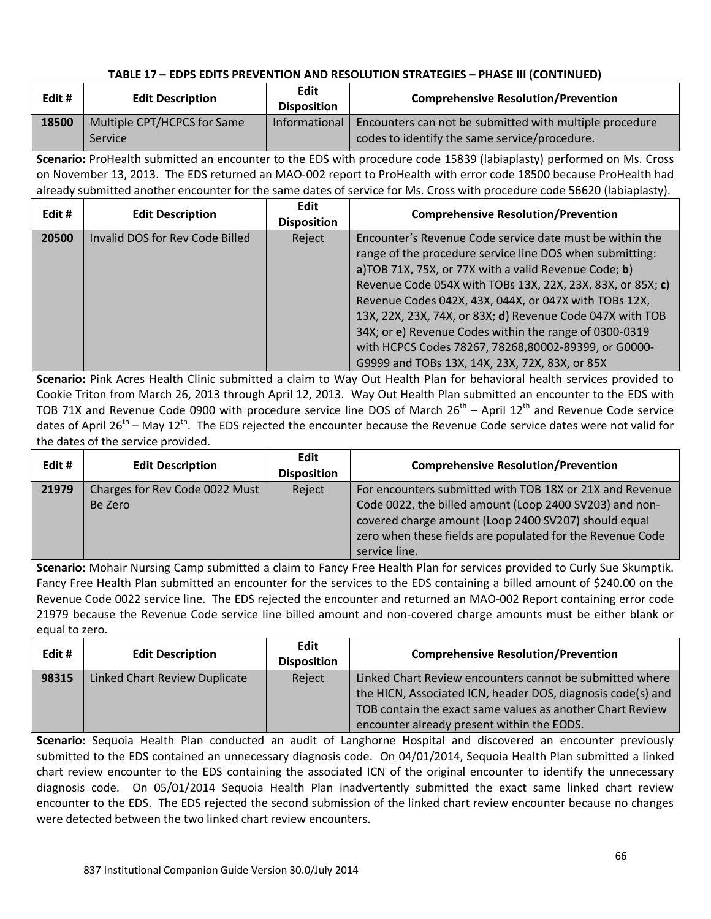| Edit# | <b>Edit Description</b>                       | Edit<br><b>Disposition</b> | <b>Comprehensive Resolution/Prevention</b>                                                               |
|-------|-----------------------------------------------|----------------------------|----------------------------------------------------------------------------------------------------------|
| 18500 | Multiple CPT/HCPCS for Same<br><b>Service</b> | Informational              | Encounters can not be submitted with multiple procedure<br>codes to identify the same service/procedure. |

**Scenario:** ProHealth submitted an encounter to the EDS with procedure code 15839 (labiaplasty) performed on Ms. Cross on November 13, 2013. The EDS returned an MAO-002 report to ProHealth with error code 18500 because ProHealth had already submitted another encounter for the same dates of service for Ms. Cross with procedure code 56620 (labiaplasty).

| Edit # | <b>Edit Description</b>         | <b>Edit</b><br><b>Disposition</b> | <b>Comprehensive Resolution/Prevention</b>                                                                                                                                                                                                                                                                                                                                                                                                                                                                                           |
|--------|---------------------------------|-----------------------------------|--------------------------------------------------------------------------------------------------------------------------------------------------------------------------------------------------------------------------------------------------------------------------------------------------------------------------------------------------------------------------------------------------------------------------------------------------------------------------------------------------------------------------------------|
| 20500  | Invalid DOS for Rev Code Billed | Reject                            | Encounter's Revenue Code service date must be within the<br>range of the procedure service line DOS when submitting:<br>a)TOB 71X, 75X, or 77X with a valid Revenue Code; b)<br>Revenue Code 054X with TOBs 13X, 22X, 23X, 83X, or 85X; c)<br>Revenue Codes 042X, 43X, 044X, or 047X with TOBs 12X,<br>13X, 22X, 23X, 74X, or 83X; d) Revenue Code 047X with TOB<br>34X; or e) Revenue Codes within the range of 0300-0319<br>with HCPCS Codes 78267, 78268,80002-89399, or G0000-<br>G9999 and TOBs 13X, 14X, 23X, 72X, 83X, or 85X |

**Scenario:** Pink Acres Health Clinic submitted a claim to Way Out Health Plan for behavioral health services provided to Cookie Triton from March 26, 2013 through April 12, 2013. Way Out Health Plan submitted an encounter to the EDS with TOB 71X and Revenue Code 0900 with procedure service line DOS of March  $26^{th}$  – April  $12^{th}$  and Revenue Code service dates of April 26<sup>th</sup> – May 12<sup>th</sup>. The EDS rejected the encounter because the Revenue Code service dates were not valid for the dates of the service provided.

| Edit# | <b>Edit Description</b>                   | <b>Edit</b><br><b>Disposition</b> | <b>Comprehensive Resolution/Prevention</b>                                                                                                                                                                                                                |
|-------|-------------------------------------------|-----------------------------------|-----------------------------------------------------------------------------------------------------------------------------------------------------------------------------------------------------------------------------------------------------------|
| 21979 | Charges for Rev Code 0022 Must<br>Be Zero | Reject                            | For encounters submitted with TOB 18X or 21X and Revenue<br>Code 0022, the billed amount (Loop 2400 SV203) and non-<br>covered charge amount (Loop 2400 SV207) should equal<br>zero when these fields are populated for the Revenue Code<br>service line. |

**Scenario:** Mohair Nursing Camp submitted a claim to Fancy Free Health Plan for services provided to Curly Sue Skumptik. Fancy Free Health Plan submitted an encounter for the services to the EDS containing a billed amount of \$240.00 on the Revenue Code 0022 service line. The EDS rejected the encounter and returned an MAO-002 Report containing error code 21979 because the Revenue Code service line billed amount and non-covered charge amounts must be either blank or equal to zero.

| Edit# | <b>Edit Description</b>       | Edit<br><b>Disposition</b> | <b>Comprehensive Resolution/Prevention</b>                                                                                                                                                                                         |
|-------|-------------------------------|----------------------------|------------------------------------------------------------------------------------------------------------------------------------------------------------------------------------------------------------------------------------|
| 98315 | Linked Chart Review Duplicate | Reject                     | Linked Chart Review encounters cannot be submitted where<br>the HICN, Associated ICN, header DOS, diagnosis code(s) and<br>TOB contain the exact same values as another Chart Review<br>encounter already present within the EODS. |

**Scenario:** Sequoia Health Plan conducted an audit of Langhorne Hospital and discovered an encounter previously submitted to the EDS contained an unnecessary diagnosis code. On 04/01/2014, Sequoia Health Plan submitted a linked chart review encounter to the EDS containing the associated ICN of the original encounter to identify the unnecessary diagnosis code. On 05/01/2014 Sequoia Health Plan inadvertently submitted the exact same linked chart review encounter to the EDS. The EDS rejected the second submission of the linked chart review encounter because no changes were detected between the two linked chart review encounters.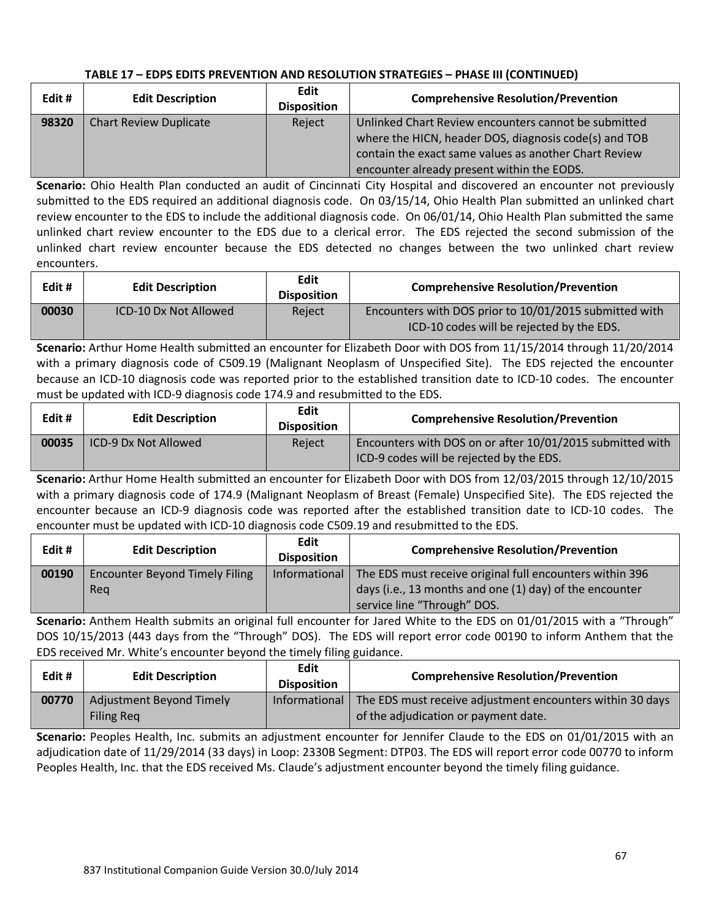| Edit# | <b>Edit Description</b>       | Edit<br><b>Disposition</b> | <b>Comprehensive Resolution/Prevention</b>                                                                                                                                                                           |
|-------|-------------------------------|----------------------------|----------------------------------------------------------------------------------------------------------------------------------------------------------------------------------------------------------------------|
| 98320 | <b>Chart Review Duplicate</b> | Reject                     | Unlinked Chart Review encounters cannot be submitted<br>where the HICN, header DOS, diagnosis code(s) and TOB<br>contain the exact same values as another Chart Review<br>encounter already present within the EODS. |

**Scenario:** Ohio Health Plan conducted an audit of Cincinnati City Hospital and discovered an encounter not previously submitted to the EDS required an additional diagnosis code. On 03/15/14, Ohio Health Plan submitted an unlinked chart review encounter to the EDS to include the additional diagnosis code. On 06/01/14, Ohio Health Plan submitted the same unlinked chart review encounter to the EDS due to a clerical error. The EDS rejected the second submission of the unlinked chart review encounter because the EDS detected no changes between the two unlinked chart review encounters.

| Edit # | <b>Edit Description</b> | Edit<br><b>Disposition</b> | <b>Comprehensive Resolution/Prevention</b>                                                          |
|--------|-------------------------|----------------------------|-----------------------------------------------------------------------------------------------------|
| 00030  | ICD-10 Dx Not Allowed   | Reject                     | Encounters with DOS prior to 10/01/2015 submitted with<br>ICD-10 codes will be rejected by the EDS. |

**Scenario:** Arthur Home Health submitted an encounter for Elizabeth Door with DOS from 11/15/2014 through 11/20/2014 with a primary diagnosis code of C509.19 (Malignant Neoplasm of Unspecified Site). The EDS rejected the encounter because an ICD-10 diagnosis code was reported prior to the established transition date to ICD-10 codes. The encounter must be updated with ICD-9 diagnosis code 174.9 and resubmitted to the EDS.

| Edit # | <b>Edit Description</b> | Edit<br><b>Disposition</b> | <b>Comprehensive Resolution/Prevention</b>                                                            |
|--------|-------------------------|----------------------------|-------------------------------------------------------------------------------------------------------|
| 00035  | ICD-9 Dx Not Allowed    | Reject                     | Encounters with DOS on or after 10/01/2015 submitted with<br>ICD-9 codes will be rejected by the EDS. |

**Scenario:** Arthur Home Health submitted an encounter for Elizabeth Door with DOS from 12/03/2015 through 12/10/2015 with a primary diagnosis code of 174.9 (Malignant Neoplasm of Breast (Female) Unspecified Site). The EDS rejected the encounter because an ICD-9 diagnosis code was reported after the established transition date to ICD-10 codes. The encounter must be updated with ICD-10 diagnosis code C509.19 and resubmitted to the EDS.

| Edit# | <b>Edit Description</b>               | <b>Edit</b><br><b>Disposition</b> | <b>Comprehensive Resolution/Prevention</b>               |
|-------|---------------------------------------|-----------------------------------|----------------------------------------------------------|
| 00190 | <b>Encounter Beyond Timely Filing</b> | Informational                     | The EDS must receive original full encounters within 396 |
|       | Rea                                   |                                   | days (i.e., 13 months and one (1) day) of the encounter  |
|       |                                       |                                   | service line "Through" DOS.                              |

**Scenario:** Anthem Health submits an original full encounter for Jared White to the EDS on 01/01/2015 with a "Through" DOS 10/15/2013 (443 days from the "Through" DOS). The EDS will report error code 00190 to inform Anthem that the EDS received Mr. White's encounter beyond the timely filing guidance.

| Edit# | <b>Edit Description</b>                              | Edit<br><b>Disposition</b> | <b>Comprehensive Resolution/Prevention</b>                                                        |
|-------|------------------------------------------------------|----------------------------|---------------------------------------------------------------------------------------------------|
| 00770 | <b>Adjustment Beyond Timely</b><br><b>Filing Req</b> | Informational              | The EDS must receive adjustment encounters within 30 days<br>of the adjudication or payment date. |

**Scenario:** Peoples Health, Inc. submits an adjustment encounter for Jennifer Claude to the EDS on 01/01/2015 with an adjudication date of 11/29/2014 (33 days) in Loop: 2330B Segment: DTP03. The EDS will report error code 00770 to inform Peoples Health, Inc. that the EDS received Ms. Claude's adjustment encounter beyond the timely filing guidance.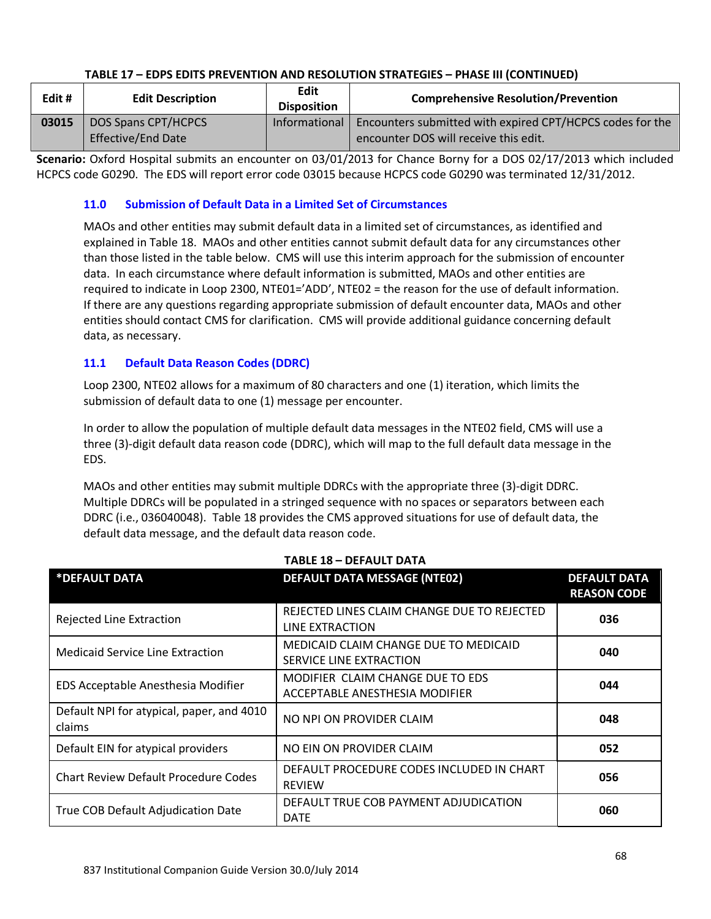| Edit # | <b>Edit Description</b>                          | <b>Edit</b><br><b>Disposition</b> | <b>Comprehensive Resolution/Prevention</b>                                                                         |
|--------|--------------------------------------------------|-----------------------------------|--------------------------------------------------------------------------------------------------------------------|
| 03015  | DOS Spans CPT/HCPCS<br><b>Effective/End Date</b> |                                   | Informational   Encounters submitted with expired CPT/HCPCS codes for the<br>encounter DOS will receive this edit. |

**Scenario:** Oxford Hospital submits an encounter on 03/01/2013 for Chance Borny for a DOS 02/17/2013 which included HCPCS code G0290. The EDS will report error code 03015 because HCPCS code G0290 was terminated 12/31/2012.

#### **11.0 Submission of Default Data in a Limited Set of Circumstances**

MAOs and other entities may submit default data in a limited set of circumstances, as identified and explained in Table 18. MAOs and other entities cannot submit default data for any circumstances other than those listed in the table below. CMS will use this interim approach for the submission of encounter data. In each circumstance where default information is submitted, MAOs and other entities are required to indicate in Loop 2300, NTE01='ADD', NTE02 = the reason for the use of default information. If there are any questions regarding appropriate submission of default encounter data, MAOs and other entities should contact CMS for clarification. CMS will provide additional guidance concerning default data, as necessary.

#### **11.1 Default Data Reason Codes (DDRC)**

Loop 2300, NTE02 allows for a maximum of 80 characters and one (1) iteration, which limits the submission of default data to one (1) message per encounter.

In order to allow the population of multiple default data messages in the NTE02 field, CMS will use a three (3)-digit default data reason code (DDRC), which will map to the full default data message in the EDS.

MAOs and other entities may submit multiple DDRCs with the appropriate three (3)-digit DDRC. Multiple DDRCs will be populated in a stringed sequence with no spaces or separators between each DDRC (i.e., 036040048). Table 18 provides the CMS approved situations for use of default data, the default data message, and the default data reason code.

|                                                     | 18955.C<br>- DLIAULI DAIA                                          |                                           |
|-----------------------------------------------------|--------------------------------------------------------------------|-------------------------------------------|
| *DEFAULT DATA                                       | <b>DEFAULT DATA MESSAGE (NTE02)</b>                                | <b>DEFAULT DATA</b><br><b>REASON CODE</b> |
| Rejected Line Extraction                            | REJECTED LINES CLAIM CHANGE DUE TO REJECTED<br>LINE EXTRACTION     | 036                                       |
| <b>Medicaid Service Line Extraction</b>             | MEDICAID CLAIM CHANGE DUE TO MEDICAID<br>SERVICE LINE EXTRACTION   | 040                                       |
| EDS Acceptable Anesthesia Modifier                  | MODIFIER CLAIM CHANGE DUE TO EDS<br>ACCEPTABLE ANESTHESIA MODIFIER | 044                                       |
| Default NPI for atypical, paper, and 4010<br>claims | NO NPI ON PROVIDER CLAIM                                           | 048                                       |
| Default EIN for atypical providers                  | NO EIN ON PROVIDER CLAIM                                           | 052                                       |
| <b>Chart Review Default Procedure Codes</b>         | DEFAULT PROCEDURE CODES INCLUDED IN CHART<br><b>REVIEW</b>         | 056                                       |
| True COB Default Adjudication Date                  | DEFAULT TRUE COB PAYMENT ADJUDICATION<br><b>DATE</b>               | 060                                       |

#### **TABLE 18 – DEFAULT DATA**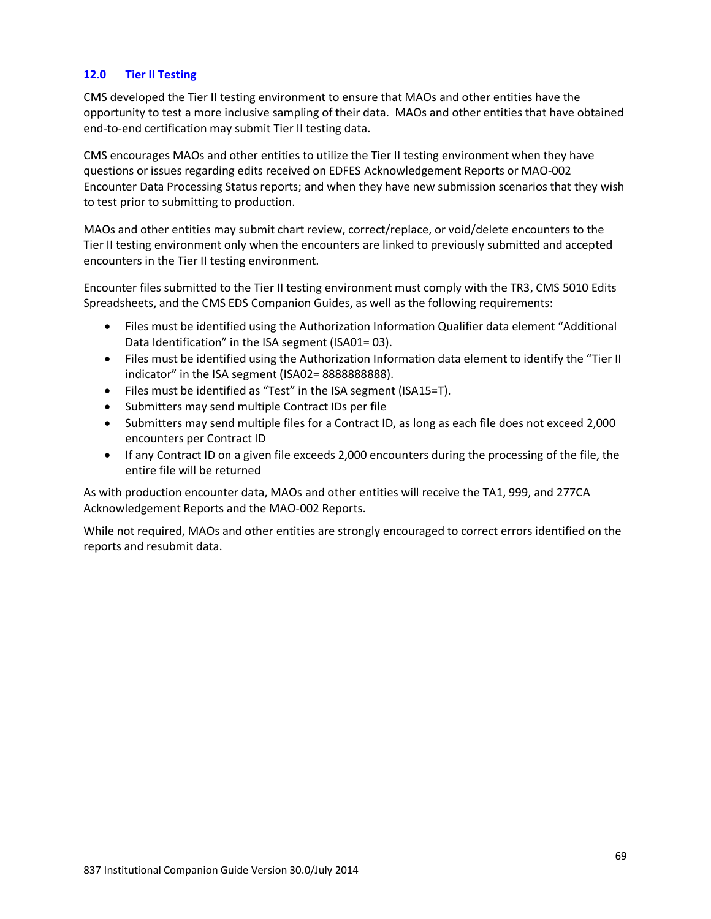#### **12.0 Tier II Testing**

CMS developed the Tier II testing environment to ensure that MAOs and other entities have the opportunity to test a more inclusive sampling of their data. MAOs and other entities that have obtained end-to-end certification may submit Tier II testing data.

CMS encourages MAOs and other entities to utilize the Tier II testing environment when they have questions or issues regarding edits received on EDFES Acknowledgement Reports or MAO-002 Encounter Data Processing Status reports; and when they have new submission scenarios that they wish to test prior to submitting to production.

MAOs and other entities may submit chart review, correct/replace, or void/delete encounters to the Tier II testing environment only when the encounters are linked to previously submitted and accepted encounters in the Tier II testing environment.

Encounter files submitted to the Tier II testing environment must comply with the TR3, CMS 5010 Edits Spreadsheets, and the CMS EDS Companion Guides, as well as the following requirements:

- Files must be identified using the Authorization Information Qualifier data element "Additional Data Identification" in the ISA segment (ISA01= 03).
- Files must be identified using the Authorization Information data element to identify the "Tier II indicator" in the ISA segment (ISA02= 888888888888).
- Files must be identified as "Test" in the ISA segment (ISA15=T).
- Submitters may send multiple Contract IDs per file
- Submitters may send multiple files for a Contract ID, as long as each file does not exceed 2,000 encounters per Contract ID
- If any Contract ID on a given file exceeds 2,000 encounters during the processing of the file, the entire file will be returned

As with production encounter data, MAOs and other entities will receive the TA1, 999, and 277CA Acknowledgement Reports and the MAO-002 Reports.

While not required, MAOs and other entities are strongly encouraged to correct errors identified on the reports and resubmit data.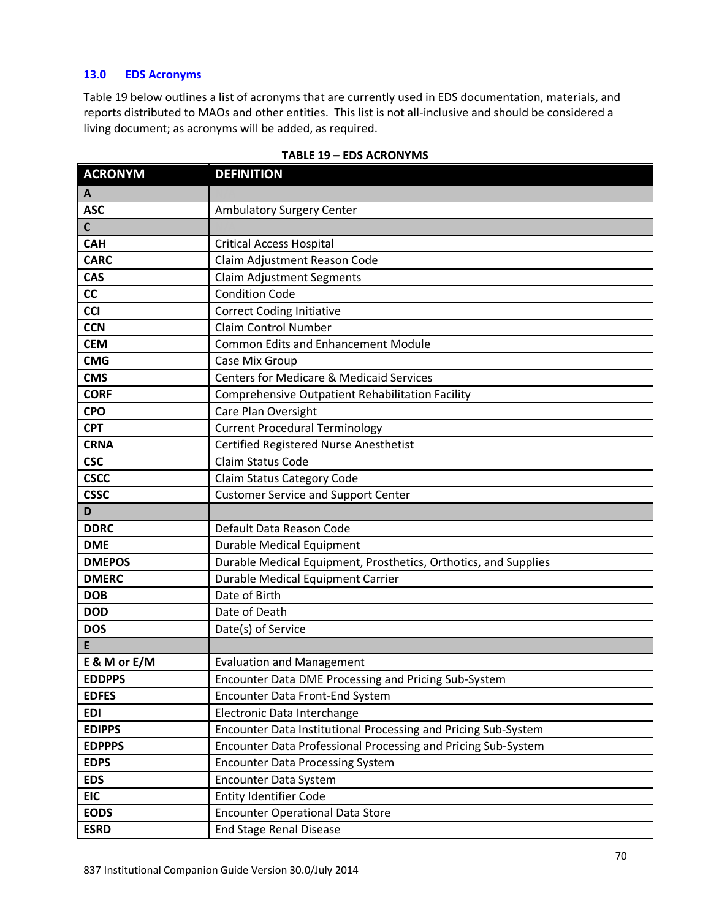#### **13.0 EDS Acronyms**

Table 19 below outlines a list of acronyms that are currently used in EDS documentation, materials, and reports distributed to MAOs and other entities. This list is not all-inclusive and should be considered a living document; as acronyms will be added, as required.

| <b>ACRONYM</b> | <b>DEFINITION</b>                                               |
|----------------|-----------------------------------------------------------------|
| A              |                                                                 |
| <b>ASC</b>     | Ambulatory Surgery Center                                       |
| $\mathsf{C}$   |                                                                 |
| <b>CAH</b>     | <b>Critical Access Hospital</b>                                 |
| <b>CARC</b>    | Claim Adjustment Reason Code                                    |
| <b>CAS</b>     | <b>Claim Adjustment Segments</b>                                |
| cc             | <b>Condition Code</b>                                           |
| <b>CCI</b>     | <b>Correct Coding Initiative</b>                                |
| <b>CCN</b>     | <b>Claim Control Number</b>                                     |
| <b>CEM</b>     | <b>Common Edits and Enhancement Module</b>                      |
| <b>CMG</b>     | Case Mix Group                                                  |
| <b>CMS</b>     | <b>Centers for Medicare &amp; Medicaid Services</b>             |
| <b>CORF</b>    | Comprehensive Outpatient Rehabilitation Facility                |
| <b>CPO</b>     | Care Plan Oversight                                             |
| <b>CPT</b>     | <b>Current Procedural Terminology</b>                           |
| <b>CRNA</b>    | <b>Certified Registered Nurse Anesthetist</b>                   |
| <b>CSC</b>     | Claim Status Code                                               |
| <b>CSCC</b>    | Claim Status Category Code                                      |
| <b>CSSC</b>    | <b>Customer Service and Support Center</b>                      |
|                |                                                                 |
| D              |                                                                 |
| <b>DDRC</b>    | Default Data Reason Code                                        |
| <b>DME</b>     | <b>Durable Medical Equipment</b>                                |
| <b>DMEPOS</b>  | Durable Medical Equipment, Prosthetics, Orthotics, and Supplies |
| <b>DMERC</b>   | <b>Durable Medical Equipment Carrier</b>                        |
| <b>DOB</b>     | Date of Birth                                                   |
| <b>DOD</b>     | Date of Death                                                   |
| <b>DOS</b>     | Date(s) of Service                                              |
| E              |                                                                 |
| E & M or E/M   | <b>Evaluation and Management</b>                                |
| <b>EDDPPS</b>  | Encounter Data DME Processing and Pricing Sub-System            |
| <b>EDFES</b>   | Encounter Data Front-End System                                 |
| <b>EDI</b>     | Electronic Data Interchange                                     |
| <b>EDIPPS</b>  | Encounter Data Institutional Processing and Pricing Sub-System  |
| <b>EDPPPS</b>  | Encounter Data Professional Processing and Pricing Sub-System   |
| <b>EDPS</b>    | <b>Encounter Data Processing System</b>                         |
| <b>EDS</b>     | Encounter Data System                                           |
| <b>EIC</b>     | <b>Entity Identifier Code</b>                                   |
| <b>EODS</b>    | <b>Encounter Operational Data Store</b>                         |

#### **TABLE 19 – EDS ACRONYMS**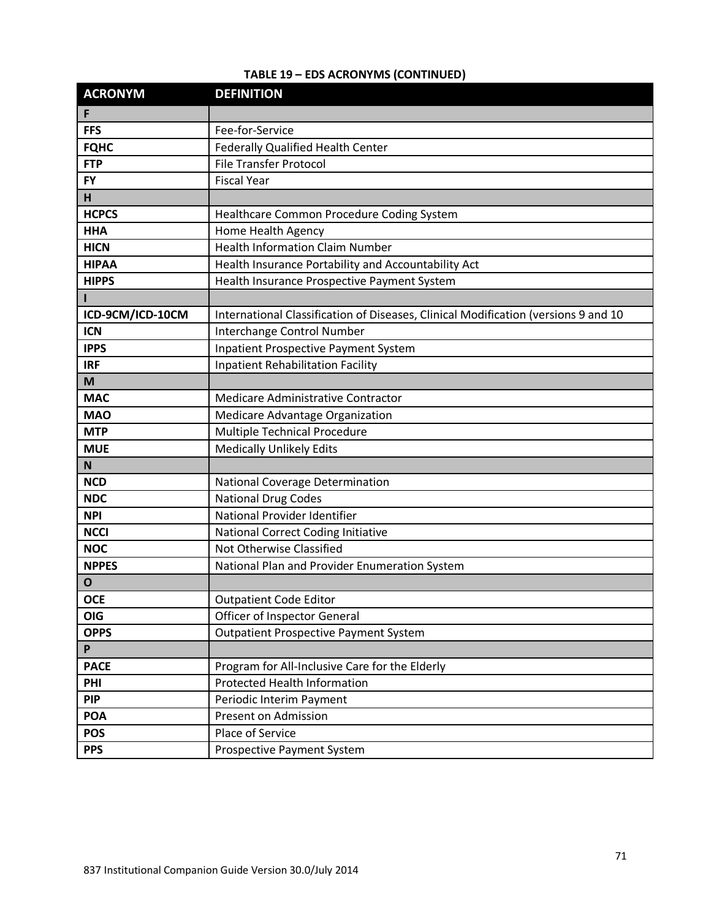| <b>ACRONYM</b>   | <b>DEFINITION</b>                                                                  |
|------------------|------------------------------------------------------------------------------------|
| F                |                                                                                    |
| <b>FFS</b>       | Fee-for-Service                                                                    |
| <b>FQHC</b>      | <b>Federally Qualified Health Center</b>                                           |
| <b>FTP</b>       | <b>File Transfer Protocol</b>                                                      |
| <b>FY</b>        | <b>Fiscal Year</b>                                                                 |
| H                |                                                                                    |
| <b>HCPCS</b>     | Healthcare Common Procedure Coding System                                          |
| <b>HHA</b>       | Home Health Agency                                                                 |
| <b>HICN</b>      | <b>Health Information Claim Number</b>                                             |
| <b>HIPAA</b>     | Health Insurance Portability and Accountability Act                                |
| <b>HIPPS</b>     | Health Insurance Prospective Payment System                                        |
|                  |                                                                                    |
| ICD-9CM/ICD-10CM | International Classification of Diseases, Clinical Modification (versions 9 and 10 |
| <b>ICN</b>       | Interchange Control Number                                                         |
| <b>IPPS</b>      | <b>Inpatient Prospective Payment System</b>                                        |
| <b>IRF</b>       | <b>Inpatient Rehabilitation Facility</b>                                           |
| M                |                                                                                    |
| <b>MAC</b>       | Medicare Administrative Contractor                                                 |
| <b>MAO</b>       | Medicare Advantage Organization                                                    |
| <b>MTP</b>       | Multiple Technical Procedure                                                       |
| <b>MUE</b>       | <b>Medically Unlikely Edits</b>                                                    |
| N                |                                                                                    |
| <b>NCD</b>       | National Coverage Determination                                                    |
| <b>NDC</b>       | <b>National Drug Codes</b>                                                         |
| <b>NPI</b>       | National Provider Identifier                                                       |
| <b>NCCI</b>      | National Correct Coding Initiative                                                 |
| <b>NOC</b>       | Not Otherwise Classified                                                           |
| <b>NPPES</b>     | National Plan and Provider Enumeration System                                      |
| O                |                                                                                    |
| <b>OCE</b>       | <b>Outpatient Code Editor</b>                                                      |
| <b>OIG</b>       | <b>Officer of Inspector General</b>                                                |
| <b>OPPS</b>      | <b>Outpatient Prospective Payment System</b>                                       |
| P                |                                                                                    |
| <b>PACE</b>      | Program for All-Inclusive Care for the Elderly                                     |
| PHI              | <b>Protected Health Information</b>                                                |
| <b>PIP</b>       | Periodic Interim Payment                                                           |
| <b>POA</b>       | Present on Admission                                                               |
| <b>POS</b>       | Place of Service                                                                   |
| <b>PPS</b>       | <b>Prospective Payment System</b>                                                  |

# **TABLE 19 – EDS ACRONYMS (CONTINUED)**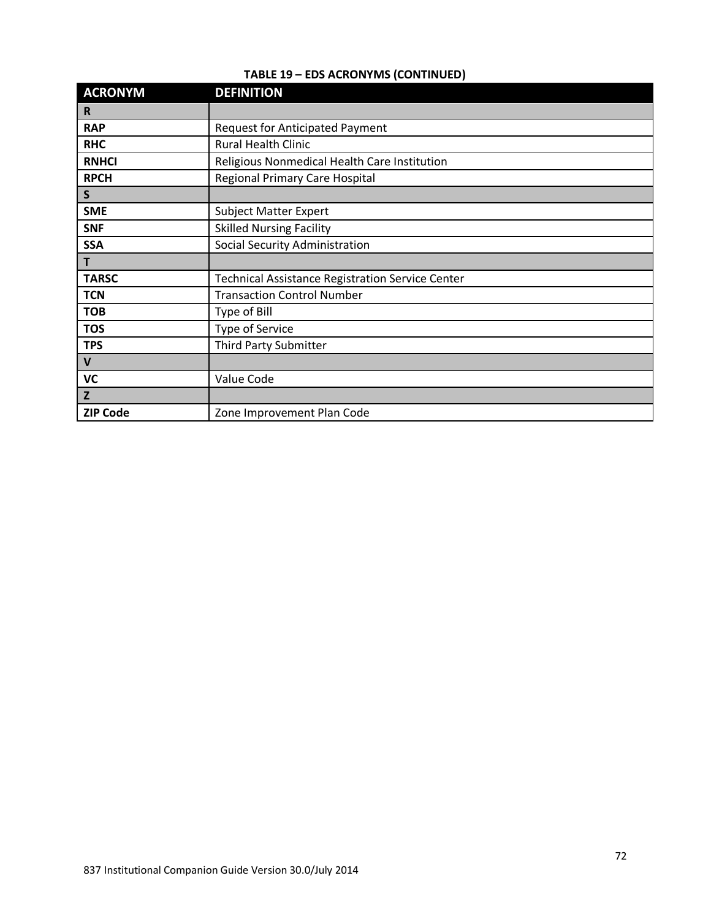| TABLE 19 - EDS ACRONYMS (CONTINUED) |  |
|-------------------------------------|--|
|-------------------------------------|--|

| <b>ACRONYM</b>  | <b>DEFINITION</b>                                       |
|-----------------|---------------------------------------------------------|
| R               |                                                         |
| <b>RAP</b>      | <b>Request for Anticipated Payment</b>                  |
| <b>RHC</b>      | <b>Rural Health Clinic</b>                              |
| <b>RNHCI</b>    | Religious Nonmedical Health Care Institution            |
| <b>RPCH</b>     | <b>Regional Primary Care Hospital</b>                   |
| S               |                                                         |
| <b>SME</b>      | <b>Subject Matter Expert</b>                            |
| <b>SNF</b>      | <b>Skilled Nursing Facility</b>                         |
| <b>SSA</b>      | <b>Social Security Administration</b>                   |
| T               |                                                         |
| <b>TARSC</b>    | <b>Technical Assistance Registration Service Center</b> |
| <b>TCN</b>      | <b>Transaction Control Number</b>                       |
| <b>TOB</b>      | Type of Bill                                            |
| <b>TOS</b>      | Type of Service                                         |
| <b>TPS</b>      | <b>Third Party Submitter</b>                            |
| $\mathbf{V}$    |                                                         |
| VC              | Value Code                                              |
| $\mathbf{Z}$    |                                                         |
| <b>ZIP Code</b> | Zone Improvement Plan Code                              |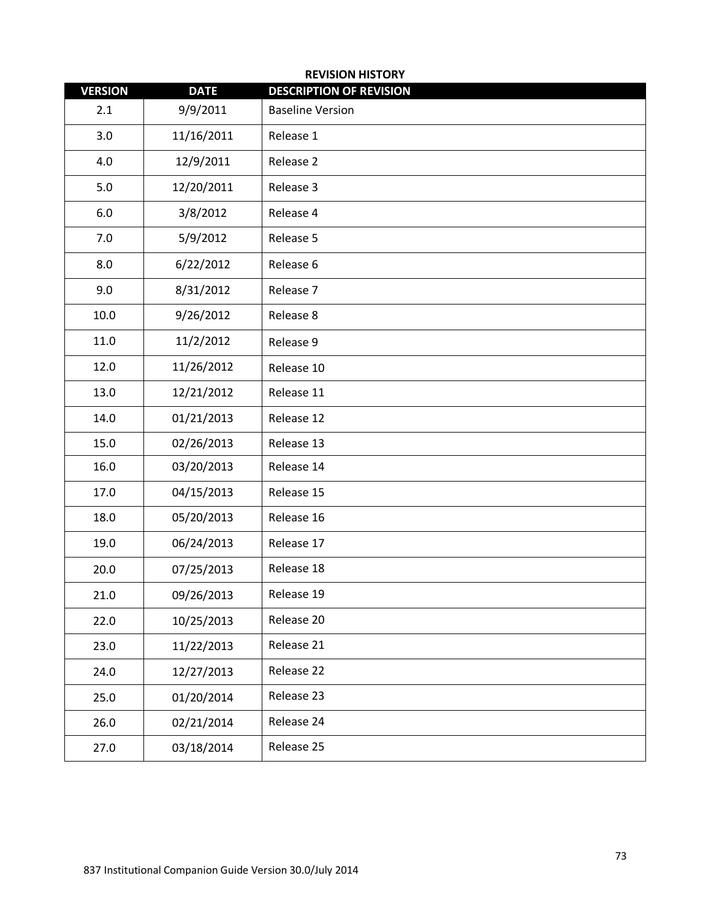| <b>REVISION HISTORY</b> |             |                                |  |
|-------------------------|-------------|--------------------------------|--|
| <b>VERSION</b>          | <b>DATE</b> | <b>DESCRIPTION OF REVISION</b> |  |
| 2.1                     | 9/9/2011    | <b>Baseline Version</b>        |  |
| 3.0                     | 11/16/2011  | Release 1                      |  |
| 4.0                     | 12/9/2011   | Release 2                      |  |
| 5.0                     | 12/20/2011  | Release 3                      |  |
| 6.0                     | 3/8/2012    | Release 4                      |  |
| 7.0                     | 5/9/2012    | Release 5                      |  |
| 8.0                     | 6/22/2012   | Release 6                      |  |
| 9.0                     | 8/31/2012   | Release 7                      |  |
| 10.0                    | 9/26/2012   | Release 8                      |  |
| 11.0                    | 11/2/2012   | Release 9                      |  |
| 12.0                    | 11/26/2012  | Release 10                     |  |
| 13.0                    | 12/21/2012  | Release 11                     |  |
| 14.0                    | 01/21/2013  | Release 12                     |  |
| 15.0                    | 02/26/2013  | Release 13                     |  |
| 16.0                    | 03/20/2013  | Release 14                     |  |
| 17.0                    | 04/15/2013  | Release 15                     |  |
| 18.0                    | 05/20/2013  | Release 16                     |  |
| 19.0                    | 06/24/2013  | Release 17                     |  |
| 20.0                    | 07/25/2013  | Release 18                     |  |
| 21.0                    | 09/26/2013  | Release 19                     |  |
| 22.0                    | 10/25/2013  | Release 20                     |  |
| 23.0                    | 11/22/2013  | Release 21                     |  |
| 24.0                    | 12/27/2013  | Release 22                     |  |
| 25.0                    | 01/20/2014  | Release 23                     |  |
| 26.0                    | 02/21/2014  | Release 24                     |  |
| 27.0                    | 03/18/2014  | Release 25                     |  |